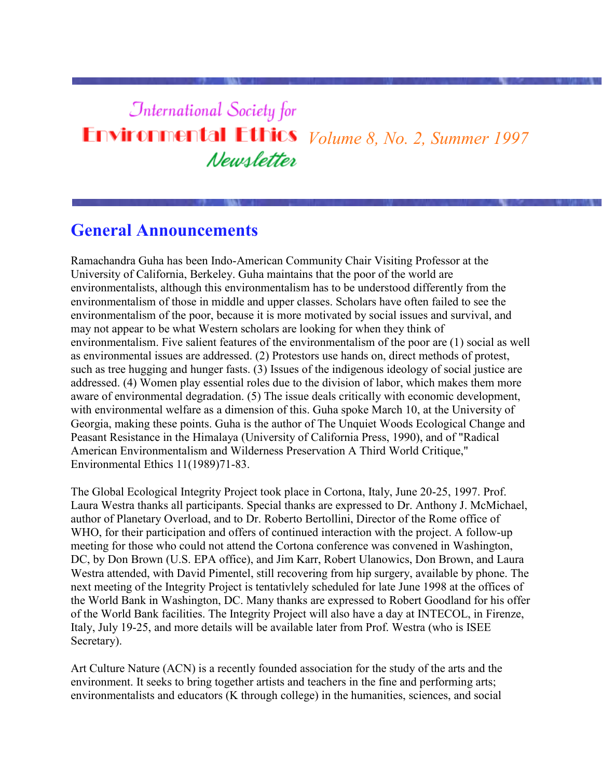# **International Society for Environmental Ethics** *Volume 8, No. 2, Summer 1997* Newsletter

# **General Announcements**

Ramachandra Guha has been Indo-American Community Chair Visiting Professor at the University of California, Berkeley. Guha maintains that the poor of the world are environmentalists, although this environmentalism has to be understood differently from the environmentalism of those in middle and upper classes. Scholars have often failed to see the environmentalism of the poor, because it is more motivated by social issues and survival, and may not appear to be what Western scholars are looking for when they think of environmentalism. Five salient features of the environmentalism of the poor are (1) social as well as environmental issues are addressed. (2) Protestors use hands on, direct methods of protest, such as tree hugging and hunger fasts. (3) Issues of the indigenous ideology of social justice are addressed. (4) Women play essential roles due to the division of labor, which makes them more aware of environmental degradation. (5) The issue deals critically with economic development, with environmental welfare as a dimension of this. Guha spoke March 10, at the University of Georgia, making these points. Guha is the author of The Unquiet Woods Ecological Change and Peasant Resistance in the Himalaya (University of California Press, 1990), and of "Radical American Environmentalism and Wilderness Preservation A Third World Critique," Environmental Ethics 11(1989)71-83.

The Global Ecological Integrity Project took place in Cortona, Italy, June 20-25, 1997. Prof. Laura Westra thanks all participants. Special thanks are expressed to Dr. Anthony J. McMichael, author of Planetary Overload, and to Dr. Roberto Bertollini, Director of the Rome office of WHO, for their participation and offers of continued interaction with the project. A follow-up meeting for those who could not attend the Cortona conference was convened in Washington, DC, by Don Brown (U.S. EPA office), and Jim Karr, Robert Ulanowics, Don Brown, and Laura Westra attended, with David Pimentel, still recovering from hip surgery, available by phone. The next meeting of the Integrity Project is tentativlely scheduled for late June 1998 at the offices of the World Bank in Washington, DC. Many thanks are expressed to Robert Goodland for his offer of the World Bank facilities. The Integrity Project will also have a day at INTECOL, in Firenze, Italy, July 19-25, and more details will be available later from Prof. Westra (who is ISEE Secretary).

Art Culture Nature (ACN) is a recently founded association for the study of the arts and the environment. It seeks to bring together artists and teachers in the fine and performing arts; environmentalists and educators (K through college) in the humanities, sciences, and social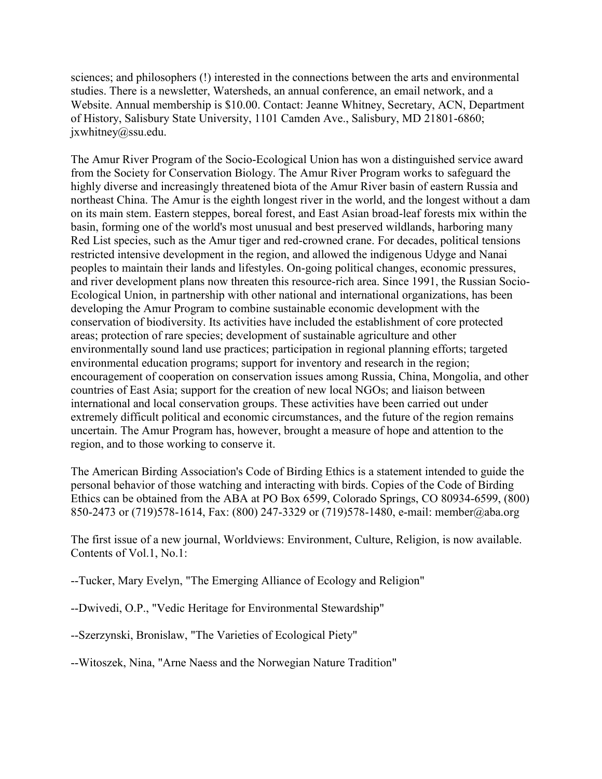sciences; and philosophers (!) interested in the connections between the arts and environmental studies. There is a newsletter, Watersheds, an annual conference, an email network, and a Website. Annual membership is \$10.00. Contact: Jeanne Whitney, Secretary, ACN, Department of History, Salisbury State University, 1101 Camden Ave., Salisbury, MD 21801-6860; jxwhitney@ssu.edu.

The Amur River Program of the Socio-Ecological Union has won a distinguished service award from the Society for Conservation Biology. The Amur River Program works to safeguard the highly diverse and increasingly threatened biota of the Amur River basin of eastern Russia and northeast China. The Amur is the eighth longest river in the world, and the longest without a dam on its main stem. Eastern steppes, boreal forest, and East Asian broad-leaf forests mix within the basin, forming one of the world's most unusual and best preserved wildlands, harboring many Red List species, such as the Amur tiger and red-crowned crane. For decades, political tensions restricted intensive development in the region, and allowed the indigenous Udyge and Nanai peoples to maintain their lands and lifestyles. On-going political changes, economic pressures, and river development plans now threaten this resource-rich area. Since 1991, the Russian Socio-Ecological Union, in partnership with other national and international organizations, has been developing the Amur Program to combine sustainable economic development with the conservation of biodiversity. Its activities have included the establishment of core protected areas; protection of rare species; development of sustainable agriculture and other environmentally sound land use practices; participation in regional planning efforts; targeted environmental education programs; support for inventory and research in the region; encouragement of cooperation on conservation issues among Russia, China, Mongolia, and other countries of East Asia; support for the creation of new local NGOs; and liaison between international and local conservation groups. These activities have been carried out under extremely difficult political and economic circumstances, and the future of the region remains uncertain. The Amur Program has, however, brought a measure of hope and attention to the region, and to those working to conserve it.

The American Birding Association's Code of Birding Ethics is a statement intended to guide the personal behavior of those watching and interacting with birds. Copies of the Code of Birding Ethics can be obtained from the ABA at PO Box 6599, Colorado Springs, CO 80934-6599, (800) 850-2473 or (719)578-1614, Fax: (800) 247-3329 or (719)578-1480, e-mail: member@aba.org

The first issue of a new journal, Worldviews: Environment, Culture, Religion, is now available. Contents of Vol.1, No.1:

--Tucker, Mary Evelyn, "The Emerging Alliance of Ecology and Religion"

--Dwivedi, O.P., "Vedic Heritage for Environmental Stewardship"

--Szerzynski, Bronislaw, "The Varieties of Ecological Piety"

--Witoszek, Nina, "Arne Naess and the Norwegian Nature Tradition"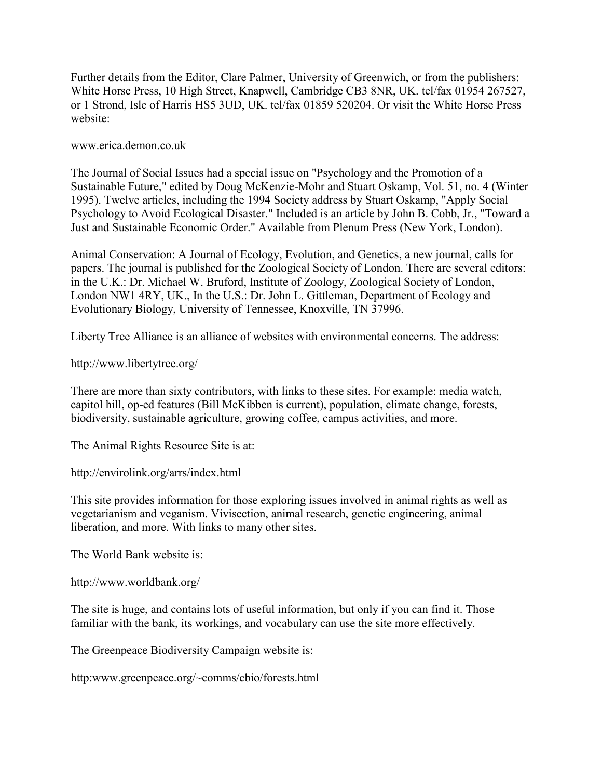Further details from the Editor, Clare Palmer, University of Greenwich, or from the publishers: White Horse Press, 10 High Street, Knapwell, Cambridge CB3 8NR, UK. tel/fax 01954 267527, or 1 Strond, Isle of Harris HS5 3UD, UK. tel/fax 01859 520204. Or visit the White Horse Press website:

www.erica.demon.co.uk

The Journal of Social Issues had a special issue on "Psychology and the Promotion of a Sustainable Future," edited by Doug McKenzie-Mohr and Stuart Oskamp, Vol. 51, no. 4 (Winter 1995). Twelve articles, including the 1994 Society address by Stuart Oskamp, "Apply Social Psychology to Avoid Ecological Disaster." Included is an article by John B. Cobb, Jr., "Toward a Just and Sustainable Economic Order." Available from Plenum Press (New York, London).

Animal Conservation: A Journal of Ecology, Evolution, and Genetics, a new journal, calls for papers. The journal is published for the Zoological Society of London. There are several editors: in the U.K.: Dr. Michael W. Bruford, Institute of Zoology, Zoological Society of London, London NW1 4RY, UK., In the U.S.: Dr. John L. Gittleman, Department of Ecology and Evolutionary Biology, University of Tennessee, Knoxville, TN 37996.

Liberty Tree Alliance is an alliance of websites with environmental concerns. The address:

http://www.libertytree.org/

There are more than sixty contributors, with links to these sites. For example: media watch, capitol hill, op-ed features (Bill McKibben is current), population, climate change, forests, biodiversity, sustainable agriculture, growing coffee, campus activities, and more.

The Animal Rights Resource Site is at:

http://envirolink.org/arrs/index.html

This site provides information for those exploring issues involved in animal rights as well as vegetarianism and veganism. Vivisection, animal research, genetic engineering, animal liberation, and more. With links to many other sites.

The World Bank website is:

http://www.worldbank.org/

The site is huge, and contains lots of useful information, but only if you can find it. Those familiar with the bank, its workings, and vocabulary can use the site more effectively.

The Greenpeace Biodiversity Campaign website is:

http:www.greenpeace.org/~comms/cbio/forests.html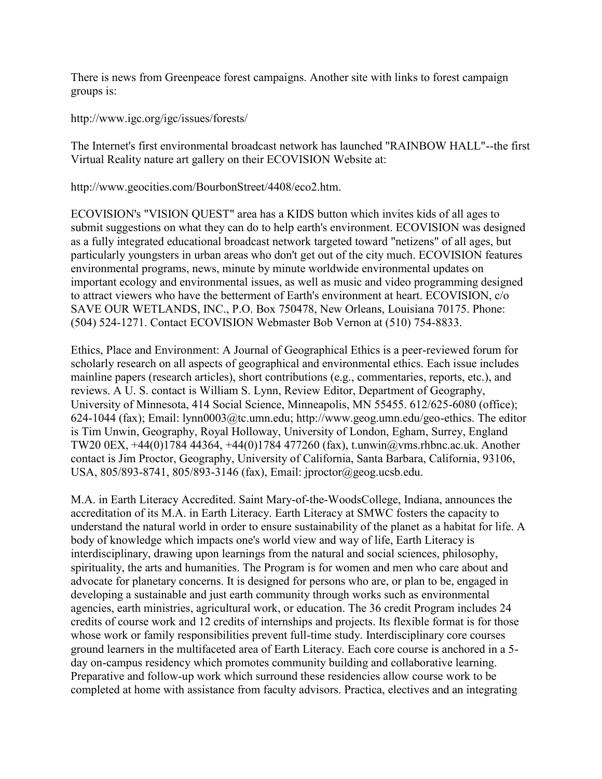There is news from Greenpeace forest campaigns. Another site with links to forest campaign groups is:

http://www.igc.org/igc/issues/forests/

The Internet's first environmental broadcast network has launched "RAINBOW HALL"--the first Virtual Reality nature art gallery on their ECOVISION Website at:

http://www.geocities.com/BourbonStreet/4408/eco2.htm.

ECOVISION's "VISION QUEST" area has a KIDS button which invites kids of all ages to submit suggestions on what they can do to help earth's environment. ECOVISION was designed as a fully integrated educational broadcast network targeted toward "netizens" of all ages, but particularly youngsters in urban areas who don't get out of the city much. ECOVISION features environmental programs, news, minute by minute worldwide environmental updates on important ecology and environmental issues, as well as music and video programming designed to attract viewers who have the betterment of Earth's environment at heart. ECOVISION, c/o SAVE OUR WETLANDS, INC., P.O. Box 750478, New Orleans, Louisiana 70175. Phone: (504) 524-1271. Contact ECOVISION Webmaster Bob Vernon at (510) 754-8833.

Ethics, Place and Environment: A Journal of Geographical Ethics is a peer-reviewed forum for scholarly research on all aspects of geographical and environmental ethics. Each issue includes mainline papers (research articles), short contributions (e.g., commentaries, reports, etc.), and reviews. A U. S. contact is William S. Lynn, Review Editor, Department of Geography, University of Minnesota, 414 Social Science, Minneapolis, MN 55455. 612/625-6080 (office); 624-1044 (fax); Email: lynn0003@tc.umn.edu; http://www.geog.umn.edu/geo-ethics. The editor is Tim Unwin, Geography, Royal Holloway, University of London, Egham, Surrey, England TW20 0EX, +44(0)1784 44364, +44(0)1784 477260 (fax), t.unwin@vms.rhbnc.ac.uk. Another contact is Jim Proctor, Geography, University of California, Santa Barbara, California, 93106, USA, 805/893-8741, 805/893-3146 (fax), Email: jproctor@geog.ucsb.edu.

M.A. in Earth Literacy Accredited. Saint Mary-of-the-WoodsCollege, Indiana, announces the accreditation of its M.A. in Earth Literacy. Earth Literacy at SMWC fosters the capacity to understand the natural world in order to ensure sustainability of the planet as a habitat for life. A body of knowledge which impacts one's world view and way of life, Earth Literacy is interdisciplinary, drawing upon learnings from the natural and social sciences, philosophy, spirituality, the arts and humanities. The Program is for women and men who care about and advocate for planetary concerns. It is designed for persons who are, or plan to be, engaged in developing a sustainable and just earth community through works such as environmental agencies, earth ministries, agricultural work, or education. The 36 credit Program includes 24 credits of course work and 12 credits of internships and projects. Its flexible format is for those whose work or family responsibilities prevent full-time study. Interdisciplinary core courses ground learners in the multifaceted area of Earth Literacy. Each core course is anchored in a 5 day on-campus residency which promotes community building and collaborative learning. Preparative and follow-up work which surround these residencies allow course work to be completed at home with assistance from faculty advisors. Practica, electives and an integrating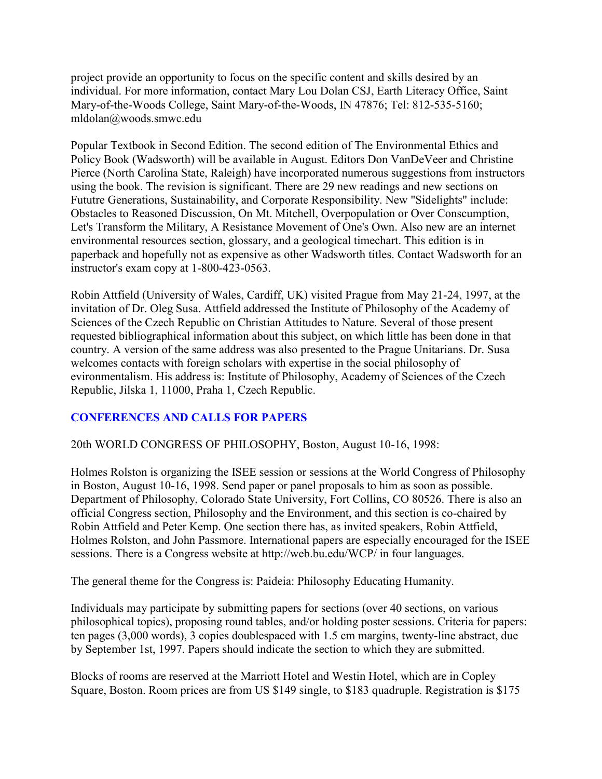project provide an opportunity to focus on the specific content and skills desired by an individual. For more information, contact Mary Lou Dolan CSJ, Earth Literacy Office, Saint Mary-of-the-Woods College, Saint Mary-of-the-Woods, IN 47876; Tel: 812-535-5160; mldolan@woods.smwc.edu

Popular Textbook in Second Edition. The second edition of The Environmental Ethics and Policy Book (Wadsworth) will be available in August. Editors Don VanDeVeer and Christine Pierce (North Carolina State, Raleigh) have incorporated numerous suggestions from instructors using the book. The revision is significant. There are 29 new readings and new sections on Fututre Generations, Sustainability, and Corporate Responsibility. New "Sidelights" include: Obstacles to Reasoned Discussion, On Mt. Mitchell, Overpopulation or Over Conscumption, Let's Transform the Military, A Resistance Movement of One's Own. Also new are an internet environmental resources section, glossary, and a geological timechart. This edition is in paperback and hopefully not as expensive as other Wadsworth titles. Contact Wadsworth for an instructor's exam copy at 1-800-423-0563.

Robin Attfield (University of Wales, Cardiff, UK) visited Prague from May 21-24, 1997, at the invitation of Dr. Oleg Susa. Attfield addressed the Institute of Philosophy of the Academy of Sciences of the Czech Republic on Christian Attitudes to Nature. Several of those present requested bibliographical information about this subject, on which little has been done in that country. A version of the same address was also presented to the Prague Unitarians. Dr. Susa welcomes contacts with foreign scholars with expertise in the social philosophy of evironmentalism. His address is: Institute of Philosophy, Academy of Sciences of the Czech Republic, Jilska 1, 11000, Praha 1, Czech Republic.

# **CONFERENCES AND CALLS FOR PAPERS**

20th WORLD CONGRESS OF PHILOSOPHY, Boston, August 10-16, 1998:

Holmes Rolston is organizing the ISEE session or sessions at the World Congress of Philosophy in Boston, August 10-16, 1998. Send paper or panel proposals to him as soon as possible. Department of Philosophy, Colorado State University, Fort Collins, CO 80526. There is also an official Congress section, Philosophy and the Environment, and this section is co-chaired by Robin Attfield and Peter Kemp. One section there has, as invited speakers, Robin Attfield, Holmes Rolston, and John Passmore. International papers are especially encouraged for the ISEE sessions. There is a Congress website at http://web.bu.edu/WCP/ in four languages.

The general theme for the Congress is: Paideia: Philosophy Educating Humanity.

Individuals may participate by submitting papers for sections (over 40 sections, on various philosophical topics), proposing round tables, and/or holding poster sessions. Criteria for papers: ten pages (3,000 words), 3 copies doublespaced with 1.5 cm margins, twenty-line abstract, due by September 1st, 1997. Papers should indicate the section to which they are submitted.

Blocks of rooms are reserved at the Marriott Hotel and Westin Hotel, which are in Copley Square, Boston. Room prices are from US \$149 single, to \$183 quadruple. Registration is \$175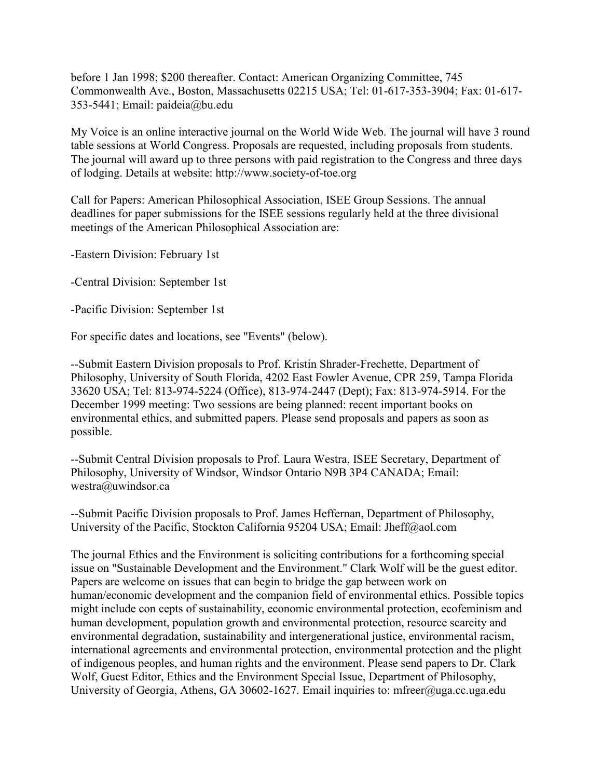before 1 Jan 1998; \$200 thereafter. Contact: American Organizing Committee, 745 Commonwealth Ave., Boston, Massachusetts 02215 USA; Tel: 01-617-353-3904; Fax: 01-617- 353-5441; Email: paideia@bu.edu

My Voice is an online interactive journal on the World Wide Web. The journal will have 3 round table sessions at World Congress. Proposals are requested, including proposals from students. The journal will award up to three persons with paid registration to the Congress and three days of lodging. Details at website: http://www.society-of-toe.org

Call for Papers: American Philosophical Association, ISEE Group Sessions. The annual deadlines for paper submissions for the ISEE sessions regularly held at the three divisional meetings of the American Philosophical Association are:

-Eastern Division: February 1st

-Central Division: September 1st

-Pacific Division: September 1st

For specific dates and locations, see "Events" (below).

--Submit Eastern Division proposals to Prof. Kristin Shrader-Frechette, Department of Philosophy, University of South Florida, 4202 East Fowler Avenue, CPR 259, Tampa Florida 33620 USA; Tel: 813-974-5224 (Office), 813-974-2447 (Dept); Fax: 813-974-5914. For the December 1999 meeting: Two sessions are being planned: recent important books on environmental ethics, and submitted papers. Please send proposals and papers as soon as possible.

--Submit Central Division proposals to Prof. Laura Westra, ISEE Secretary, Department of Philosophy, University of Windsor, Windsor Ontario N9B 3P4 CANADA; Email: westra@uwindsor.ca

--Submit Pacific Division proposals to Prof. James Heffernan, Department of Philosophy, University of the Pacific, Stockton California 95204 USA; Email: Jheff@aol.com

The journal Ethics and the Environment is soliciting contributions for a forthcoming special issue on "Sustainable Development and the Environment." Clark Wolf will be the guest editor. Papers are welcome on issues that can begin to bridge the gap between work on human/economic development and the companion field of environmental ethics. Possible topics might include con cepts of sustainability, economic environmental protection, ecofeminism and human development, population growth and environmental protection, resource scarcity and environmental degradation, sustainability and intergenerational justice, environmental racism, international agreements and environmental protection, environmental protection and the plight of indigenous peoples, and human rights and the environment. Please send papers to Dr. Clark Wolf, Guest Editor, Ethics and the Environment Special Issue, Department of Philosophy, University of Georgia, Athens, GA 30602-1627. Email inquiries to: mfreer@uga.cc.uga.edu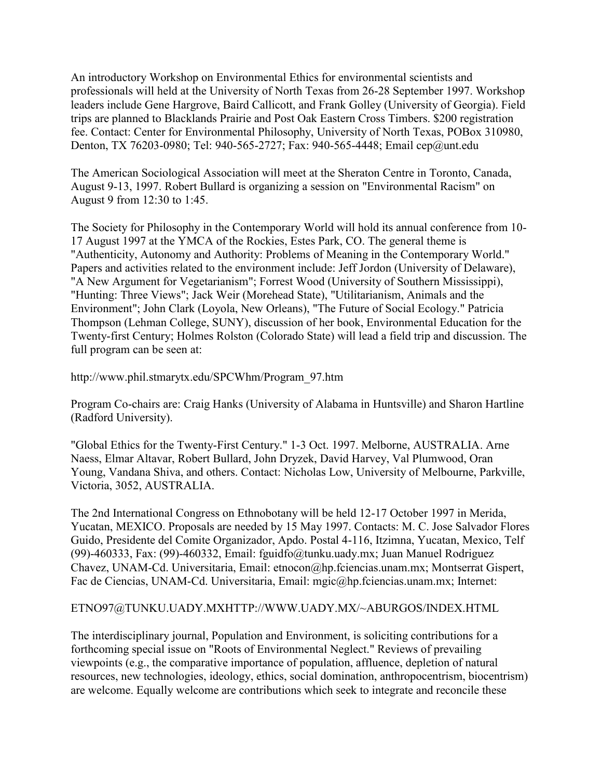An introductory Workshop on Environmental Ethics for environmental scientists and professionals will held at the University of North Texas from 26-28 September 1997. Workshop leaders include Gene Hargrove, Baird Callicott, and Frank Golley (University of Georgia). Field trips are planned to Blacklands Prairie and Post Oak Eastern Cross Timbers. \$200 registration fee. Contact: Center for Environmental Philosophy, University of North Texas, POBox 310980, Denton, TX 76203-0980; Tel: 940-565-2727; Fax: 940-565-4448; Email cep@unt.edu

The American Sociological Association will meet at the Sheraton Centre in Toronto, Canada, August 9-13, 1997. Robert Bullard is organizing a session on "Environmental Racism" on August 9 from 12:30 to 1:45.

The Society for Philosophy in the Contemporary World will hold its annual conference from 10- 17 August 1997 at the YMCA of the Rockies, Estes Park, CO. The general theme is "Authenticity, Autonomy and Authority: Problems of Meaning in the Contemporary World." Papers and activities related to the environment include: Jeff Jordon (University of Delaware), "A New Argument for Vegetarianism"; Forrest Wood (University of Southern Mississippi), "Hunting: Three Views"; Jack Weir (Morehead State), "Utilitarianism, Animals and the Environment"; John Clark (Loyola, New Orleans), "The Future of Social Ecology." Patricia Thompson (Lehman College, SUNY), discussion of her book, Environmental Education for the Twenty-first Century; Holmes Rolston (Colorado State) will lead a field trip and discussion. The full program can be seen at:

http://www.phil.stmarytx.edu/SPCWhm/Program\_97.htm

Program Co-chairs are: Craig Hanks (University of Alabama in Huntsville) and Sharon Hartline (Radford University).

"Global Ethics for the Twenty-First Century." 1-3 Oct. 1997. Melborne, AUSTRALIA. Arne Naess, Elmar Altavar, Robert Bullard, John Dryzek, David Harvey, Val Plumwood, Oran Young, Vandana Shiva, and others. Contact: Nicholas Low, University of Melbourne, Parkville, Victoria, 3052, AUSTRALIA.

The 2nd International Congress on Ethnobotany will be held 12-17 October 1997 in Merida, Yucatan, MEXICO. Proposals are needed by 15 May 1997. Contacts: M. C. Jose Salvador Flores Guido, Presidente del Comite Organizador, Apdo. Postal 4-116, Itzimna, Yucatan, Mexico, Telf (99)-460333, Fax: (99)-460332, Email: fguidfo@tunku.uady.mx; Juan Manuel Rodriguez Chavez, UNAM-Cd. Universitaria, Email: etnocon@hp.fciencias.unam.mx; Montserrat Gispert, Fac de Ciencias, UNAM-Cd. Universitaria, Email: mgic@hp.fciencias.unam.mx; Internet:

#### ETNO97@TUNKU.UADY.MXHTTP://WWW.UADY.MX/~ABURGOS/INDEX.HTML

The interdisciplinary journal, Population and Environment, is soliciting contributions for a forthcoming special issue on "Roots of Environmental Neglect." Reviews of prevailing viewpoints (e.g., the comparative importance of population, affluence, depletion of natural resources, new technologies, ideology, ethics, social domination, anthropocentrism, biocentrism) are welcome. Equally welcome are contributions which seek to integrate and reconcile these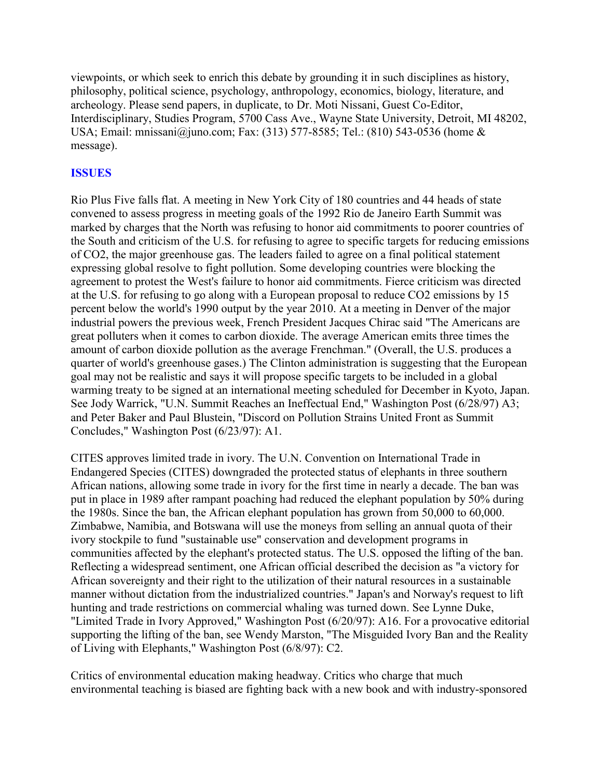viewpoints, or which seek to enrich this debate by grounding it in such disciplines as history, philosophy, political science, psychology, anthropology, economics, biology, literature, and archeology. Please send papers, in duplicate, to Dr. Moti Nissani, Guest Co-Editor, Interdisciplinary, Studies Program, 5700 Cass Ave., Wayne State University, Detroit, MI 48202, USA; Email: mnissani@juno.com; Fax: (313) 577-8585; Tel.: (810) 543-0536 (home & message).

#### **ISSUES**

Rio Plus Five falls flat. A meeting in New York City of 180 countries and 44 heads of state convened to assess progress in meeting goals of the 1992 Rio de Janeiro Earth Summit was marked by charges that the North was refusing to honor aid commitments to poorer countries of the South and criticism of the U.S. for refusing to agree to specific targets for reducing emissions of CO2, the major greenhouse gas. The leaders failed to agree on a final political statement expressing global resolve to fight pollution. Some developing countries were blocking the agreement to protest the West's failure to honor aid commitments. Fierce criticism was directed at the U.S. for refusing to go along with a European proposal to reduce CO2 emissions by 15 percent below the world's 1990 output by the year 2010. At a meeting in Denver of the major industrial powers the previous week, French President Jacques Chirac said "The Americans are great polluters when it comes to carbon dioxide. The average American emits three times the amount of carbon dioxide pollution as the average Frenchman." (Overall, the U.S. produces a quarter of world's greenhouse gases.) The Clinton administration is suggesting that the European goal may not be realistic and says it will propose specific targets to be included in a global warming treaty to be signed at an international meeting scheduled for December in Kyoto, Japan. See Jody Warrick, "U.N. Summit Reaches an Ineffectual End," Washington Post (6/28/97) A3; and Peter Baker and Paul Blustein, "Discord on Pollution Strains United Front as Summit Concludes," Washington Post (6/23/97): A1.

CITES approves limited trade in ivory. The U.N. Convention on International Trade in Endangered Species (CITES) downgraded the protected status of elephants in three southern African nations, allowing some trade in ivory for the first time in nearly a decade. The ban was put in place in 1989 after rampant poaching had reduced the elephant population by 50% during the 1980s. Since the ban, the African elephant population has grown from 50,000 to 60,000. Zimbabwe, Namibia, and Botswana will use the moneys from selling an annual quota of their ivory stockpile to fund "sustainable use" conservation and development programs in communities affected by the elephant's protected status. The U.S. opposed the lifting of the ban. Reflecting a widespread sentiment, one African official described the decision as "a victory for African sovereignty and their right to the utilization of their natural resources in a sustainable manner without dictation from the industrialized countries." Japan's and Norway's request to lift hunting and trade restrictions on commercial whaling was turned down. See Lynne Duke, "Limited Trade in Ivory Approved," Washington Post (6/20/97): A16. For a provocative editorial supporting the lifting of the ban, see Wendy Marston, "The Misguided Ivory Ban and the Reality of Living with Elephants," Washington Post (6/8/97): C2.

Critics of environmental education making headway. Critics who charge that much environmental teaching is biased are fighting back with a new book and with industry-sponsored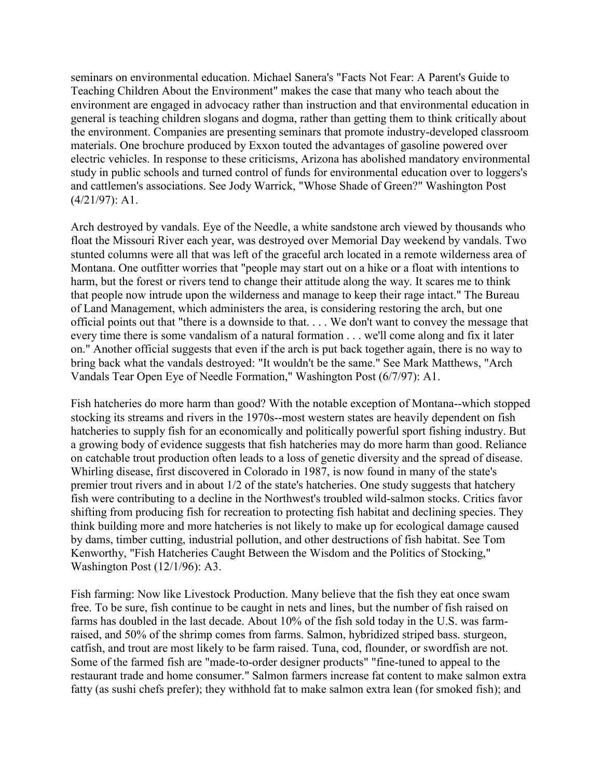seminars on environmental education. Michael Sanera's "Facts Not Fear: A Parent's Guide to Teaching Children About the Environment" makes the case that many who teach about the environment are engaged in advocacy rather than instruction and that environmental education in general is teaching children slogans and dogma, rather than getting them to think critically about the environment. Companies are presenting seminars that promote industry-developed classroom materials. One brochure produced by Exxon touted the advantages of gasoline powered over electric vehicles. In response to these criticisms, Arizona has abolished mandatory environmental study in public schools and turned control of funds for environmental education over to loggers's and cattlemen's associations. See Jody Warrick, "Whose Shade of Green?" Washington Post (4/21/97): A1.

Arch destroyed by vandals. Eye of the Needle, a white sandstone arch viewed by thousands who float the Missouri River each year, was destroyed over Memorial Day weekend by vandals. Two stunted columns were all that was left of the graceful arch located in a remote wilderness area of Montana. One outfitter worries that "people may start out on a hike or a float with intentions to harm, but the forest or rivers tend to change their attitude along the way. It scares me to think that people now intrude upon the wilderness and manage to keep their rage intact." The Bureau of Land Management, which administers the area, is considering restoring the arch, but one official points out that "there is a downside to that. . . . We don't want to convey the message that every time there is some vandalism of a natural formation . . . we'll come along and fix it later on." Another official suggests that even if the arch is put back together again, there is no way to bring back what the vandals destroyed: "It wouldn't be the same." See Mark Matthews, "Arch Vandals Tear Open Eye of Needle Formation," Washington Post (6/7/97): A1.

Fish hatcheries do more harm than good? With the notable exception of Montana--which stopped stocking its streams and rivers in the 1970s--most western states are heavily dependent on fish hatcheries to supply fish for an economically and politically powerful sport fishing industry. But a growing body of evidence suggests that fish hatcheries may do more harm than good. Reliance on catchable trout production often leads to a loss of genetic diversity and the spread of disease. Whirling disease, first discovered in Colorado in 1987, is now found in many of the state's premier trout rivers and in about 1/2 of the state's hatcheries. One study suggests that hatchery fish were contributing to a decline in the Northwest's troubled wild-salmon stocks. Critics favor shifting from producing fish for recreation to protecting fish habitat and declining species. They think building more and more hatcheries is not likely to make up for ecological damage caused by dams, timber cutting, industrial pollution, and other destructions of fish habitat. See Tom Kenworthy, "Fish Hatcheries Caught Between the Wisdom and the Politics of Stocking," Washington Post (12/1/96): A3.

Fish farming: Now like Livestock Production. Many believe that the fish they eat once swam free. To be sure, fish continue to be caught in nets and lines, but the number of fish raised on farms has doubled in the last decade. About 10% of the fish sold today in the U.S. was farmraised, and 50% of the shrimp comes from farms. Salmon, hybridized striped bass. sturgeon, catfish, and trout are most likely to be farm raised. Tuna, cod, flounder, or swordfish are not. Some of the farmed fish are "made-to-order designer products" "fine-tuned to appeal to the restaurant trade and home consumer." Salmon farmers increase fat content to make salmon extra fatty (as sushi chefs prefer); they withhold fat to make salmon extra lean (for smoked fish); and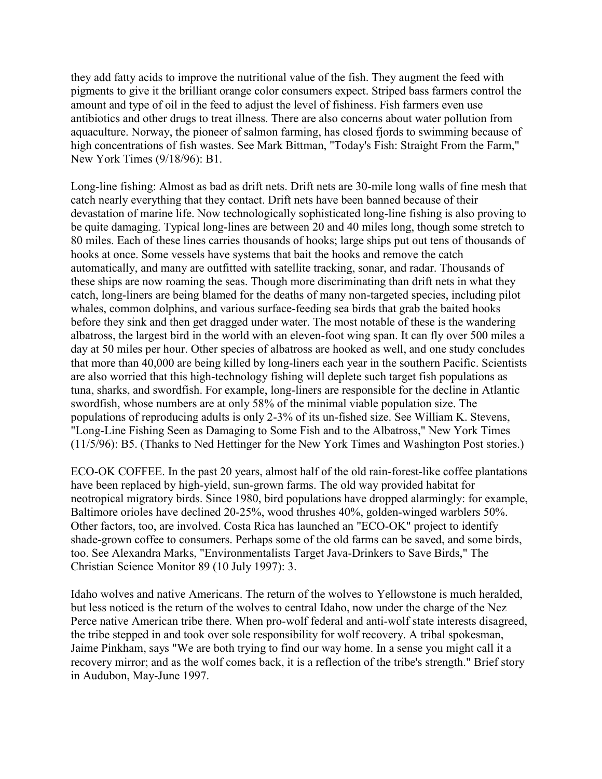they add fatty acids to improve the nutritional value of the fish. They augment the feed with pigments to give it the brilliant orange color consumers expect. Striped bass farmers control the amount and type of oil in the feed to adjust the level of fishiness. Fish farmers even use antibiotics and other drugs to treat illness. There are also concerns about water pollution from aquaculture. Norway, the pioneer of salmon farming, has closed fjords to swimming because of high concentrations of fish wastes. See Mark Bittman, "Today's Fish: Straight From the Farm," New York Times (9/18/96): B1.

Long-line fishing: Almost as bad as drift nets. Drift nets are 30-mile long walls of fine mesh that catch nearly everything that they contact. Drift nets have been banned because of their devastation of marine life. Now technologically sophisticated long-line fishing is also proving to be quite damaging. Typical long-lines are between 20 and 40 miles long, though some stretch to 80 miles. Each of these lines carries thousands of hooks; large ships put out tens of thousands of hooks at once. Some vessels have systems that bait the hooks and remove the catch automatically, and many are outfitted with satellite tracking, sonar, and radar. Thousands of these ships are now roaming the seas. Though more discriminating than drift nets in what they catch, long-liners are being blamed for the deaths of many non-targeted species, including pilot whales, common dolphins, and various surface-feeding sea birds that grab the baited hooks before they sink and then get dragged under water. The most notable of these is the wandering albatross, the largest bird in the world with an eleven-foot wing span. It can fly over 500 miles a day at 50 miles per hour. Other species of albatross are hooked as well, and one study concludes that more than 40,000 are being killed by long-liners each year in the southern Pacific. Scientists are also worried that this high-technology fishing will deplete such target fish populations as tuna, sharks, and swordfish. For example, long-liners are responsible for the decline in Atlantic swordfish, whose numbers are at only 58% of the minimal viable population size. The populations of reproducing adults is only 2-3% of its un-fished size. See William K. Stevens, "Long-Line Fishing Seen as Damaging to Some Fish and to the Albatross," New York Times (11/5/96): B5. (Thanks to Ned Hettinger for the New York Times and Washington Post stories.)

ECO-OK COFFEE. In the past 20 years, almost half of the old rain-forest-like coffee plantations have been replaced by high-yield, sun-grown farms. The old way provided habitat for neotropical migratory birds. Since 1980, bird populations have dropped alarmingly: for example, Baltimore orioles have declined 20-25%, wood thrushes 40%, golden-winged warblers 50%. Other factors, too, are involved. Costa Rica has launched an "ECO-OK" project to identify shade-grown coffee to consumers. Perhaps some of the old farms can be saved, and some birds, too. See Alexandra Marks, "Environmentalists Target Java-Drinkers to Save Birds," The Christian Science Monitor 89 (10 July 1997): 3.

Idaho wolves and native Americans. The return of the wolves to Yellowstone is much heralded, but less noticed is the return of the wolves to central Idaho, now under the charge of the Nez Perce native American tribe there. When pro-wolf federal and anti-wolf state interests disagreed, the tribe stepped in and took over sole responsibility for wolf recovery. A tribal spokesman, Jaime Pinkham, says "We are both trying to find our way home. In a sense you might call it a recovery mirror; and as the wolf comes back, it is a reflection of the tribe's strength." Brief story in Audubon, May-June 1997.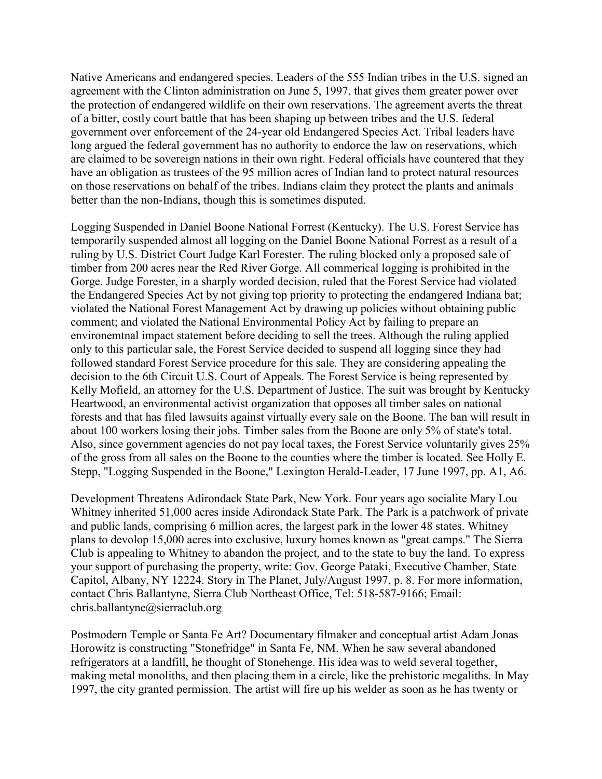Native Americans and endangered species. Leaders of the 555 Indian tribes in the U.S. signed an agreement with the Clinton administration on June 5, 1997, that gives them greater power over the protection of endangered wildlife on their own reservations. The agreement averts the threat of a bitter, costly court battle that has been shaping up between tribes and the U.S. federal government over enforcement of the 24-year old Endangered Species Act. Tribal leaders have long argued the federal government has no authority to endorce the law on reservations, which are claimed to be sovereign nations in their own right. Federal officials have countered that they have an obligation as trustees of the 95 million acres of Indian land to protect natural resources on those reservations on behalf of the tribes. Indians claim they protect the plants and animals better than the non-Indians, though this is sometimes disputed.

Logging Suspended in Daniel Boone National Forrest (Kentucky). The U.S. Forest Service has temporarily suspended almost all logging on the Daniel Boone National Forrest as a result of a ruling by U.S. District Court Judge Karl Forester. The ruling blocked only a proposed sale of timber from 200 acres near the Red River Gorge. All commerical logging is prohibited in the Gorge. Judge Forester, in a sharply worded decision, ruled that the Forest Service had violated the Endangered Species Act by not giving top priority to protecting the endangered Indiana bat; violated the National Forest Management Act by drawing up policies without obtaining public comment; and violated the National Environmental Policy Act by failing to prepare an environemtnal impact statement before deciding to sell the trees. Although the ruling applied only to this particular sale, the Forest Service decided to suspend all logging since they had followed standard Forest Service procedure for this sale. They are considering appealing the decision to the 6th Circuit U.S. Court of Appeals. The Forest Service is being represented by Kelly Mofield, an attorney for the U.S. Department of Justice. The suit was brought by Kentucky Heartwood, an environmental activist organization that opposes all timber sales on national forests and that has filed lawsuits against virtually every sale on the Boone. The ban will result in about 100 workers losing their jobs. Timber sales from the Boone are only 5% of state's total. Also, since government agencies do not pay local taxes, the Forest Service voluntarily gives 25% of the gross from all sales on the Boone to the counties where the timber is located. See Holly E. Stepp, "Logging Suspended in the Boone," Lexington Herald-Leader, 17 June 1997, pp. A1, A6.

Development Threatens Adirondack State Park, New York. Four years ago socialite Mary Lou Whitney inherited 51,000 acres inside Adirondack State Park. The Park is a patchwork of private and public lands, comprising 6 million acres, the largest park in the lower 48 states. Whitney plans to devolop 15,000 acres into exclusive, luxury homes known as "great camps." The Sierra Club is appealing to Whitney to abandon the project, and to the state to buy the land. To express your support of purchasing the property, write: Gov. George Pataki, Executive Chamber, State Capitol, Albany, NY 12224. Story in The Planet, July/August 1997, p. 8. For more information, contact Chris Ballantyne, Sierra Club Northeast Office, Tel: 518-587-9166; Email: chris.ballantyne@sierraclub.org

Postmodern Temple or Santa Fe Art? Documentary filmaker and conceptual artist Adam Jonas Horowitz is constructing "Stonefridge" in Santa Fe, NM. When he saw several abandoned refrigerators at a landfill, he thought of Stonehenge. His idea was to weld several together, making metal monoliths, and then placing them in a circle, like the prehistoric megaliths. In May 1997, the city granted permission. The artist will fire up his welder as soon as he has twenty or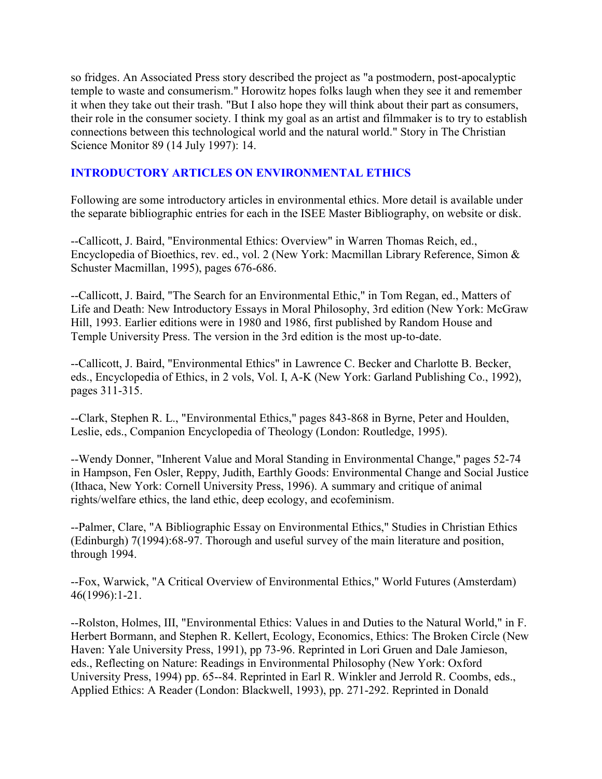so fridges. An Associated Press story described the project as "a postmodern, post-apocalyptic temple to waste and consumerism." Horowitz hopes folks laugh when they see it and remember it when they take out their trash. "But I also hope they will think about their part as consumers, their role in the consumer society. I think my goal as an artist and filmmaker is to try to establish connections between this technological world and the natural world." Story in The Christian Science Monitor 89 (14 July 1997): 14.

### **INTRODUCTORY ARTICLES ON ENVIRONMENTAL ETHICS**

Following are some introductory articles in environmental ethics. More detail is available under the separate bibliographic entries for each in the ISEE Master Bibliography, on website or disk.

--Callicott, J. Baird, "Environmental Ethics: Overview" in Warren Thomas Reich, ed., Encyclopedia of Bioethics, rev. ed., vol. 2 (New York: Macmillan Library Reference, Simon & Schuster Macmillan, 1995), pages 676-686.

--Callicott, J. Baird, "The Search for an Environmental Ethic," in Tom Regan, ed., Matters of Life and Death: New Introductory Essays in Moral Philosophy, 3rd edition (New York: McGraw Hill, 1993. Earlier editions were in 1980 and 1986, first published by Random House and Temple University Press. The version in the 3rd edition is the most up-to-date.

--Callicott, J. Baird, "Environmental Ethics" in Lawrence C. Becker and Charlotte B. Becker, eds., Encyclopedia of Ethics, in 2 vols, Vol. I, A-K (New York: Garland Publishing Co., 1992), pages 311-315.

--Clark, Stephen R. L., "Environmental Ethics," pages 843-868 in Byrne, Peter and Houlden, Leslie, eds., Companion Encyclopedia of Theology (London: Routledge, 1995).

--Wendy Donner, "Inherent Value and Moral Standing in Environmental Change," pages 52-74 in Hampson, Fen Osler, Reppy, Judith, Earthly Goods: Environmental Change and Social Justice (Ithaca, New York: Cornell University Press, 1996). A summary and critique of animal rights/welfare ethics, the land ethic, deep ecology, and ecofeminism.

--Palmer, Clare, "A Bibliographic Essay on Environmental Ethics," Studies in Christian Ethics (Edinburgh) 7(1994):68-97. Thorough and useful survey of the main literature and position, through 1994.

--Fox, Warwick, "A Critical Overview of Environmental Ethics," World Futures (Amsterdam) 46(1996):1-21.

--Rolston, Holmes, III, "Environmental Ethics: Values in and Duties to the Natural World," in F. Herbert Bormann, and Stephen R. Kellert, Ecology, Economics, Ethics: The Broken Circle (New Haven: Yale University Press, 1991), pp 73-96. Reprinted in Lori Gruen and Dale Jamieson, eds., Reflecting on Nature: Readings in Environmental Philosophy (New York: Oxford University Press, 1994) pp. 65--84. Reprinted in Earl R. Winkler and Jerrold R. Coombs, eds., Applied Ethics: A Reader (London: Blackwell, 1993), pp. 271-292. Reprinted in Donald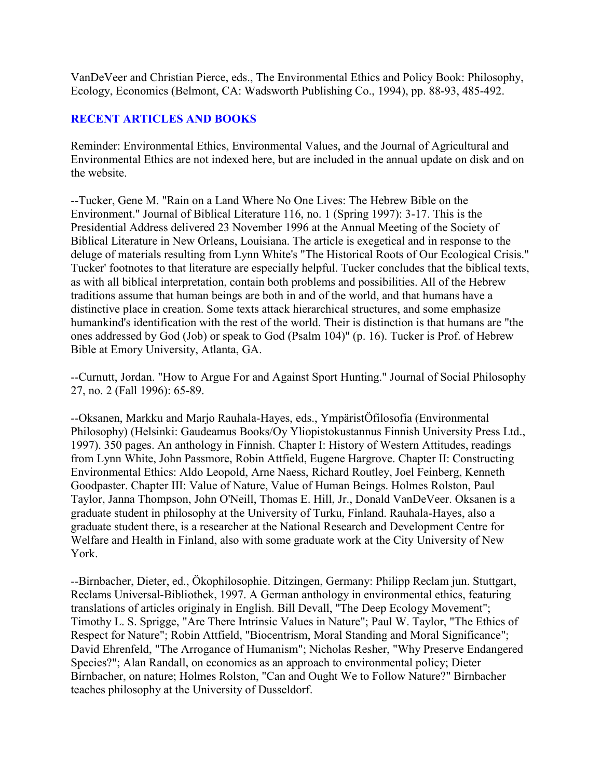VanDeVeer and Christian Pierce, eds., The Environmental Ethics and Policy Book: Philosophy, Ecology, Economics (Belmont, CA: Wadsworth Publishing Co., 1994), pp. 88-93, 485-492.

#### **RECENT ARTICLES AND BOOKS**

Reminder: Environmental Ethics, Environmental Values, and the Journal of Agricultural and Environmental Ethics are not indexed here, but are included in the annual update on disk and on the website.

--Tucker, Gene M. "Rain on a Land Where No One Lives: The Hebrew Bible on the Environment." Journal of Biblical Literature 116, no. 1 (Spring 1997): 3-17. This is the Presidential Address delivered 23 November 1996 at the Annual Meeting of the Society of Biblical Literature in New Orleans, Louisiana. The article is exegetical and in response to the deluge of materials resulting from Lynn White's "The Historical Roots of Our Ecological Crisis." Tucker' footnotes to that literature are especially helpful. Tucker concludes that the biblical texts, as with all biblical interpretation, contain both problems and possibilities. All of the Hebrew traditions assume that human beings are both in and of the world, and that humans have a distinctive place in creation. Some texts attack hierarchical structures, and some emphasize humankind's identification with the rest of the world. Their is distinction is that humans are "the ones addressed by God (Job) or speak to God (Psalm 104)" (p. 16). Tucker is Prof. of Hebrew Bible at Emory University, Atlanta, GA.

--Curnutt, Jordan. "How to Argue For and Against Sport Hunting." Journal of Social Philosophy 27, no. 2 (Fall 1996): 65-89.

--Oksanen, Markku and Marjo Rauhala-Hayes, eds., YmpäristÖfilosofia (Environmental Philosophy) (Helsinki: Gaudeamus Books/Oy Yliopistokustannus Finnish University Press Ltd., 1997). 350 pages. An anthology in Finnish. Chapter I: History of Western Attitudes, readings from Lynn White, John Passmore, Robin Attfield, Eugene Hargrove. Chapter II: Constructing Environmental Ethics: Aldo Leopold, Arne Naess, Richard Routley, Joel Feinberg, Kenneth Goodpaster. Chapter III: Value of Nature, Value of Human Beings. Holmes Rolston, Paul Taylor, Janna Thompson, John O'Neill, Thomas E. Hill, Jr., Donald VanDeVeer. Oksanen is a graduate student in philosophy at the University of Turku, Finland. Rauhala-Hayes, also a graduate student there, is a researcher at the National Research and Development Centre for Welfare and Health in Finland, also with some graduate work at the City University of New York.

--Birnbacher, Dieter, ed., Ökophilosophie. Ditzingen, Germany: Philipp Reclam jun. Stuttgart, Reclams Universal-Bibliothek, 1997. A German anthology in environmental ethics, featuring translations of articles originaly in English. Bill Devall, "The Deep Ecology Movement"; Timothy L. S. Sprigge, "Are There Intrinsic Values in Nature"; Paul W. Taylor, "The Ethics of Respect for Nature"; Robin Attfield, "Biocentrism, Moral Standing and Moral Significance"; David Ehrenfeld, "The Arrogance of Humanism"; Nicholas Resher, "Why Preserve Endangered Species?"; Alan Randall, on economics as an approach to environmental policy; Dieter Birnbacher, on nature; Holmes Rolston, "Can and Ought We to Follow Nature?" Birnbacher teaches philosophy at the University of Dusseldorf.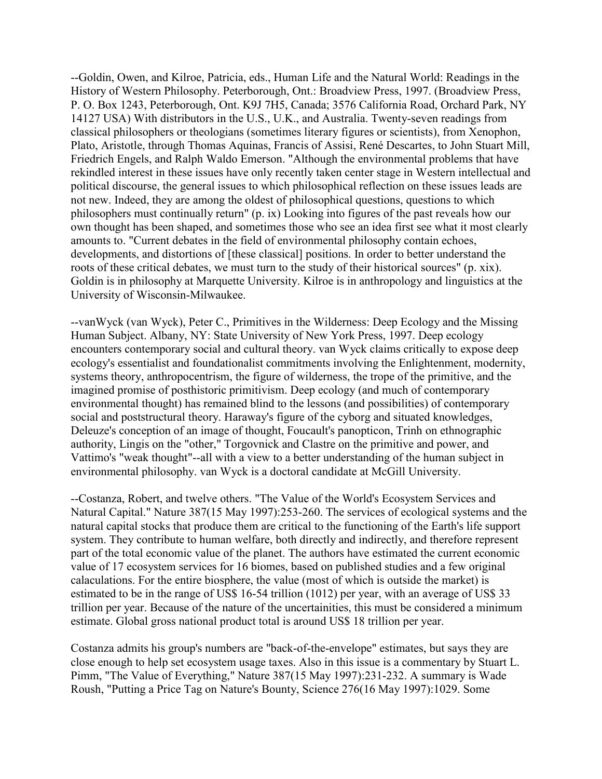--Goldin, Owen, and Kilroe, Patricia, eds., Human Life and the Natural World: Readings in the History of Western Philosophy. Peterborough, Ont.: Broadview Press, 1997. (Broadview Press, P. O. Box 1243, Peterborough, Ont. K9J 7H5, Canada; 3576 California Road, Orchard Park, NY 14127 USA) With distributors in the U.S., U.K., and Australia. Twenty-seven readings from classical philosophers or theologians (sometimes literary figures or scientists), from Xenophon, Plato, Aristotle, through Thomas Aquinas, Francis of Assisi, René Descartes, to John Stuart Mill, Friedrich Engels, and Ralph Waldo Emerson. "Although the environmental problems that have rekindled interest in these issues have only recently taken center stage in Western intellectual and political discourse, the general issues to which philosophical reflection on these issues leads are not new. Indeed, they are among the oldest of philosophical questions, questions to which philosophers must continually return" (p. ix) Looking into figures of the past reveals how our own thought has been shaped, and sometimes those who see an idea first see what it most clearly amounts to. "Current debates in the field of environmental philosophy contain echoes, developments, and distortions of [these classical] positions. In order to better understand the roots of these critical debates, we must turn to the study of their historical sources" (p. xix). Goldin is in philosophy at Marquette University. Kilroe is in anthropology and linguistics at the University of Wisconsin-Milwaukee.

--vanWyck (van Wyck), Peter C., Primitives in the Wilderness: Deep Ecology and the Missing Human Subject. Albany, NY: State University of New York Press, 1997. Deep ecology encounters contemporary social and cultural theory. van Wyck claims critically to expose deep ecology's essentialist and foundationalist commitments involving the Enlightenment, modernity, systems theory, anthropocentrism, the figure of wilderness, the trope of the primitive, and the imagined promise of posthistoric primitivism. Deep ecology (and much of contemporary environmental thought) has remained blind to the lessons (and possibilities) of contemporary social and poststructural theory. Haraway's figure of the cyborg and situated knowledges, Deleuze's conception of an image of thought, Foucault's panopticon, Trinh on ethnographic authority, Lingis on the "other," Torgovnick and Clastre on the primitive and power, and Vattimo's "weak thought"--all with a view to a better understanding of the human subject in environmental philosophy. van Wyck is a doctoral candidate at McGill University.

--Costanza, Robert, and twelve others. "The Value of the World's Ecosystem Services and Natural Capital." Nature 387(15 May 1997):253-260. The services of ecological systems and the natural capital stocks that produce them are critical to the functioning of the Earth's life support system. They contribute to human welfare, both directly and indirectly, and therefore represent part of the total economic value of the planet. The authors have estimated the current economic value of 17 ecosystem services for 16 biomes, based on published studies and a few original calaculations. For the entire biosphere, the value (most of which is outside the market) is estimated to be in the range of US\$ 16-54 trillion (1012) per year, with an average of US\$ 33 trillion per year. Because of the nature of the uncertainities, this must be considered a minimum estimate. Global gross national product total is around US\$ 18 trillion per year.

Costanza admits his group's numbers are "back-of-the-envelope" estimates, but says they are close enough to help set ecosystem usage taxes. Also in this issue is a commentary by Stuart L. Pimm, "The Value of Everything," Nature 387(15 May 1997):231-232. A summary is Wade Roush, "Putting a Price Tag on Nature's Bounty, Science 276(16 May 1997):1029. Some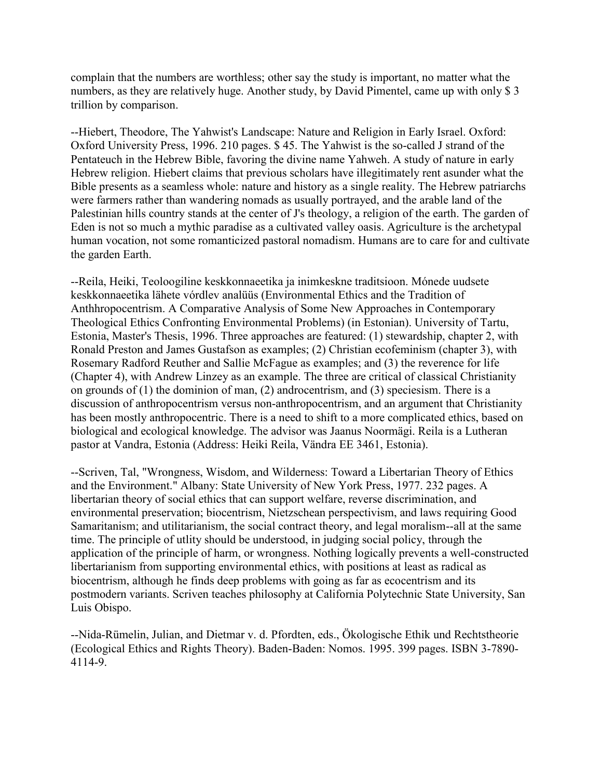complain that the numbers are worthless; other say the study is important, no matter what the numbers, as they are relatively huge. Another study, by David Pimentel, came up with only \$ 3 trillion by comparison.

--Hiebert, Theodore, The Yahwist's Landscape: Nature and Religion in Early Israel. Oxford: Oxford University Press, 1996. 210 pages. \$ 45. The Yahwist is the so-called J strand of the Pentateuch in the Hebrew Bible, favoring the divine name Yahweh. A study of nature in early Hebrew religion. Hiebert claims that previous scholars have illegitimately rent asunder what the Bible presents as a seamless whole: nature and history as a single reality. The Hebrew patriarchs were farmers rather than wandering nomads as usually portrayed, and the arable land of the Palestinian hills country stands at the center of J's theology, a religion of the earth. The garden of Eden is not so much a mythic paradise as a cultivated valley oasis. Agriculture is the archetypal human vocation, not some romanticized pastoral nomadism. Humans are to care for and cultivate the garden Earth.

--Reila, Heiki, Teoloogiline keskkonnaeetika ja inimkeskne traditsioon. Mónede uudsete keskkonnaeetika lähete vórdlev analüüs (Environmental Ethics and the Tradition of Anthhropocentrism. A Comparative Analysis of Some New Approaches in Contemporary Theological Ethics Confronting Environmental Problems) (in Estonian). University of Tartu, Estonia, Master's Thesis, 1996. Three approaches are featured: (1) stewardship, chapter 2, with Ronald Preston and James Gustafson as examples; (2) Christian ecofeminism (chapter 3), with Rosemary Radford Reuther and Sallie McFague as examples; and (3) the reverence for life (Chapter 4), with Andrew Linzey as an example. The three are critical of classical Christianity on grounds of (1) the dominion of man, (2) androcentrism, and (3) speciesism. There is a discussion of anthropocentrism versus non-anthropocentrism, and an argument that Christianity has been mostly anthropocentric. There is a need to shift to a more complicated ethics, based on biological and ecological knowledge. The advisor was Jaanus Noormägi. Reila is a Lutheran pastor at Vandra, Estonia (Address: Heiki Reila, Vändra EE 3461, Estonia).

--Scriven, Tal, "Wrongness, Wisdom, and Wilderness: Toward a Libertarian Theory of Ethics and the Environment." Albany: State University of New York Press, 1977. 232 pages. A libertarian theory of social ethics that can support welfare, reverse discrimination, and environmental preservation; biocentrism, Nietzschean perspectivism, and laws requiring Good Samaritanism; and utilitarianism, the social contract theory, and legal moralism--all at the same time. The principle of utlity should be understood, in judging social policy, through the application of the principle of harm, or wrongness. Nothing logically prevents a well-constructed libertarianism from supporting environmental ethics, with positions at least as radical as biocentrism, although he finds deep problems with going as far as ecocentrism and its postmodern variants. Scriven teaches philosophy at California Polytechnic State University, San Luis Obispo.

--Nida-Rümelin, Julian, and Dietmar v. d. Pfordten, eds., Ökologische Ethik und Rechtstheorie (Ecological Ethics and Rights Theory). Baden-Baden: Nomos. 1995. 399 pages. ISBN 3-7890- 4114-9.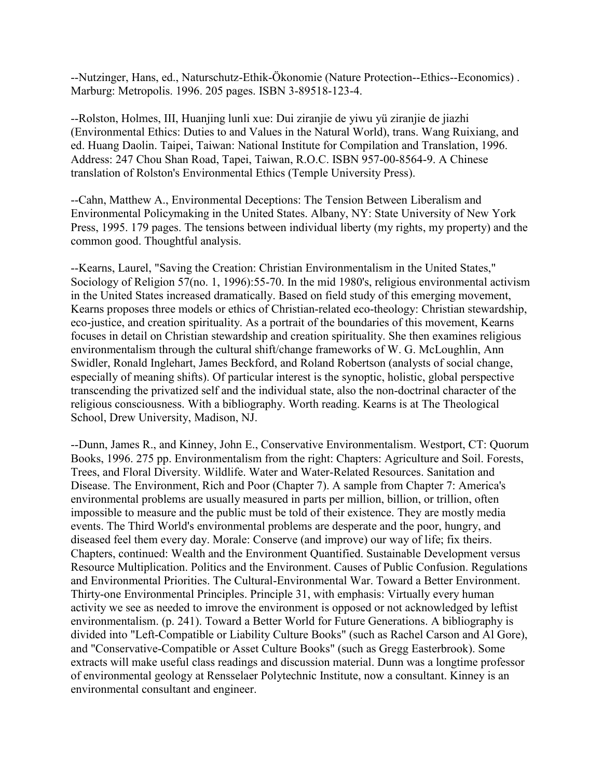--Nutzinger, Hans, ed., Naturschutz-Ethik-Ökonomie (Nature Protection--Ethics--Economics) . Marburg: Metropolis. 1996. 205 pages. ISBN 3-89518-123-4.

--Rolston, Holmes, III, Huanjing lunli xue: Dui ziranjie de yiwu yü ziranjie de jiazhi (Environmental Ethics: Duties to and Values in the Natural World), trans. Wang Ruixiang, and ed. Huang Daolin. Taipei, Taiwan: National Institute for Compilation and Translation, 1996. Address: 247 Chou Shan Road, Tapei, Taiwan, R.O.C. ISBN 957-00-8564-9. A Chinese translation of Rolston's Environmental Ethics (Temple University Press).

--Cahn, Matthew A., Environmental Deceptions: The Tension Between Liberalism and Environmental Policymaking in the United States. Albany, NY: State University of New York Press, 1995. 179 pages. The tensions between individual liberty (my rights, my property) and the common good. Thoughtful analysis.

--Kearns, Laurel, "Saving the Creation: Christian Environmentalism in the United States," Sociology of Religion 57(no. 1, 1996):55-70. In the mid 1980's, religious environmental activism in the United States increased dramatically. Based on field study of this emerging movement, Kearns proposes three models or ethics of Christian-related eco-theology: Christian stewardship, eco-justice, and creation spirituality. As a portrait of the boundaries of this movement, Kearns focuses in detail on Christian stewardship and creation spirituality. She then examines religious environmentalism through the cultural shift/change frameworks of W. G. McLoughlin, Ann Swidler, Ronald Inglehart, James Beckford, and Roland Robertson (analysts of social change, especially of meaning shifts). Of particular interest is the synoptic, holistic, global perspective transcending the privatized self and the individual state, also the non-doctrinal character of the religious consciousness. With a bibliography. Worth reading. Kearns is at The Theological School, Drew University, Madison, NJ.

--Dunn, James R., and Kinney, John E., Conservative Environmentalism. Westport, CT: Quorum Books, 1996. 275 pp. Environmentalism from the right: Chapters: Agriculture and Soil. Forests, Trees, and Floral Diversity. Wildlife. Water and Water-Related Resources. Sanitation and Disease. The Environment, Rich and Poor (Chapter 7). A sample from Chapter 7: America's environmental problems are usually measured in parts per million, billion, or trillion, often impossible to measure and the public must be told of their existence. They are mostly media events. The Third World's environmental problems are desperate and the poor, hungry, and diseased feel them every day. Morale: Conserve (and improve) our way of life; fix theirs. Chapters, continued: Wealth and the Environment Quantified. Sustainable Development versus Resource Multiplication. Politics and the Environment. Causes of Public Confusion. Regulations and Environmental Priorities. The Cultural-Environmental War. Toward a Better Environment. Thirty-one Environmental Principles. Principle 31, with emphasis: Virtually every human activity we see as needed to imrove the environment is opposed or not acknowledged by leftist environmentalism. (p. 241). Toward a Better World for Future Generations. A bibliography is divided into "Left-Compatible or Liability Culture Books" (such as Rachel Carson and Al Gore), and "Conservative-Compatible or Asset Culture Books" (such as Gregg Easterbrook). Some extracts will make useful class readings and discussion material. Dunn was a longtime professor of environmental geology at Rensselaer Polytechnic Institute, now a consultant. Kinney is an environmental consultant and engineer.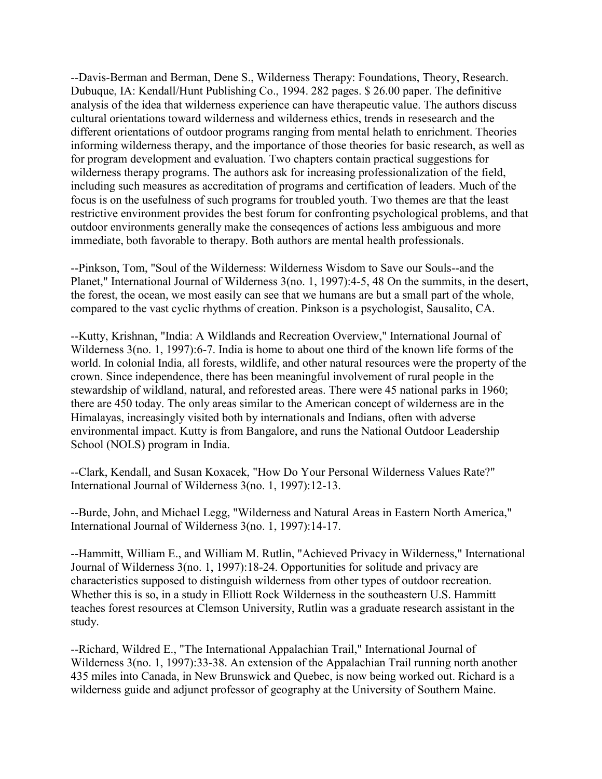--Davis-Berman and Berman, Dene S., Wilderness Therapy: Foundations, Theory, Research. Dubuque, IA: Kendall/Hunt Publishing Co., 1994. 282 pages. \$ 26.00 paper. The definitive analysis of the idea that wilderness experience can have therapeutic value. The authors discuss cultural orientations toward wilderness and wilderness ethics, trends in resesearch and the different orientations of outdoor programs ranging from mental helath to enrichment. Theories informing wilderness therapy, and the importance of those theories for basic research, as well as for program development and evaluation. Two chapters contain practical suggestions for wilderness therapy programs. The authors ask for increasing professionalization of the field, including such measures as accreditation of programs and certification of leaders. Much of the focus is on the usefulness of such programs for troubled youth. Two themes are that the least restrictive environment provides the best forum for confronting psychological problems, and that outdoor environments generally make the conseqences of actions less ambiguous and more immediate, both favorable to therapy. Both authors are mental health professionals.

--Pinkson, Tom, "Soul of the Wilderness: Wilderness Wisdom to Save our Souls--and the Planet," International Journal of Wilderness 3(no. 1, 1997):4-5, 48 On the summits, in the desert, the forest, the ocean, we most easily can see that we humans are but a small part of the whole, compared to the vast cyclic rhythms of creation. Pinkson is a psychologist, Sausalito, CA.

--Kutty, Krishnan, "India: A Wildlands and Recreation Overview," International Journal of Wilderness 3(no. 1, 1997):6-7. India is home to about one third of the known life forms of the world. In colonial India, all forests, wildlife, and other natural resources were the property of the crown. Since independence, there has been meaningful involvement of rural people in the stewardship of wildland, natural, and reforested areas. There were 45 national parks in 1960; there are 450 today. The only areas similar to the American concept of wilderness are in the Himalayas, increasingly visited both by internationals and Indians, often with adverse environmental impact. Kutty is from Bangalore, and runs the National Outdoor Leadership School (NOLS) program in India.

--Clark, Kendall, and Susan Koxacek, "How Do Your Personal Wilderness Values Rate?" International Journal of Wilderness 3(no. 1, 1997):12-13.

--Burde, John, and Michael Legg, "Wilderness and Natural Areas in Eastern North America," International Journal of Wilderness 3(no. 1, 1997):14-17.

--Hammitt, William E., and William M. Rutlin, "Achieved Privacy in Wilderness," International Journal of Wilderness 3(no. 1, 1997):18-24. Opportunities for solitude and privacy are characteristics supposed to distinguish wilderness from other types of outdoor recreation. Whether this is so, in a study in Elliott Rock Wilderness in the southeastern U.S. Hammitt teaches forest resources at Clemson University, Rutlin was a graduate research assistant in the study.

--Richard, Wildred E., "The International Appalachian Trail," International Journal of Wilderness 3(no. 1, 1997):33-38. An extension of the Appalachian Trail running north another 435 miles into Canada, in New Brunswick and Quebec, is now being worked out. Richard is a wilderness guide and adjunct professor of geography at the University of Southern Maine.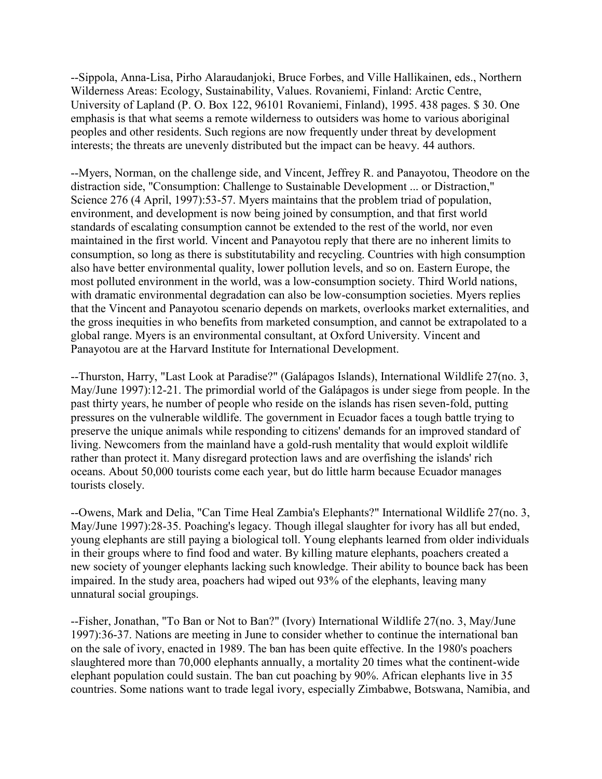--Sippola, Anna-Lisa, Pirho Alaraudanjoki, Bruce Forbes, and Ville Hallikainen, eds., Northern Wilderness Areas: Ecology, Sustainability, Values. Rovaniemi, Finland: Arctic Centre, University of Lapland (P. O. Box 122, 96101 Rovaniemi, Finland), 1995. 438 pages. \$ 30. One emphasis is that what seems a remote wilderness to outsiders was home to various aboriginal peoples and other residents. Such regions are now frequently under threat by development interests; the threats are unevenly distributed but the impact can be heavy. 44 authors.

--Myers, Norman, on the challenge side, and Vincent, Jeffrey R. and Panayotou, Theodore on the distraction side, "Consumption: Challenge to Sustainable Development ... or Distraction," Science 276 (4 April, 1997): 53-57. Myers maintains that the problem triad of population, environment, and development is now being joined by consumption, and that first world standards of escalating consumption cannot be extended to the rest of the world, nor even maintained in the first world. Vincent and Panayotou reply that there are no inherent limits to consumption, so long as there is substitutability and recycling. Countries with high consumption also have better environmental quality, lower pollution levels, and so on. Eastern Europe, the most polluted environment in the world, was a low-consumption society. Third World nations, with dramatic environmental degradation can also be low-consumption societies. Myers replies that the Vincent and Panayotou scenario depends on markets, overlooks market externalities, and the gross inequities in who benefits from marketed consumption, and cannot be extrapolated to a global range. Myers is an environmental consultant, at Oxford University. Vincent and Panayotou are at the Harvard Institute for International Development.

--Thurston, Harry, "Last Look at Paradise?" (Galápagos Islands), International Wildlife 27(no. 3, May/June 1997):12-21. The primordial world of the Galápagos is under siege from people. In the past thirty years, he number of people who reside on the islands has risen seven-fold, putting pressures on the vulnerable wildlife. The government in Ecuador faces a tough battle trying to preserve the unique animals while responding to citizens' demands for an improved standard of living. Newcomers from the mainland have a gold-rush mentality that would exploit wildlife rather than protect it. Many disregard protection laws and are overfishing the islands' rich oceans. About 50,000 tourists come each year, but do little harm because Ecuador manages tourists closely.

--Owens, Mark and Delia, "Can Time Heal Zambia's Elephants?" International Wildlife 27(no. 3, May/June 1997):28-35. Poaching's legacy. Though illegal slaughter for ivory has all but ended, young elephants are still paying a biological toll. Young elephants learned from older individuals in their groups where to find food and water. By killing mature elephants, poachers created a new society of younger elephants lacking such knowledge. Their ability to bounce back has been impaired. In the study area, poachers had wiped out 93% of the elephants, leaving many unnatural social groupings.

--Fisher, Jonathan, "To Ban or Not to Ban?" (Ivory) International Wildlife 27(no. 3, May/June 1997):36-37. Nations are meeting in June to consider whether to continue the international ban on the sale of ivory, enacted in 1989. The ban has been quite effective. In the 1980's poachers slaughtered more than 70,000 elephants annually, a mortality 20 times what the continent-wide elephant population could sustain. The ban cut poaching by 90%. African elephants live in 35 countries. Some nations want to trade legal ivory, especially Zimbabwe, Botswana, Namibia, and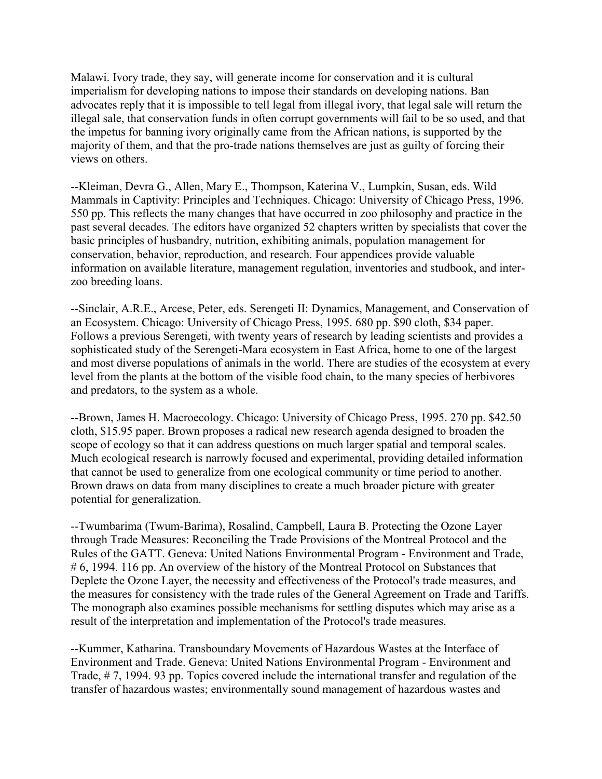Malawi. Ivory trade, they say, will generate income for conservation and it is cultural imperialism for developing nations to impose their standards on developing nations. Ban advocates reply that it is impossible to tell legal from illegal ivory, that legal sale will return the illegal sale, that conservation funds in often corrupt governments will fail to be so used, and that the impetus for banning ivory originally came from the African nations, is supported by the majority of them, and that the pro-trade nations themselves are just as guilty of forcing their views on others.

--Kleiman, Devra G., Allen, Mary E., Thompson, Katerina V., Lumpkin, Susan, eds. Wild Mammals in Captivity: Principles and Techniques. Chicago: University of Chicago Press, 1996. 550 pp. This reflects the many changes that have occurred in zoo philosophy and practice in the past several decades. The editors have organized 52 chapters written by specialists that cover the basic principles of husbandry, nutrition, exhibiting animals, population management for conservation, behavior, reproduction, and research. Four appendices provide valuable information on available literature, management regulation, inventories and studbook, and interzoo breeding loans.

--Sinclair, A.R.E., Arcese, Peter, eds. Serengeti II: Dynamics, Management, and Conservation of an Ecosystem. Chicago: University of Chicago Press, 1995. 680 pp. \$90 cloth, \$34 paper. Follows a previous Serengeti, with twenty years of research by leading scientists and provides a sophisticated study of the Serengeti-Mara ecosystem in East Africa, home to one of the largest and most diverse populations of animals in the world. There are studies of the ecosystem at every level from the plants at the bottom of the visible food chain, to the many species of herbivores and predators, to the system as a whole.

--Brown, James H. Macroecology. Chicago: University of Chicago Press, 1995. 270 pp. \$42.50 cloth, \$15.95 paper. Brown proposes a radical new research agenda designed to broaden the scope of ecology so that it can address questions on much larger spatial and temporal scales. Much ecological research is narrowly focused and experimental, providing detailed information that cannot be used to generalize from one ecological community or time period to another. Brown draws on data from many disciplines to create a much broader picture with greater potential for generalization.

--Twumbarima (Twum-Barima), Rosalind, Campbell, Laura B. Protecting the Ozone Layer through Trade Measures: Reconciling the Trade Provisions of the Montreal Protocol and the Rules of the GATT. Geneva: United Nations Environmental Program - Environment and Trade, # 6, 1994. 116 pp. An overview of the history of the Montreal Protocol on Substances that Deplete the Ozone Layer, the necessity and effectiveness of the Protocol's trade measures, and the measures for consistency with the trade rules of the General Agreement on Trade and Tariffs. The monograph also examines possible mechanisms for settling disputes which may arise as a result of the interpretation and implementation of the Protocol's trade measures.

--Kummer, Katharina. Transboundary Movements of Hazardous Wastes at the Interface of Environment and Trade. Geneva: United Nations Environmental Program - Environment and Trade, # 7, 1994. 93 pp. Topics covered include the international transfer and regulation of the transfer of hazardous wastes; environmentally sound management of hazardous wastes and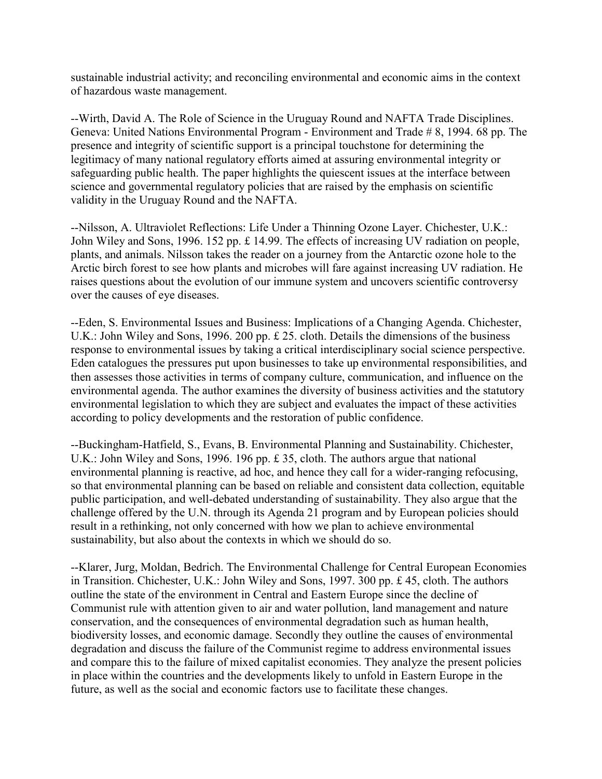sustainable industrial activity; and reconciling environmental and economic aims in the context of hazardous waste management.

--Wirth, David A. The Role of Science in the Uruguay Round and NAFTA Trade Disciplines. Geneva: United Nations Environmental Program - Environment and Trade # 8, 1994. 68 pp. The presence and integrity of scientific support is a principal touchstone for determining the legitimacy of many national regulatory efforts aimed at assuring environmental integrity or safeguarding public health. The paper highlights the quiescent issues at the interface between science and governmental regulatory policies that are raised by the emphasis on scientific validity in the Uruguay Round and the NAFTA.

--Nilsson, A. Ultraviolet Reflections: Life Under a Thinning Ozone Layer. Chichester, U.K.: John Wiley and Sons, 1996. 152 pp. £ 14.99. The effects of increasing UV radiation on people, plants, and animals. Nilsson takes the reader on a journey from the Antarctic ozone hole to the Arctic birch forest to see how plants and microbes will fare against increasing UV radiation. He raises questions about the evolution of our immune system and uncovers scientific controversy over the causes of eye diseases.

--Eden, S. Environmental Issues and Business: Implications of a Changing Agenda. Chichester, U.K.: John Wiley and Sons, 1996. 200 pp. £ 25. cloth. Details the dimensions of the business response to environmental issues by taking a critical interdisciplinary social science perspective. Eden catalogues the pressures put upon businesses to take up environmental responsibilities, and then assesses those activities in terms of company culture, communication, and influence on the environmental agenda. The author examines the diversity of business activities and the statutory environmental legislation to which they are subject and evaluates the impact of these activities according to policy developments and the restoration of public confidence.

--Buckingham-Hatfield, S., Evans, B. Environmental Planning and Sustainability. Chichester, U.K.: John Wiley and Sons, 1996. 196 pp. £ 35, cloth. The authors argue that national environmental planning is reactive, ad hoc, and hence they call for a wider-ranging refocusing, so that environmental planning can be based on reliable and consistent data collection, equitable public participation, and well-debated understanding of sustainability. They also argue that the challenge offered by the U.N. through its Agenda 21 program and by European policies should result in a rethinking, not only concerned with how we plan to achieve environmental sustainability, but also about the contexts in which we should do so.

--Klarer, Jurg, Moldan, Bedrich. The Environmental Challenge for Central European Economies in Transition. Chichester, U.K.: John Wiley and Sons, 1997. 300 pp. £ 45, cloth. The authors outline the state of the environment in Central and Eastern Europe since the decline of Communist rule with attention given to air and water pollution, land management and nature conservation, and the consequences of environmental degradation such as human health, biodiversity losses, and economic damage. Secondly they outline the causes of environmental degradation and discuss the failure of the Communist regime to address environmental issues and compare this to the failure of mixed capitalist economies. They analyze the present policies in place within the countries and the developments likely to unfold in Eastern Europe in the future, as well as the social and economic factors use to facilitate these changes.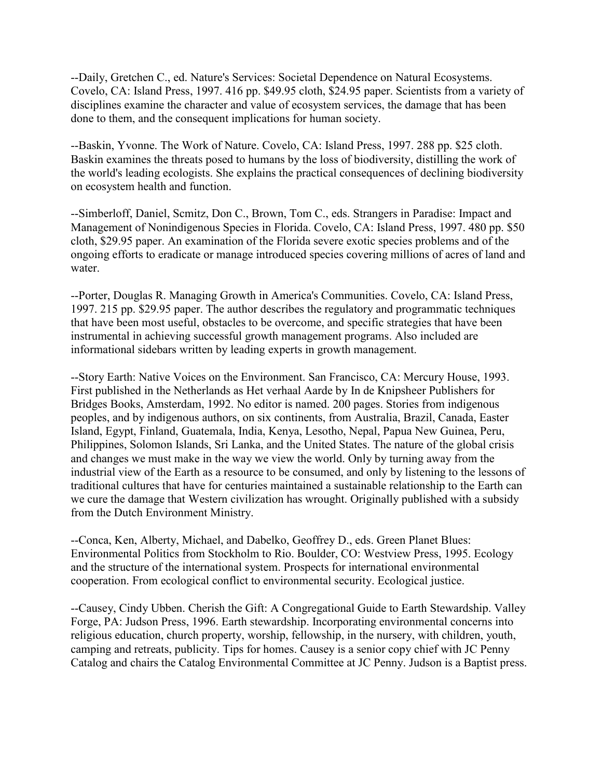--Daily, Gretchen C., ed. Nature's Services: Societal Dependence on Natural Ecosystems. Covelo, CA: Island Press, 1997. 416 pp. \$49.95 cloth, \$24.95 paper. Scientists from a variety of disciplines examine the character and value of ecosystem services, the damage that has been done to them, and the consequent implications for human society.

--Baskin, Yvonne. The Work of Nature. Covelo, CA: Island Press, 1997. 288 pp. \$25 cloth. Baskin examines the threats posed to humans by the loss of biodiversity, distilling the work of the world's leading ecologists. She explains the practical consequences of declining biodiversity on ecosystem health and function.

--Simberloff, Daniel, Scmitz, Don C., Brown, Tom C., eds. Strangers in Paradise: Impact and Management of Nonindigenous Species in Florida. Covelo, CA: Island Press, 1997. 480 pp. \$50 cloth, \$29.95 paper. An examination of the Florida severe exotic species problems and of the ongoing efforts to eradicate or manage introduced species covering millions of acres of land and water.

--Porter, Douglas R. Managing Growth in America's Communities. Covelo, CA: Island Press, 1997. 215 pp. \$29.95 paper. The author describes the regulatory and programmatic techniques that have been most useful, obstacles to be overcome, and specific strategies that have been instrumental in achieving successful growth management programs. Also included are informational sidebars written by leading experts in growth management.

--Story Earth: Native Voices on the Environment. San Francisco, CA: Mercury House, 1993. First published in the Netherlands as Het verhaal Aarde by In de Knipsheer Publishers for Bridges Books, Amsterdam, 1992. No editor is named. 200 pages. Stories from indigenous peoples, and by indigenous authors, on six continents, from Australia, Brazil, Canada, Easter Island, Egypt, Finland, Guatemala, India, Kenya, Lesotho, Nepal, Papua New Guinea, Peru, Philippines, Solomon Islands, Sri Lanka, and the United States. The nature of the global crisis and changes we must make in the way we view the world. Only by turning away from the industrial view of the Earth as a resource to be consumed, and only by listening to the lessons of traditional cultures that have for centuries maintained a sustainable relationship to the Earth can we cure the damage that Western civilization has wrought. Originally published with a subsidy from the Dutch Environment Ministry.

--Conca, Ken, Alberty, Michael, and Dabelko, Geoffrey D., eds. Green Planet Blues: Environmental Politics from Stockholm to Rio. Boulder, CO: Westview Press, 1995. Ecology and the structure of the international system. Prospects for international environmental cooperation. From ecological conflict to environmental security. Ecological justice.

--Causey, Cindy Ubben. Cherish the Gift: A Congregational Guide to Earth Stewardship. Valley Forge, PA: Judson Press, 1996. Earth stewardship. Incorporating environmental concerns into religious education, church property, worship, fellowship, in the nursery, with children, youth, camping and retreats, publicity. Tips for homes. Causey is a senior copy chief with JC Penny Catalog and chairs the Catalog Environmental Committee at JC Penny. Judson is a Baptist press.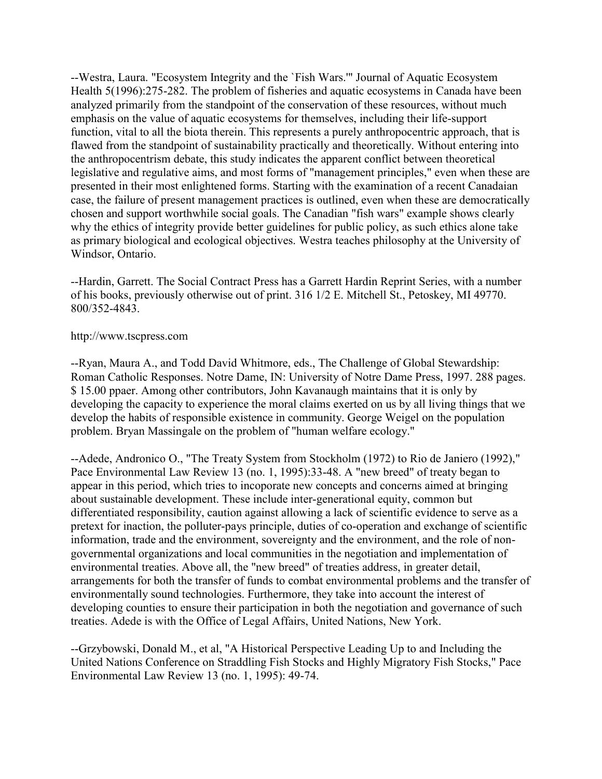--Westra, Laura. "Ecosystem Integrity and the `Fish Wars.'" Journal of Aquatic Ecosystem Health 5(1996):275-282. The problem of fisheries and aquatic ecosystems in Canada have been analyzed primarily from the standpoint of the conservation of these resources, without much emphasis on the value of aquatic ecosystems for themselves, including their life-support function, vital to all the biota therein. This represents a purely anthropocentric approach, that is flawed from the standpoint of sustainability practically and theoretically. Without entering into the anthropocentrism debate, this study indicates the apparent conflict between theoretical legislative and regulative aims, and most forms of "management principles," even when these are presented in their most enlightened forms. Starting with the examination of a recent Canadaian case, the failure of present management practices is outlined, even when these are democratically chosen and support worthwhile social goals. The Canadian "fish wars" example shows clearly why the ethics of integrity provide better guidelines for public policy, as such ethics alone take as primary biological and ecological objectives. Westra teaches philosophy at the University of Windsor, Ontario.

--Hardin, Garrett. The Social Contract Press has a Garrett Hardin Reprint Series, with a number of his books, previously otherwise out of print. 316 1/2 E. Mitchell St., Petoskey, MI 49770. 800/352-4843.

#### http://www.tscpress.com

--Ryan, Maura A., and Todd David Whitmore, eds., The Challenge of Global Stewardship: Roman Catholic Responses. Notre Dame, IN: University of Notre Dame Press, 1997. 288 pages. \$ 15.00 ppaer. Among other contributors, John Kavanaugh maintains that it is only by developing the capacity to experience the moral claims exerted on us by all living things that we develop the habits of responsible existence in community. George Weigel on the population problem. Bryan Massingale on the problem of "human welfare ecology."

--Adede, Andronico O., "The Treaty System from Stockholm (1972) to Rio de Janiero (1992)," Pace Environmental Law Review 13 (no. 1, 1995):33-48. A "new breed" of treaty began to appear in this period, which tries to incoporate new concepts and concerns aimed at bringing about sustainable development. These include inter-generational equity, common but differentiated responsibility, caution against allowing a lack of scientific evidence to serve as a pretext for inaction, the polluter-pays principle, duties of co-operation and exchange of scientific information, trade and the environment, sovereignty and the environment, and the role of nongovernmental organizations and local communities in the negotiation and implementation of environmental treaties. Above all, the "new breed" of treaties address, in greater detail, arrangements for both the transfer of funds to combat environmental problems and the transfer of environmentally sound technologies. Furthermore, they take into account the interest of developing counties to ensure their participation in both the negotiation and governance of such treaties. Adede is with the Office of Legal Affairs, United Nations, New York.

--Grzybowski, Donald M., et al, "A Historical Perspective Leading Up to and Including the United Nations Conference on Straddling Fish Stocks and Highly Migratory Fish Stocks," Pace Environmental Law Review 13 (no. 1, 1995): 49-74.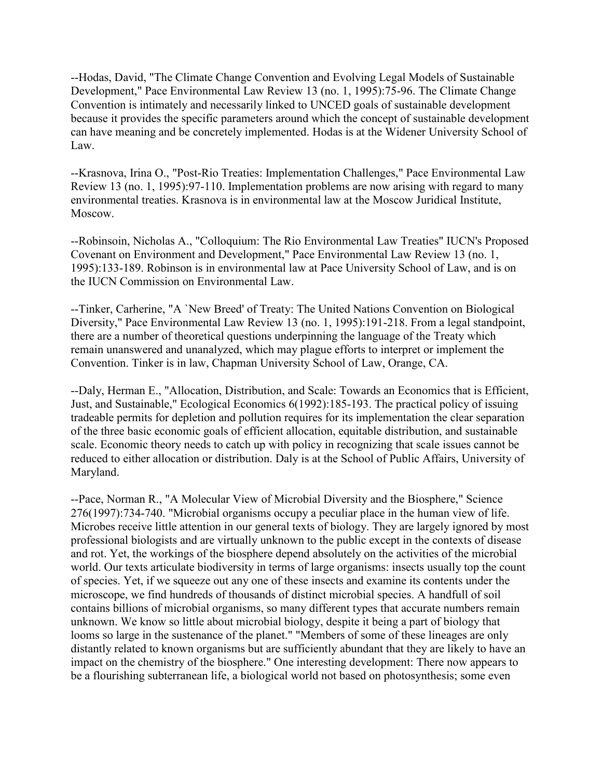--Hodas, David, "The Climate Change Convention and Evolving Legal Models of Sustainable Development," Pace Environmental Law Review 13 (no. 1, 1995):75-96. The Climate Change Convention is intimately and necessarily linked to UNCED goals of sustainable development because it provides the specific parameters around which the concept of sustainable development can have meaning and be concretely implemented. Hodas is at the Widener University School of Law.

--Krasnova, Irina O., "Post-Rio Treaties: Implementation Challenges," Pace Environmental Law Review 13 (no. 1, 1995):97-110. Implementation problems are now arising with regard to many environmental treaties. Krasnova is in environmental law at the Moscow Juridical Institute, Moscow.

--Robinsoin, Nicholas A., "Colloquium: The Rio Environmental Law Treaties" IUCN's Proposed Covenant on Environment and Development," Pace Environmental Law Review 13 (no. 1, 1995):133-189. Robinson is in environmental law at Pace University School of Law, and is on the IUCN Commission on Environmental Law.

--Tinker, Carherine, "A `New Breed' of Treaty: The United Nations Convention on Biological Diversity," Pace Environmental Law Review 13 (no. 1, 1995):191-218. From a legal standpoint, there are a number of theoretical questions underpinning the language of the Treaty which remain unanswered and unanalyzed, which may plague efforts to interpret or implement the Convention. Tinker is in law, Chapman University School of Law, Orange, CA.

--Daly, Herman E., "Allocation, Distribution, and Scale: Towards an Economics that is Efficient, Just, and Sustainable," Ecological Economics 6(1992):185-193. The practical policy of issuing tradeable permits for depletion and pollution requires for its implementation the clear separation of the three basic economic goals of efficient allocation, equitable distribution, and sustainable scale. Economic theory needs to catch up with policy in recognizing that scale issues cannot be reduced to either allocation or distribution. Daly is at the School of Public Affairs, University of Maryland.

--Pace, Norman R., "A Molecular View of Microbial Diversity and the Biosphere," Science 276(1997):734-740. "Microbial organisms occupy a peculiar place in the human view of life. Microbes receive little attention in our general texts of biology. They are largely ignored by most professional biologists and are virtually unknown to the public except in the contexts of disease and rot. Yet, the workings of the biosphere depend absolutely on the activities of the microbial world. Our texts articulate biodiversity in terms of large organisms: insects usually top the count of species. Yet, if we squeeze out any one of these insects and examine its contents under the microscope, we find hundreds of thousands of distinct microbial species. A handfull of soil contains billions of microbial organisms, so many different types that accurate numbers remain unknown. We know so little about microbial biology, despite it being a part of biology that looms so large in the sustenance of the planet." "Members of some of these lineages are only distantly related to known organisms but are sufficiently abundant that they are likely to have an impact on the chemistry of the biosphere." One interesting development: There now appears to be a flourishing subterranean life, a biological world not based on photosynthesis; some even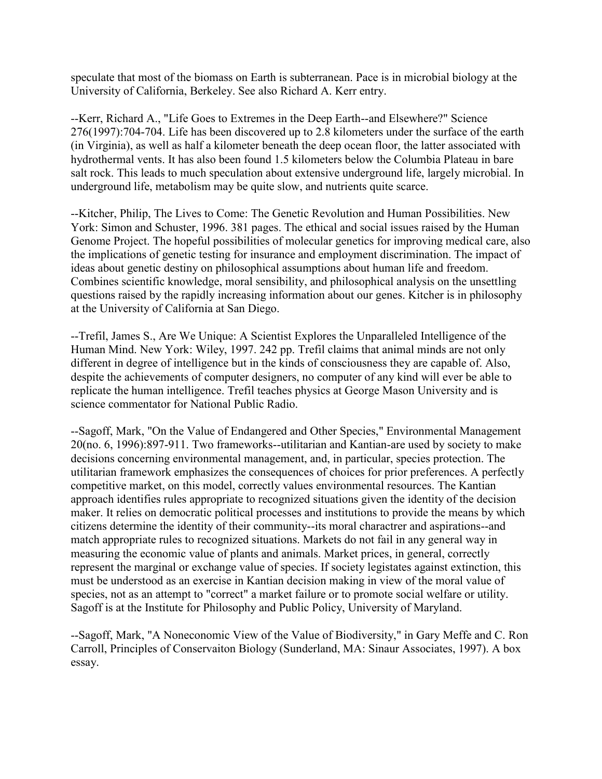speculate that most of the biomass on Earth is subterranean. Pace is in microbial biology at the University of California, Berkeley. See also Richard A. Kerr entry.

--Kerr, Richard A., "Life Goes to Extremes in the Deep Earth--and Elsewhere?" Science 276(1997):704-704. Life has been discovered up to 2.8 kilometers under the surface of the earth (in Virginia), as well as half a kilometer beneath the deep ocean floor, the latter associated with hydrothermal vents. It has also been found 1.5 kilometers below the Columbia Plateau in bare salt rock. This leads to much speculation about extensive underground life, largely microbial. In underground life, metabolism may be quite slow, and nutrients quite scarce.

--Kitcher, Philip, The Lives to Come: The Genetic Revolution and Human Possibilities. New York: Simon and Schuster, 1996. 381 pages. The ethical and social issues raised by the Human Genome Project. The hopeful possibilities of molecular genetics for improving medical care, also the implications of genetic testing for insurance and employment discrimination. The impact of ideas about genetic destiny on philosophical assumptions about human life and freedom. Combines scientific knowledge, moral sensibility, and philosophical analysis on the unsettling questions raised by the rapidly increasing information about our genes. Kitcher is in philosophy at the University of California at San Diego.

--Trefil, James S., Are We Unique: A Scientist Explores the Unparalleled Intelligence of the Human Mind. New York: Wiley, 1997. 242 pp. Trefil claims that animal minds are not only different in degree of intelligence but in the kinds of consciousness they are capable of. Also, despite the achievements of computer designers, no computer of any kind will ever be able to replicate the human intelligence. Trefil teaches physics at George Mason University and is science commentator for National Public Radio.

--Sagoff, Mark, "On the Value of Endangered and Other Species," Environmental Management 20(no. 6, 1996):897-911. Two frameworks--utilitarian and Kantian-are used by society to make decisions concerning environmental management, and, in particular, species protection. The utilitarian framework emphasizes the consequences of choices for prior preferences. A perfectly competitive market, on this model, correctly values environmental resources. The Kantian approach identifies rules appropriate to recognized situations given the identity of the decision maker. It relies on democratic political processes and institutions to provide the means by which citizens determine the identity of their community--its moral charactrer and aspirations--and match appropriate rules to recognized situations. Markets do not fail in any general way in measuring the economic value of plants and animals. Market prices, in general, correctly represent the marginal or exchange value of species. If society legistates against extinction, this must be understood as an exercise in Kantian decision making in view of the moral value of species, not as an attempt to "correct" a market failure or to promote social welfare or utility. Sagoff is at the Institute for Philosophy and Public Policy, University of Maryland.

--Sagoff, Mark, "A Noneconomic View of the Value of Biodiversity," in Gary Meffe and C. Ron Carroll, Principles of Conservaiton Biology (Sunderland, MA: Sinaur Associates, 1997). A box essay.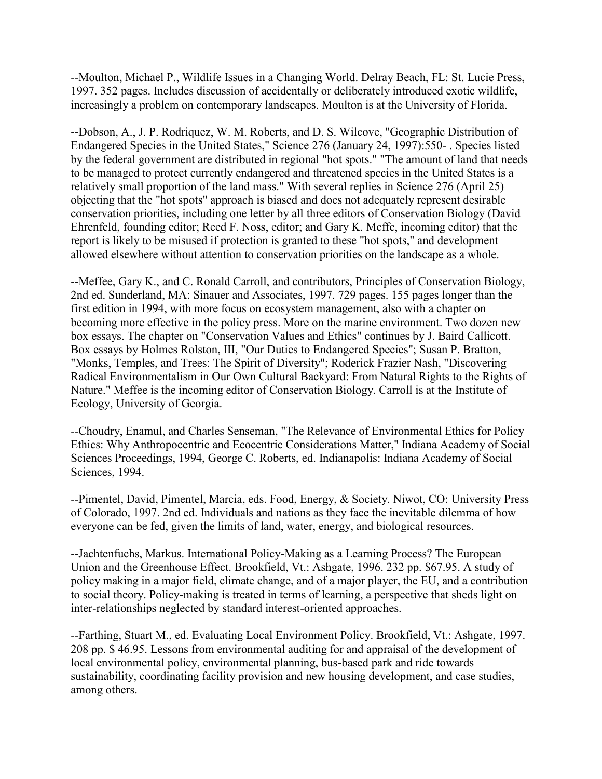--Moulton, Michael P., Wildlife Issues in a Changing World. Delray Beach, FL: St. Lucie Press, 1997. 352 pages. Includes discussion of accidentally or deliberately introduced exotic wildlife, increasingly a problem on contemporary landscapes. Moulton is at the University of Florida.

--Dobson, A., J. P. Rodriquez, W. M. Roberts, and D. S. Wilcove, "Geographic Distribution of Endangered Species in the United States," Science 276 (January 24, 1997):550- . Species listed by the federal government are distributed in regional "hot spots." "The amount of land that needs to be managed to protect currently endangered and threatened species in the United States is a relatively small proportion of the land mass." With several replies in Science 276 (April 25) objecting that the "hot spots" approach is biased and does not adequately represent desirable conservation priorities, including one letter by all three editors of Conservation Biology (David Ehrenfeld, founding editor; Reed F. Noss, editor; and Gary K. Meffe, incoming editor) that the report is likely to be misused if protection is granted to these "hot spots," and development allowed elsewhere without attention to conservation priorities on the landscape as a whole.

--Meffee, Gary K., and C. Ronald Carroll, and contributors, Principles of Conservation Biology, 2nd ed. Sunderland, MA: Sinauer and Associates, 1997. 729 pages. 155 pages longer than the first edition in 1994, with more focus on ecosystem management, also with a chapter on becoming more effective in the policy press. More on the marine environment. Two dozen new box essays. The chapter on "Conservation Values and Ethics" continues by J. Baird Callicott. Box essays by Holmes Rolston, III, "Our Duties to Endangered Species"; Susan P. Bratton, "Monks, Temples, and Trees: The Spirit of Diversity"; Roderick Frazier Nash, "Discovering Radical Environmentalism in Our Own Cultural Backyard: From Natural Rights to the Rights of Nature." Meffee is the incoming editor of Conservation Biology. Carroll is at the Institute of Ecology, University of Georgia.

--Choudry, Enamul, and Charles Senseman, "The Relevance of Environmental Ethics for Policy Ethics: Why Anthropocentric and Ecocentric Considerations Matter," Indiana Academy of Social Sciences Proceedings, 1994, George C. Roberts, ed. Indianapolis: Indiana Academy of Social Sciences, 1994.

--Pimentel, David, Pimentel, Marcia, eds. Food, Energy, & Society. Niwot, CO: University Press of Colorado, 1997. 2nd ed. Individuals and nations as they face the inevitable dilemma of how everyone can be fed, given the limits of land, water, energy, and biological resources.

--Jachtenfuchs, Markus. International Policy-Making as a Learning Process? The European Union and the Greenhouse Effect. Brookfield, Vt.: Ashgate, 1996. 232 pp. \$67.95. A study of policy making in a major field, climate change, and of a major player, the EU, and a contribution to social theory. Policy-making is treated in terms of learning, a perspective that sheds light on inter-relationships neglected by standard interest-oriented approaches.

--Farthing, Stuart M., ed. Evaluating Local Environment Policy. Brookfield, Vt.: Ashgate, 1997. 208 pp. \$ 46.95. Lessons from environmental auditing for and appraisal of the development of local environmental policy, environmental planning, bus-based park and ride towards sustainability, coordinating facility provision and new housing development, and case studies, among others.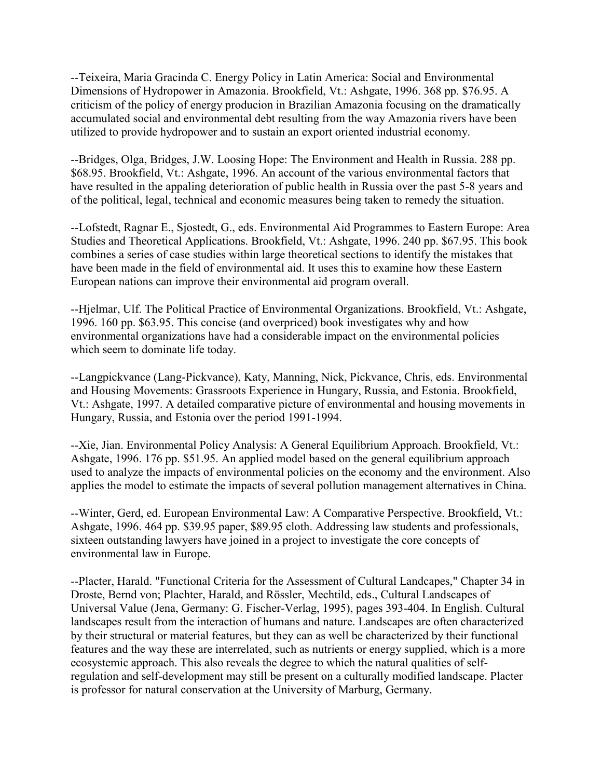--Teixeira, Maria Gracinda C. Energy Policy in Latin America: Social and Environmental Dimensions of Hydropower in Amazonia. Brookfield, Vt.: Ashgate, 1996. 368 pp. \$76.95. A criticism of the policy of energy producion in Brazilian Amazonia focusing on the dramatically accumulated social and environmental debt resulting from the way Amazonia rivers have been utilized to provide hydropower and to sustain an export oriented industrial economy.

--Bridges, Olga, Bridges, J.W. Loosing Hope: The Environment and Health in Russia. 288 pp. \$68.95. Brookfield, Vt.: Ashgate, 1996. An account of the various environmental factors that have resulted in the appaling deterioration of public health in Russia over the past 5-8 years and of the political, legal, technical and economic measures being taken to remedy the situation.

--Lofstedt, Ragnar E., Sjostedt, G., eds. Environmental Aid Programmes to Eastern Europe: Area Studies and Theoretical Applications. Brookfield, Vt.: Ashgate, 1996. 240 pp. \$67.95. This book combines a series of case studies within large theoretical sections to identify the mistakes that have been made in the field of environmental aid. It uses this to examine how these Eastern European nations can improve their environmental aid program overall.

--Hjelmar, Ulf. The Political Practice of Environmental Organizations. Brookfield, Vt.: Ashgate, 1996. 160 pp. \$63.95. This concise (and overpriced) book investigates why and how environmental organizations have had a considerable impact on the environmental policies which seem to dominate life today.

--Langpickvance (Lang-Pickvance), Katy, Manning, Nick, Pickvance, Chris, eds. Environmental and Housing Movements: Grassroots Experience in Hungary, Russia, and Estonia. Brookfield, Vt.: Ashgate, 1997. A detailed comparative picture of environmental and housing movements in Hungary, Russia, and Estonia over the period 1991-1994.

--Xie, Jian. Environmental Policy Analysis: A General Equilibrium Approach. Brookfield, Vt.: Ashgate, 1996. 176 pp. \$51.95. An applied model based on the general equilibrium approach used to analyze the impacts of environmental policies on the economy and the environment. Also applies the model to estimate the impacts of several pollution management alternatives in China.

--Winter, Gerd, ed. European Environmental Law: A Comparative Perspective. Brookfield, Vt.: Ashgate, 1996. 464 pp. \$39.95 paper, \$89.95 cloth. Addressing law students and professionals, sixteen outstanding lawyers have joined in a project to investigate the core concepts of environmental law in Europe.

--Placter, Harald. "Functional Criteria for the Assessment of Cultural Landcapes," Chapter 34 in Droste, Bernd von; Plachter, Harald, and Rössler, Mechtild, eds., Cultural Landscapes of Universal Value (Jena, Germany: G. Fischer-Verlag, 1995), pages 393-404. In English. Cultural landscapes result from the interaction of humans and nature. Landscapes are often characterized by their structural or material features, but they can as well be characterized by their functional features and the way these are interrelated, such as nutrients or energy supplied, which is a more ecosystemic approach. This also reveals the degree to which the natural qualities of selfregulation and self-development may still be present on a culturally modified landscape. Placter is professor for natural conservation at the University of Marburg, Germany.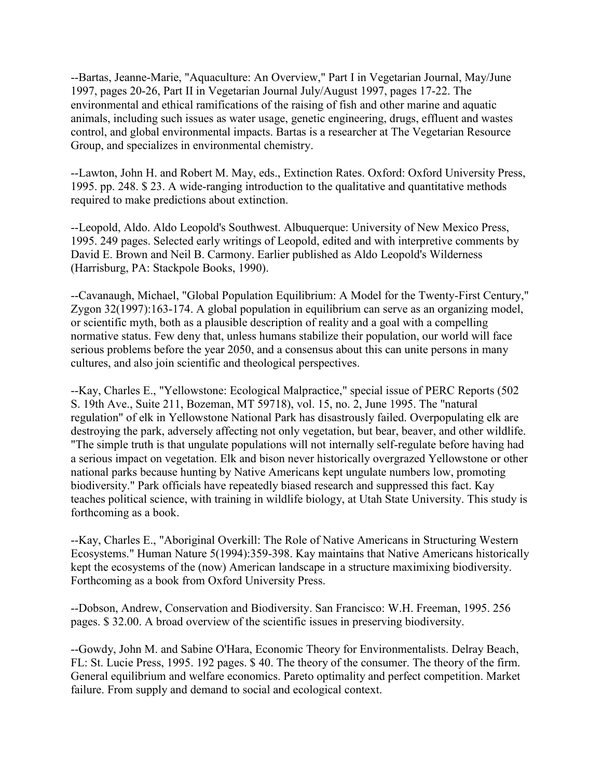--Bartas, Jeanne-Marie, "Aquaculture: An Overview," Part I in Vegetarian Journal, May/June 1997, pages 20-26, Part II in Vegetarian Journal July/August 1997, pages 17-22. The environmental and ethical ramifications of the raising of fish and other marine and aquatic animals, including such issues as water usage, genetic engineering, drugs, effluent and wastes control, and global environmental impacts. Bartas is a researcher at The Vegetarian Resource Group, and specializes in environmental chemistry.

--Lawton, John H. and Robert M. May, eds., Extinction Rates. Oxford: Oxford University Press, 1995. pp. 248. \$ 23. A wide-ranging introduction to the qualitative and quantitative methods required to make predictions about extinction.

--Leopold, Aldo. Aldo Leopold's Southwest. Albuquerque: University of New Mexico Press, 1995. 249 pages. Selected early writings of Leopold, edited and with interpretive comments by David E. Brown and Neil B. Carmony. Earlier published as Aldo Leopold's Wilderness (Harrisburg, PA: Stackpole Books, 1990).

--Cavanaugh, Michael, "Global Population Equilibrium: A Model for the Twenty-First Century," Zygon 32(1997):163-174. A global population in equilibrium can serve as an organizing model, or scientific myth, both as a plausible description of reality and a goal with a compelling normative status. Few deny that, unless humans stabilize their population, our world will face serious problems before the year 2050, and a consensus about this can unite persons in many cultures, and also join scientific and theological perspectives.

--Kay, Charles E., "Yellowstone: Ecological Malpractice," special issue of PERC Reports (502 S. 19th Ave., Suite 211, Bozeman, MT 59718), vol. 15, no. 2, June 1995. The "natural regulation" of elk in Yellowstone National Park has disastrously failed. Overpopulating elk are destroying the park, adversely affecting not only vegetation, but bear, beaver, and other wildlife. "The simple truth is that ungulate populations will not internally self-regulate before having had a serious impact on vegetation. Elk and bison never historically overgrazed Yellowstone or other national parks because hunting by Native Americans kept ungulate numbers low, promoting biodiversity." Park officials have repeatedly biased research and suppressed this fact. Kay teaches political science, with training in wildlife biology, at Utah State University. This study is forthcoming as a book.

--Kay, Charles E., "Aboriginal Overkill: The Role of Native Americans in Structuring Western Ecosystems." Human Nature 5(1994):359-398. Kay maintains that Native Americans historically kept the ecosystems of the (now) American landscape in a structure maximixing biodiversity. Forthcoming as a book from Oxford University Press.

--Dobson, Andrew, Conservation and Biodiversity. San Francisco: W.H. Freeman, 1995. 256 pages. \$ 32.00. A broad overview of the scientific issues in preserving biodiversity.

--Gowdy, John M. and Sabine O'Hara, Economic Theory for Environmentalists. Delray Beach, FL: St. Lucie Press, 1995. 192 pages. \$ 40. The theory of the consumer. The theory of the firm. General equilibrium and welfare economics. Pareto optimality and perfect competition. Market failure. From supply and demand to social and ecological context.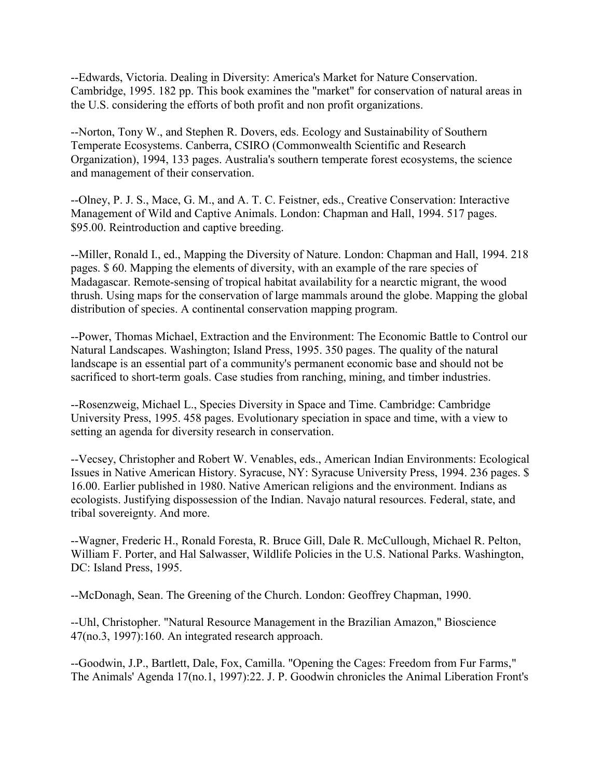--Edwards, Victoria. Dealing in Diversity: America's Market for Nature Conservation. Cambridge, 1995. 182 pp. This book examines the "market" for conservation of natural areas in the U.S. considering the efforts of both profit and non profit organizations.

--Norton, Tony W., and Stephen R. Dovers, eds. Ecology and Sustainability of Southern Temperate Ecosystems. Canberra, CSIRO (Commonwealth Scientific and Research Organization), 1994, 133 pages. Australia's southern temperate forest ecosystems, the science and management of their conservation.

--Olney, P. J. S., Mace, G. M., and A. T. C. Feistner, eds., Creative Conservation: Interactive Management of Wild and Captive Animals. London: Chapman and Hall, 1994. 517 pages. \$95.00. Reintroduction and captive breeding.

--Miller, Ronald I., ed., Mapping the Diversity of Nature. London: Chapman and Hall, 1994. 218 pages. \$ 60. Mapping the elements of diversity, with an example of the rare species of Madagascar. Remote-sensing of tropical habitat availability for a nearctic migrant, the wood thrush. Using maps for the conservation of large mammals around the globe. Mapping the global distribution of species. A continental conservation mapping program.

--Power, Thomas Michael, Extraction and the Environment: The Economic Battle to Control our Natural Landscapes. Washington; Island Press, 1995. 350 pages. The quality of the natural landscape is an essential part of a community's permanent economic base and should not be sacrificed to short-term goals. Case studies from ranching, mining, and timber industries.

--Rosenzweig, Michael L., Species Diversity in Space and Time. Cambridge: Cambridge University Press, 1995. 458 pages. Evolutionary speciation in space and time, with a view to setting an agenda for diversity research in conservation.

--Vecsey, Christopher and Robert W. Venables, eds., American Indian Environments: Ecological Issues in Native American History. Syracuse, NY: Syracuse University Press, 1994. 236 pages. \$ 16.00. Earlier published in 1980. Native American religions and the environment. Indians as ecologists. Justifying dispossession of the Indian. Navajo natural resources. Federal, state, and tribal sovereignty. And more.

--Wagner, Frederic H., Ronald Foresta, R. Bruce Gill, Dale R. McCullough, Michael R. Pelton, William F. Porter, and Hal Salwasser, Wildlife Policies in the U.S. National Parks. Washington, DC: Island Press, 1995.

--McDonagh, Sean. The Greening of the Church. London: Geoffrey Chapman, 1990.

--Uhl, Christopher. "Natural Resource Management in the Brazilian Amazon," Bioscience 47(no.3, 1997):160. An integrated research approach.

--Goodwin, J.P., Bartlett, Dale, Fox, Camilla. "Opening the Cages: Freedom from Fur Farms," The Animals' Agenda 17(no.1, 1997):22. J. P. Goodwin chronicles the Animal Liberation Front's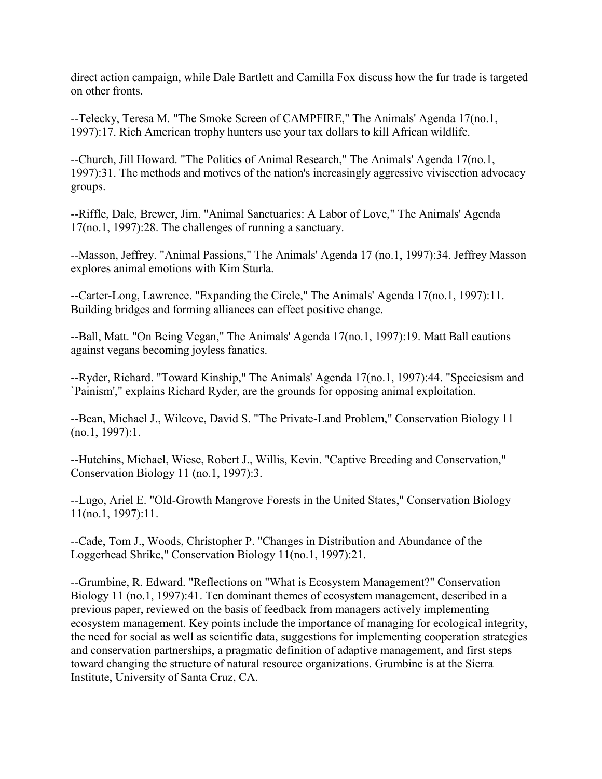direct action campaign, while Dale Bartlett and Camilla Fox discuss how the fur trade is targeted on other fronts.

--Telecky, Teresa M. "The Smoke Screen of CAMPFIRE," The Animals' Agenda 17(no.1, 1997):17. Rich American trophy hunters use your tax dollars to kill African wildlife.

--Church, Jill Howard. "The Politics of Animal Research," The Animals' Agenda 17(no.1, 1997):31. The methods and motives of the nation's increasingly aggressive vivisection advocacy groups.

--Riffle, Dale, Brewer, Jim. "Animal Sanctuaries: A Labor of Love," The Animals' Agenda 17(no.1, 1997):28. The challenges of running a sanctuary.

--Masson, Jeffrey. "Animal Passions," The Animals' Agenda 17 (no.1, 1997):34. Jeffrey Masson explores animal emotions with Kim Sturla.

--Carter-Long, Lawrence. "Expanding the Circle," The Animals' Agenda 17(no.1, 1997):11. Building bridges and forming alliances can effect positive change.

--Ball, Matt. "On Being Vegan," The Animals' Agenda 17(no.1, 1997):19. Matt Ball cautions against vegans becoming joyless fanatics.

--Ryder, Richard. "Toward Kinship," The Animals' Agenda 17(no.1, 1997):44. "Speciesism and `Painism'," explains Richard Ryder, are the grounds for opposing animal exploitation.

--Bean, Michael J., Wilcove, David S. "The Private-Land Problem," Conservation Biology 11 (no.1, 1997):1.

--Hutchins, Michael, Wiese, Robert J., Willis, Kevin. "Captive Breeding and Conservation," Conservation Biology 11 (no.1, 1997):3.

--Lugo, Ariel E. "Old-Growth Mangrove Forests in the United States," Conservation Biology 11(no.1, 1997):11.

--Cade, Tom J., Woods, Christopher P. "Changes in Distribution and Abundance of the Loggerhead Shrike," Conservation Biology 11(no.1, 1997):21.

--Grumbine, R. Edward. "Reflections on "What is Ecosystem Management?" Conservation Biology 11 (no.1, 1997):41. Ten dominant themes of ecosystem management, described in a previous paper, reviewed on the basis of feedback from managers actively implementing ecosystem management. Key points include the importance of managing for ecological integrity, the need for social as well as scientific data, suggestions for implementing cooperation strategies and conservation partnerships, a pragmatic definition of adaptive management, and first steps toward changing the structure of natural resource organizations. Grumbine is at the Sierra Institute, University of Santa Cruz, CA.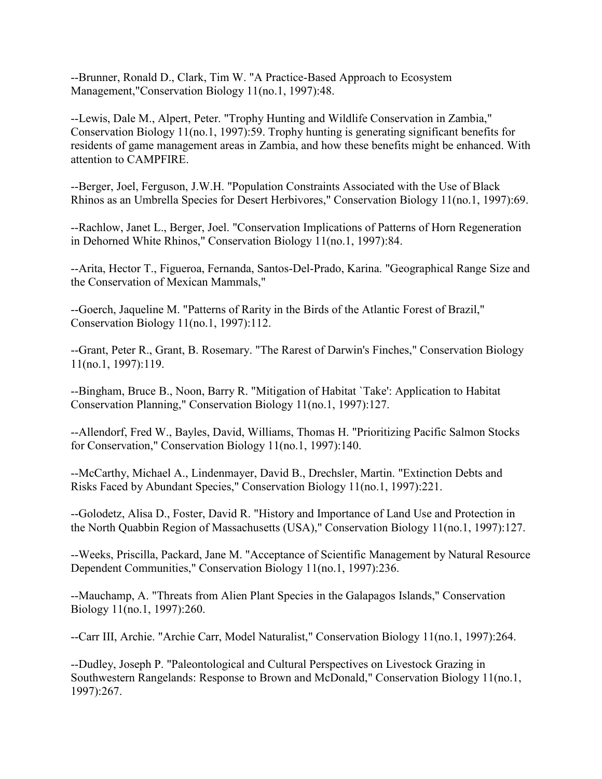--Brunner, Ronald D., Clark, Tim W. "A Practice-Based Approach to Ecosystem Management,"Conservation Biology 11(no.1, 1997):48.

--Lewis, Dale M., Alpert, Peter. "Trophy Hunting and Wildlife Conservation in Zambia," Conservation Biology 11(no.1, 1997):59. Trophy hunting is generating significant benefits for residents of game management areas in Zambia, and how these benefits might be enhanced. With attention to CAMPFIRE.

--Berger, Joel, Ferguson, J.W.H. "Population Constraints Associated with the Use of Black Rhinos as an Umbrella Species for Desert Herbivores," Conservation Biology 11(no.1, 1997):69.

--Rachlow, Janet L., Berger, Joel. "Conservation Implications of Patterns of Horn Regeneration in Dehorned White Rhinos," Conservation Biology 11(no.1, 1997):84.

--Arita, Hector T., Figueroa, Fernanda, Santos-Del-Prado, Karina. "Geographical Range Size and the Conservation of Mexican Mammals,"

--Goerch, Jaqueline M. "Patterns of Rarity in the Birds of the Atlantic Forest of Brazil," Conservation Biology 11(no.1, 1997):112.

--Grant, Peter R., Grant, B. Rosemary. "The Rarest of Darwin's Finches," Conservation Biology 11(no.1, 1997):119.

--Bingham, Bruce B., Noon, Barry R. "Mitigation of Habitat `Take': Application to Habitat Conservation Planning," Conservation Biology 11(no.1, 1997):127.

--Allendorf, Fred W., Bayles, David, Williams, Thomas H. "Prioritizing Pacific Salmon Stocks for Conservation," Conservation Biology 11(no.1, 1997):140.

--McCarthy, Michael A., Lindenmayer, David B., Drechsler, Martin. "Extinction Debts and Risks Faced by Abundant Species," Conservation Biology 11(no.1, 1997):221.

--Golodetz, Alisa D., Foster, David R. "History and Importance of Land Use and Protection in the North Quabbin Region of Massachusetts (USA)," Conservation Biology 11(no.1, 1997):127.

--Weeks, Priscilla, Packard, Jane M. "Acceptance of Scientific Management by Natural Resource Dependent Communities," Conservation Biology 11(no.1, 1997):236.

--Mauchamp, A. "Threats from Alien Plant Species in the Galapagos Islands," Conservation Biology 11(no.1, 1997):260.

--Carr III, Archie. "Archie Carr, Model Naturalist," Conservation Biology 11(no.1, 1997):264.

--Dudley, Joseph P. "Paleontological and Cultural Perspectives on Livestock Grazing in Southwestern Rangelands: Response to Brown and McDonald," Conservation Biology 11(no.1, 1997):267.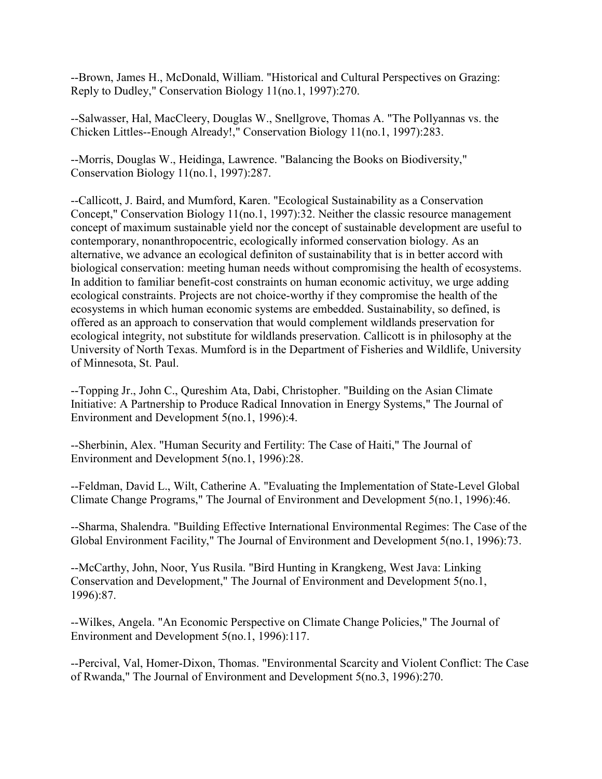--Brown, James H., McDonald, William. "Historical and Cultural Perspectives on Grazing: Reply to Dudley," Conservation Biology 11(no.1, 1997):270.

--Salwasser, Hal, MacCleery, Douglas W., Snellgrove, Thomas A. "The Pollyannas vs. the Chicken Littles--Enough Already!," Conservation Biology 11(no.1, 1997):283.

--Morris, Douglas W., Heidinga, Lawrence. "Balancing the Books on Biodiversity," Conservation Biology 11(no.1, 1997):287.

--Callicott, J. Baird, and Mumford, Karen. "Ecological Sustainability as a Conservation Concept," Conservation Biology 11(no.1, 1997):32. Neither the classic resource management concept of maximum sustainable yield nor the concept of sustainable development are useful to contemporary, nonanthropocentric, ecologically informed conservation biology. As an alternative, we advance an ecological definiton of sustainability that is in better accord with biological conservation: meeting human needs without compromising the health of ecosystems. In addition to familiar benefit-cost constraints on human economic activituy, we urge adding ecological constraints. Projects are not choice-worthy if they compromise the health of the ecosystems in which human economic systems are embedded. Sustainability, so defined, is offered as an approach to conservation that would complement wildlands preservation for ecological integrity, not substitute for wildlands preservation. Callicott is in philosophy at the University of North Texas. Mumford is in the Department of Fisheries and Wildlife, University of Minnesota, St. Paul.

--Topping Jr., John C., Qureshim Ata, Dabi, Christopher. "Building on the Asian Climate Initiative: A Partnership to Produce Radical Innovation in Energy Systems," The Journal of Environment and Development 5(no.1, 1996):4.

--Sherbinin, Alex. "Human Security and Fertility: The Case of Haiti," The Journal of Environment and Development 5(no.1, 1996):28.

--Feldman, David L., Wilt, Catherine A. "Evaluating the Implementation of State-Level Global Climate Change Programs," The Journal of Environment and Development 5(no.1, 1996):46.

--Sharma, Shalendra. "Building Effective International Environmental Regimes: The Case of the Global Environment Facility," The Journal of Environment and Development 5(no.1, 1996):73.

--McCarthy, John, Noor, Yus Rusila. "Bird Hunting in Krangkeng, West Java: Linking Conservation and Development," The Journal of Environment and Development 5(no.1, 1996):87.

--Wilkes, Angela. "An Economic Perspective on Climate Change Policies," The Journal of Environment and Development 5(no.1, 1996):117.

--Percival, Val, Homer-Dixon, Thomas. "Environmental Scarcity and Violent Conflict: The Case of Rwanda," The Journal of Environment and Development 5(no.3, 1996):270.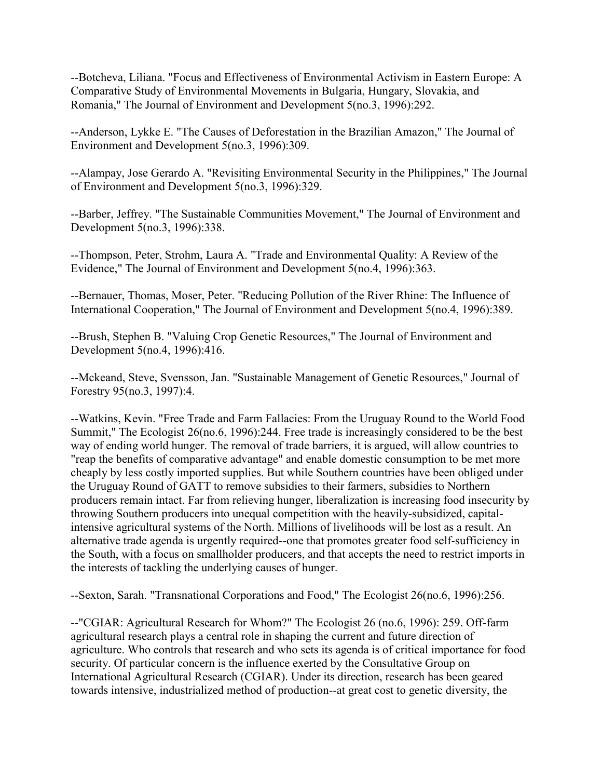--Botcheva, Liliana. "Focus and Effectiveness of Environmental Activism in Eastern Europe: A Comparative Study of Environmental Movements in Bulgaria, Hungary, Slovakia, and Romania," The Journal of Environment and Development 5(no.3, 1996):292.

--Anderson, Lykke E. "The Causes of Deforestation in the Brazilian Amazon," The Journal of Environment and Development 5(no.3, 1996):309.

--Alampay, Jose Gerardo A. "Revisiting Environmental Security in the Philippines," The Journal of Environment and Development 5(no.3, 1996):329.

--Barber, Jeffrey. "The Sustainable Communities Movement," The Journal of Environment and Development 5(no.3, 1996):338.

--Thompson, Peter, Strohm, Laura A. "Trade and Environmental Quality: A Review of the Evidence," The Journal of Environment and Development 5(no.4, 1996):363.

--Bernauer, Thomas, Moser, Peter. "Reducing Pollution of the River Rhine: The Influence of International Cooperation," The Journal of Environment and Development 5(no.4, 1996):389.

--Brush, Stephen B. "Valuing Crop Genetic Resources," The Journal of Environment and Development 5(no.4, 1996):416.

--Mckeand, Steve, Svensson, Jan. "Sustainable Management of Genetic Resources," Journal of Forestry 95(no.3, 1997):4.

--Watkins, Kevin. "Free Trade and Farm Fallacies: From the Uruguay Round to the World Food Summit," The Ecologist 26(no.6, 1996):244. Free trade is increasingly considered to be the best way of ending world hunger. The removal of trade barriers, it is argued, will allow countries to "reap the benefits of comparative advantage" and enable domestic consumption to be met more cheaply by less costly imported supplies. But while Southern countries have been obliged under the Uruguay Round of GATT to remove subsidies to their farmers, subsidies to Northern producers remain intact. Far from relieving hunger, liberalization is increasing food insecurity by throwing Southern producers into unequal competition with the heavily-subsidized, capitalintensive agricultural systems of the North. Millions of livelihoods will be lost as a result. An alternative trade agenda is urgently required--one that promotes greater food self-sufficiency in the South, with a focus on smallholder producers, and that accepts the need to restrict imports in the interests of tackling the underlying causes of hunger.

--Sexton, Sarah. "Transnational Corporations and Food," The Ecologist 26(no.6, 1996):256.

--"CGIAR: Agricultural Research for Whom?" The Ecologist 26 (no.6, 1996): 259. Off-farm agricultural research plays a central role in shaping the current and future direction of agriculture. Who controls that research and who sets its agenda is of critical importance for food security. Of particular concern is the influence exerted by the Consultative Group on International Agricultural Research (CGIAR). Under its direction, research has been geared towards intensive, industrialized method of production--at great cost to genetic diversity, the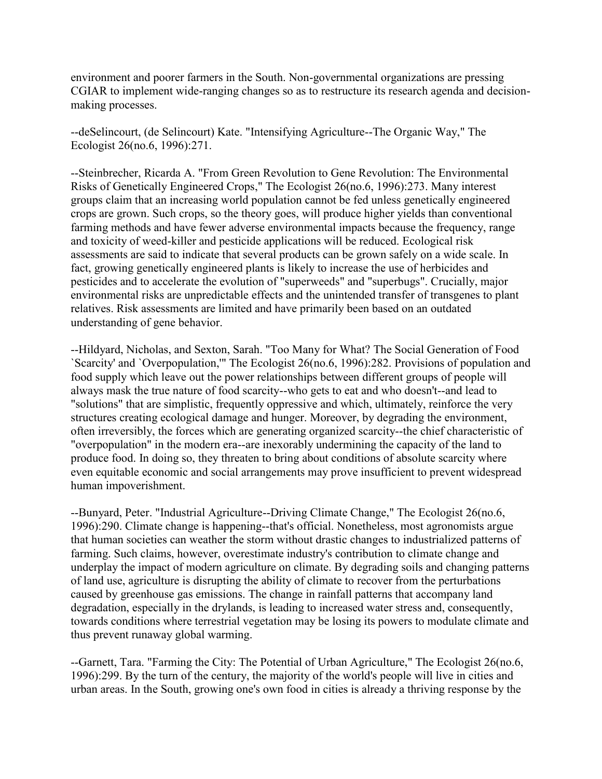environment and poorer farmers in the South. Non-governmental organizations are pressing CGIAR to implement wide-ranging changes so as to restructure its research agenda and decisionmaking processes.

--deSelincourt, (de Selincourt) Kate. "Intensifying Agriculture--The Organic Way," The Ecologist 26(no.6, 1996):271.

--Steinbrecher, Ricarda A. "From Green Revolution to Gene Revolution: The Environmental Risks of Genetically Engineered Crops," The Ecologist 26(no.6, 1996):273. Many interest groups claim that an increasing world population cannot be fed unless genetically engineered crops are grown. Such crops, so the theory goes, will produce higher yields than conventional farming methods and have fewer adverse environmental impacts because the frequency, range and toxicity of weed-killer and pesticide applications will be reduced. Ecological risk assessments are said to indicate that several products can be grown safely on a wide scale. In fact, growing genetically engineered plants is likely to increase the use of herbicides and pesticides and to accelerate the evolution of "superweeds" and "superbugs". Crucially, major environmental risks are unpredictable effects and the unintended transfer of transgenes to plant relatives. Risk assessments are limited and have primarily been based on an outdated understanding of gene behavior.

--Hildyard, Nicholas, and Sexton, Sarah. "Too Many for What? The Social Generation of Food `Scarcity' and `Overpopulation,'" The Ecologist 26(no.6, 1996):282. Provisions of population and food supply which leave out the power relationships between different groups of people will always mask the true nature of food scarcity--who gets to eat and who doesn't--and lead to "solutions" that are simplistic, frequently oppressive and which, ultimately, reinforce the very structures creating ecological damage and hunger. Moreover, by degrading the environment, often irreversibly, the forces which are generating organized scarcity--the chief characteristic of "overpopulation" in the modern era--are inexorably undermining the capacity of the land to produce food. In doing so, they threaten to bring about conditions of absolute scarcity where even equitable economic and social arrangements may prove insufficient to prevent widespread human impoverishment.

--Bunyard, Peter. "Industrial Agriculture--Driving Climate Change," The Ecologist 26(no.6, 1996):290. Climate change is happening--that's official. Nonetheless, most agronomists argue that human societies can weather the storm without drastic changes to industrialized patterns of farming. Such claims, however, overestimate industry's contribution to climate change and underplay the impact of modern agriculture on climate. By degrading soils and changing patterns of land use, agriculture is disrupting the ability of climate to recover from the perturbations caused by greenhouse gas emissions. The change in rainfall patterns that accompany land degradation, especially in the drylands, is leading to increased water stress and, consequently, towards conditions where terrestrial vegetation may be losing its powers to modulate climate and thus prevent runaway global warming.

--Garnett, Tara. "Farming the City: The Potential of Urban Agriculture," The Ecologist 26(no.6, 1996):299. By the turn of the century, the majority of the world's people will live in cities and urban areas. In the South, growing one's own food in cities is already a thriving response by the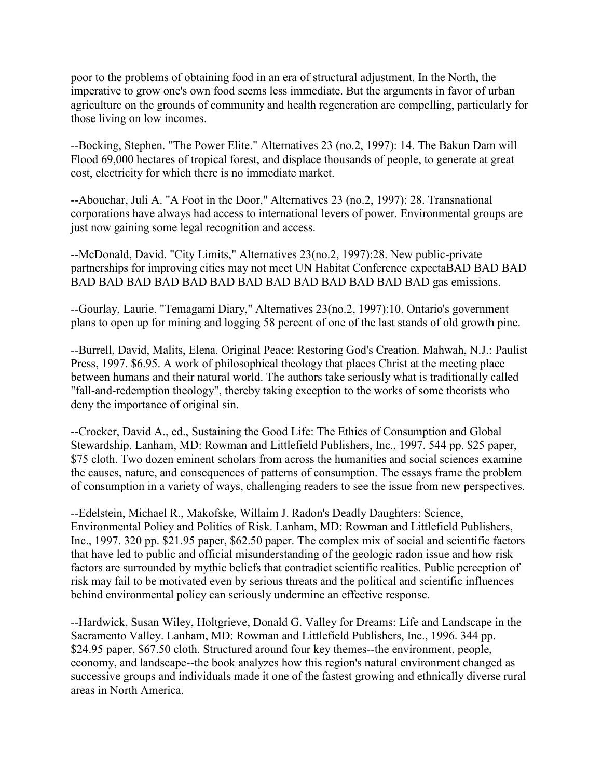poor to the problems of obtaining food in an era of structural adjustment. In the North, the imperative to grow one's own food seems less immediate. But the arguments in favor of urban agriculture on the grounds of community and health regeneration are compelling, particularly for those living on low incomes.

--Bocking, Stephen. "The Power Elite." Alternatives 23 (no.2, 1997): 14. The Bakun Dam will Flood 69,000 hectares of tropical forest, and displace thousands of people, to generate at great cost, electricity for which there is no immediate market.

--Abouchar, Juli A. "A Foot in the Door," Alternatives 23 (no.2, 1997): 28. Transnational corporations have always had access to international levers of power. Environmental groups are just now gaining some legal recognition and access.

--McDonald, David. "City Limits," Alternatives 23(no.2, 1997):28. New public-private partnerships for improving cities may not meet UN Habitat Conference expectaBAD BAD BAD BAD BAD BAD BAD BAD BAD BAD BAD BAD BAD BAD BAD BAD gas emissions.

--Gourlay, Laurie. "Temagami Diary," Alternatives 23(no.2, 1997):10. Ontario's government plans to open up for mining and logging 58 percent of one of the last stands of old growth pine.

--Burrell, David, Malits, Elena. Original Peace: Restoring God's Creation. Mahwah, N.J.: Paulist Press, 1997. \$6.95. A work of philosophical theology that places Christ at the meeting place between humans and their natural world. The authors take seriously what is traditionally called "fall-and-redemption theology", thereby taking exception to the works of some theorists who deny the importance of original sin.

--Crocker, David A., ed., Sustaining the Good Life: The Ethics of Consumption and Global Stewardship. Lanham, MD: Rowman and Littlefield Publishers, Inc., 1997. 544 pp. \$25 paper, \$75 cloth. Two dozen eminent scholars from across the humanities and social sciences examine the causes, nature, and consequences of patterns of consumption. The essays frame the problem of consumption in a variety of ways, challenging readers to see the issue from new perspectives.

--Edelstein, Michael R., Makofske, Willaim J. Radon's Deadly Daughters: Science, Environmental Policy and Politics of Risk. Lanham, MD: Rowman and Littlefield Publishers, Inc., 1997. 320 pp. \$21.95 paper, \$62.50 paper. The complex mix of social and scientific factors that have led to public and official misunderstanding of the geologic radon issue and how risk factors are surrounded by mythic beliefs that contradict scientific realities. Public perception of risk may fail to be motivated even by serious threats and the political and scientific influences behind environmental policy can seriously undermine an effective response.

--Hardwick, Susan Wiley, Holtgrieve, Donald G. Valley for Dreams: Life and Landscape in the Sacramento Valley. Lanham, MD: Rowman and Littlefield Publishers, Inc., 1996. 344 pp. \$24.95 paper, \$67.50 cloth. Structured around four key themes--the environment, people, economy, and landscape--the book analyzes how this region's natural environment changed as successive groups and individuals made it one of the fastest growing and ethnically diverse rural areas in North America.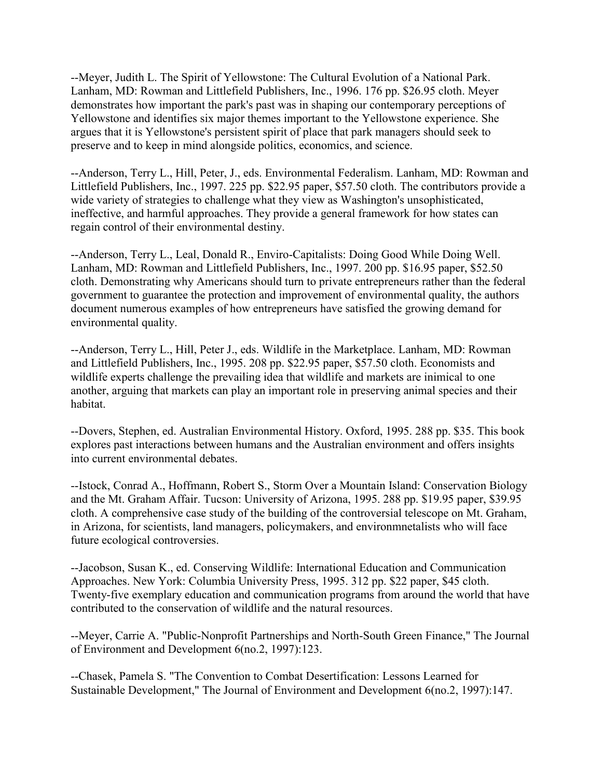--Meyer, Judith L. The Spirit of Yellowstone: The Cultural Evolution of a National Park. Lanham, MD: Rowman and Littlefield Publishers, Inc., 1996. 176 pp. \$26.95 cloth. Meyer demonstrates how important the park's past was in shaping our contemporary perceptions of Yellowstone and identifies six major themes important to the Yellowstone experience. She argues that it is Yellowstone's persistent spirit of place that park managers should seek to preserve and to keep in mind alongside politics, economics, and science.

--Anderson, Terry L., Hill, Peter, J., eds. Environmental Federalism. Lanham, MD: Rowman and Littlefield Publishers, Inc., 1997. 225 pp. \$22.95 paper, \$57.50 cloth. The contributors provide a wide variety of strategies to challenge what they view as Washington's unsophisticated, ineffective, and harmful approaches. They provide a general framework for how states can regain control of their environmental destiny.

--Anderson, Terry L., Leal, Donald R., Enviro-Capitalists: Doing Good While Doing Well. Lanham, MD: Rowman and Littlefield Publishers, Inc., 1997. 200 pp. \$16.95 paper, \$52.50 cloth. Demonstrating why Americans should turn to private entrepreneurs rather than the federal government to guarantee the protection and improvement of environmental quality, the authors document numerous examples of how entrepreneurs have satisfied the growing demand for environmental quality.

--Anderson, Terry L., Hill, Peter J., eds. Wildlife in the Marketplace. Lanham, MD: Rowman and Littlefield Publishers, Inc., 1995. 208 pp. \$22.95 paper, \$57.50 cloth. Economists and wildlife experts challenge the prevailing idea that wildlife and markets are inimical to one another, arguing that markets can play an important role in preserving animal species and their habitat.

--Dovers, Stephen, ed. Australian Environmental History. Oxford, 1995. 288 pp. \$35. This book explores past interactions between humans and the Australian environment and offers insights into current environmental debates.

--Istock, Conrad A., Hoffmann, Robert S., Storm Over a Mountain Island: Conservation Biology and the Mt. Graham Affair. Tucson: University of Arizona, 1995. 288 pp. \$19.95 paper, \$39.95 cloth. A comprehensive case study of the building of the controversial telescope on Mt. Graham, in Arizona, for scientists, land managers, policymakers, and environmnetalists who will face future ecological controversies.

--Jacobson, Susan K., ed. Conserving Wildlife: International Education and Communication Approaches. New York: Columbia University Press, 1995. 312 pp. \$22 paper, \$45 cloth. Twenty-five exemplary education and communication programs from around the world that have contributed to the conservation of wildlife and the natural resources.

--Meyer, Carrie A. "Public-Nonprofit Partnerships and North-South Green Finance," The Journal of Environment and Development 6(no.2, 1997):123.

--Chasek, Pamela S. "The Convention to Combat Desertification: Lessons Learned for Sustainable Development," The Journal of Environment and Development 6(no.2, 1997):147.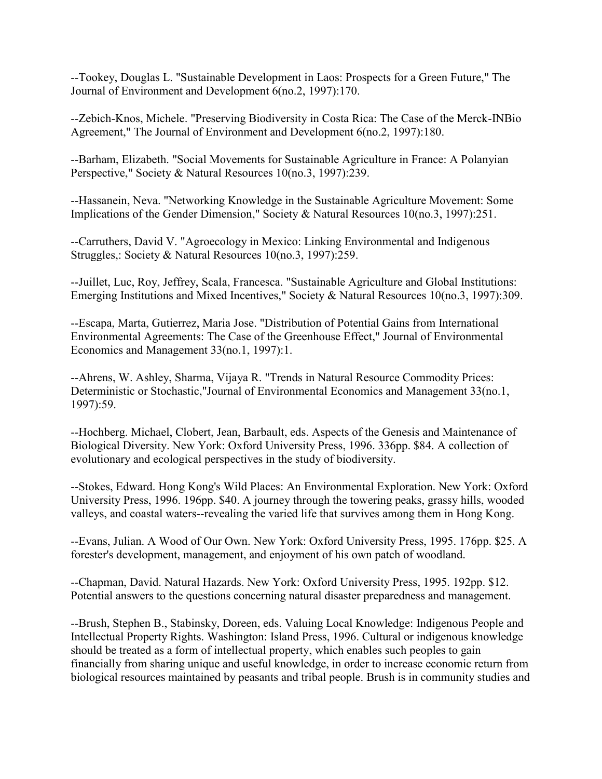--Tookey, Douglas L. "Sustainable Development in Laos: Prospects for a Green Future," The Journal of Environment and Development 6(no.2, 1997):170.

--Zebich-Knos, Michele. "Preserving Biodiversity in Costa Rica: The Case of the Merck-INBio Agreement," The Journal of Environment and Development 6(no.2, 1997):180.

--Barham, Elizabeth. "Social Movements for Sustainable Agriculture in France: A Polanyian Perspective," Society & Natural Resources 10(no.3, 1997):239.

--Hassanein, Neva. "Networking Knowledge in the Sustainable Agriculture Movement: Some Implications of the Gender Dimension," Society & Natural Resources 10(no.3, 1997):251.

--Carruthers, David V. "Agroecology in Mexico: Linking Environmental and Indigenous Struggles,: Society & Natural Resources 10(no.3, 1997):259.

--Juillet, Luc, Roy, Jeffrey, Scala, Francesca. "Sustainable Agriculture and Global Institutions: Emerging Institutions and Mixed Incentives," Society & Natural Resources 10(no.3, 1997):309.

--Escapa, Marta, Gutierrez, Maria Jose. "Distribution of Potential Gains from International Environmental Agreements: The Case of the Greenhouse Effect," Journal of Environmental Economics and Management 33(no.1, 1997):1.

--Ahrens, W. Ashley, Sharma, Vijaya R. "Trends in Natural Resource Commodity Prices: Deterministic or Stochastic,"Journal of Environmental Economics and Management 33(no.1, 1997):59.

--Hochberg. Michael, Clobert, Jean, Barbault, eds. Aspects of the Genesis and Maintenance of Biological Diversity. New York: Oxford University Press, 1996. 336pp. \$84. A collection of evolutionary and ecological perspectives in the study of biodiversity.

--Stokes, Edward. Hong Kong's Wild Places: An Environmental Exploration. New York: Oxford University Press, 1996. 196pp. \$40. A journey through the towering peaks, grassy hills, wooded valleys, and coastal waters--revealing the varied life that survives among them in Hong Kong.

--Evans, Julian. A Wood of Our Own. New York: Oxford University Press, 1995. 176pp. \$25. A forester's development, management, and enjoyment of his own patch of woodland.

--Chapman, David. Natural Hazards. New York: Oxford University Press, 1995. 192pp. \$12. Potential answers to the questions concerning natural disaster preparedness and management.

--Brush, Stephen B., Stabinsky, Doreen, eds. Valuing Local Knowledge: Indigenous People and Intellectual Property Rights. Washington: Island Press, 1996. Cultural or indigenous knowledge should be treated as a form of intellectual property, which enables such peoples to gain financially from sharing unique and useful knowledge, in order to increase economic return from biological resources maintained by peasants and tribal people. Brush is in community studies and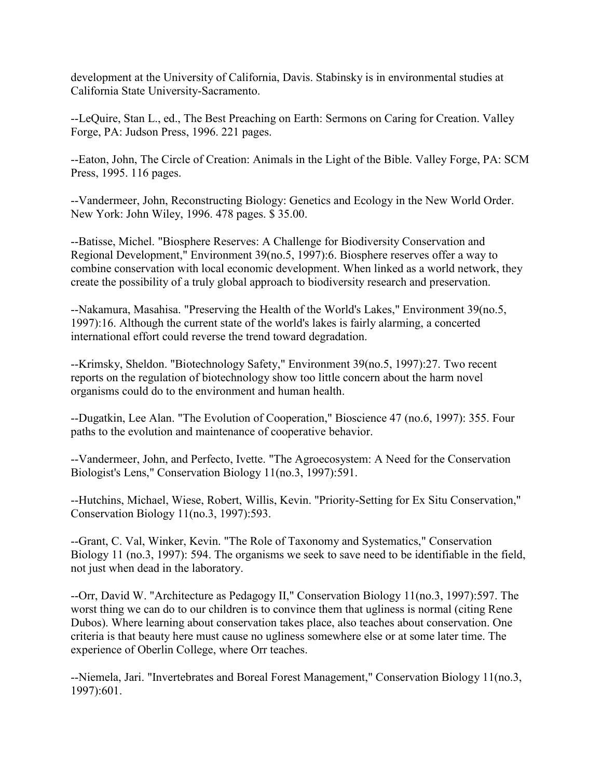development at the University of California, Davis. Stabinsky is in environmental studies at California State University-Sacramento.

--LeQuire, Stan L., ed., The Best Preaching on Earth: Sermons on Caring for Creation. Valley Forge, PA: Judson Press, 1996. 221 pages.

--Eaton, John, The Circle of Creation: Animals in the Light of the Bible. Valley Forge, PA: SCM Press, 1995. 116 pages.

--Vandermeer, John, Reconstructing Biology: Genetics and Ecology in the New World Order. New York: John Wiley, 1996. 478 pages. \$ 35.00.

--Batisse, Michel. "Biosphere Reserves: A Challenge for Biodiversity Conservation and Regional Development," Environment 39(no.5, 1997):6. Biosphere reserves offer a way to combine conservation with local economic development. When linked as a world network, they create the possibility of a truly global approach to biodiversity research and preservation.

--Nakamura, Masahisa. "Preserving the Health of the World's Lakes," Environment 39(no.5, 1997):16. Although the current state of the world's lakes is fairly alarming, a concerted international effort could reverse the trend toward degradation.

--Krimsky, Sheldon. "Biotechnology Safety," Environment 39(no.5, 1997):27. Two recent reports on the regulation of biotechnology show too little concern about the harm novel organisms could do to the environment and human health.

--Dugatkin, Lee Alan. "The Evolution of Cooperation," Bioscience 47 (no.6, 1997): 355. Four paths to the evolution and maintenance of cooperative behavior.

--Vandermeer, John, and Perfecto, Ivette. "The Agroecosystem: A Need for the Conservation Biologist's Lens," Conservation Biology 11(no.3, 1997):591.

--Hutchins, Michael, Wiese, Robert, Willis, Kevin. "Priority-Setting for Ex Situ Conservation," Conservation Biology 11(no.3, 1997):593.

--Grant, C. Val, Winker, Kevin. "The Role of Taxonomy and Systematics," Conservation Biology 11 (no.3, 1997): 594. The organisms we seek to save need to be identifiable in the field, not just when dead in the laboratory.

--Orr, David W. "Architecture as Pedagogy II," Conservation Biology 11(no.3, 1997):597. The worst thing we can do to our children is to convince them that ugliness is normal (citing Rene Dubos). Where learning about conservation takes place, also teaches about conservation. One criteria is that beauty here must cause no ugliness somewhere else or at some later time. The experience of Oberlin College, where Orr teaches.

--Niemela, Jari. "Invertebrates and Boreal Forest Management," Conservation Biology 11(no.3, 1997):601.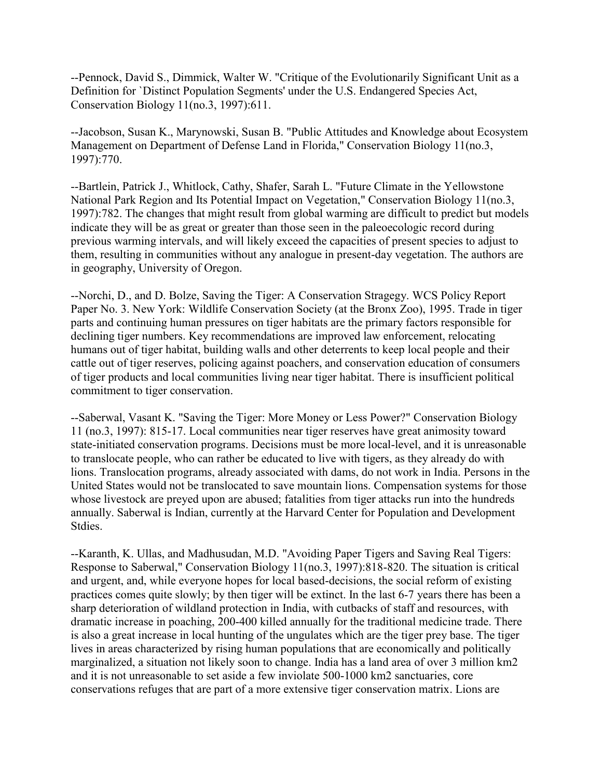--Pennock, David S., Dimmick, Walter W. "Critique of the Evolutionarily Significant Unit as a Definition for `Distinct Population Segments' under the U.S. Endangered Species Act, Conservation Biology 11(no.3, 1997):611.

--Jacobson, Susan K., Marynowski, Susan B. "Public Attitudes and Knowledge about Ecosystem Management on Department of Defense Land in Florida," Conservation Biology 11(no.3, 1997):770.

--Bartlein, Patrick J., Whitlock, Cathy, Shafer, Sarah L. "Future Climate in the Yellowstone National Park Region and Its Potential Impact on Vegetation," Conservation Biology 11(no.3, 1997):782. The changes that might result from global warming are difficult to predict but models indicate they will be as great or greater than those seen in the paleoecologic record during previous warming intervals, and will likely exceed the capacities of present species to adjust to them, resulting in communities without any analogue in present-day vegetation. The authors are in geography, University of Oregon.

--Norchi, D., and D. Bolze, Saving the Tiger: A Conservation Stragegy. WCS Policy Report Paper No. 3. New York: Wildlife Conservation Society (at the Bronx Zoo), 1995. Trade in tiger parts and continuing human pressures on tiger habitats are the primary factors responsible for declining tiger numbers. Key recommendations are improved law enforcement, relocating humans out of tiger habitat, building walls and other deterrents to keep local people and their cattle out of tiger reserves, policing against poachers, and conservation education of consumers of tiger products and local communities living near tiger habitat. There is insufficient political commitment to tiger conservation.

--Saberwal, Vasant K. "Saving the Tiger: More Money or Less Power?" Conservation Biology 11 (no.3, 1997): 815-17. Local communities near tiger reserves have great animosity toward state-initiated conservation programs. Decisions must be more local-level, and it is unreasonable to translocate people, who can rather be educated to live with tigers, as they already do with lions. Translocation programs, already associated with dams, do not work in India. Persons in the United States would not be translocated to save mountain lions. Compensation systems for those whose livestock are preyed upon are abused; fatalities from tiger attacks run into the hundreds annually. Saberwal is Indian, currently at the Harvard Center for Population and Development Stdies.

--Karanth, K. Ullas, and Madhusudan, M.D. "Avoiding Paper Tigers and Saving Real Tigers: Response to Saberwal," Conservation Biology 11(no.3, 1997):818-820. The situation is critical and urgent, and, while everyone hopes for local based-decisions, the social reform of existing practices comes quite slowly; by then tiger will be extinct. In the last 6-7 years there has been a sharp deterioration of wildland protection in India, with cutbacks of staff and resources, with dramatic increase in poaching, 200-400 killed annually for the traditional medicine trade. There is also a great increase in local hunting of the ungulates which are the tiger prey base. The tiger lives in areas characterized by rising human populations that are economically and politically marginalized, a situation not likely soon to change. India has a land area of over 3 million km2 and it is not unreasonable to set aside a few inviolate 500-1000 km2 sanctuaries, core conservations refuges that are part of a more extensive tiger conservation matrix. Lions are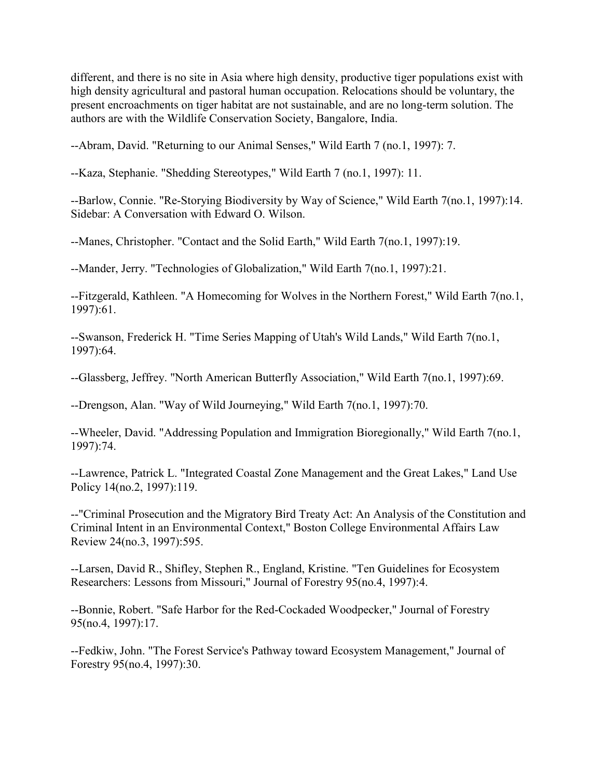different, and there is no site in Asia where high density, productive tiger populations exist with high density agricultural and pastoral human occupation. Relocations should be voluntary, the present encroachments on tiger habitat are not sustainable, and are no long-term solution. The authors are with the Wildlife Conservation Society, Bangalore, India.

--Abram, David. "Returning to our Animal Senses," Wild Earth 7 (no.1, 1997): 7.

--Kaza, Stephanie. "Shedding Stereotypes," Wild Earth 7 (no.1, 1997): 11.

--Barlow, Connie. "Re-Storying Biodiversity by Way of Science," Wild Earth 7(no.1, 1997):14. Sidebar: A Conversation with Edward O. Wilson.

--Manes, Christopher. "Contact and the Solid Earth," Wild Earth 7(no.1, 1997):19.

--Mander, Jerry. "Technologies of Globalization," Wild Earth 7(no.1, 1997):21.

--Fitzgerald, Kathleen. "A Homecoming for Wolves in the Northern Forest," Wild Earth 7(no.1, 1997):61.

--Swanson, Frederick H. "Time Series Mapping of Utah's Wild Lands," Wild Earth 7(no.1, 1997):64.

--Glassberg, Jeffrey. "North American Butterfly Association," Wild Earth 7(no.1, 1997):69.

--Drengson, Alan. "Way of Wild Journeying," Wild Earth 7(no.1, 1997):70.

--Wheeler, David. "Addressing Population and Immigration Bioregionally," Wild Earth 7(no.1, 1997):74.

--Lawrence, Patrick L. "Integrated Coastal Zone Management and the Great Lakes," Land Use Policy 14(no.2, 1997):119.

--"Criminal Prosecution and the Migratory Bird Treaty Act: An Analysis of the Constitution and Criminal Intent in an Environmental Context," Boston College Environmental Affairs Law Review 24(no.3, 1997):595.

--Larsen, David R., Shifley, Stephen R., England, Kristine. "Ten Guidelines for Ecosystem Researchers: Lessons from Missouri," Journal of Forestry 95(no.4, 1997):4.

--Bonnie, Robert. "Safe Harbor for the Red-Cockaded Woodpecker," Journal of Forestry 95(no.4, 1997):17.

--Fedkiw, John. "The Forest Service's Pathway toward Ecosystem Management," Journal of Forestry 95(no.4, 1997):30.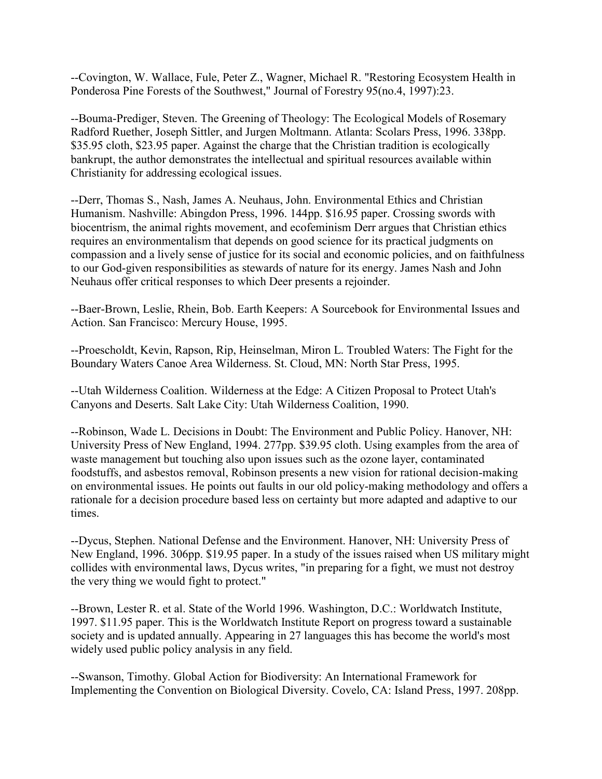--Covington, W. Wallace, Fule, Peter Z., Wagner, Michael R. "Restoring Ecosystem Health in Ponderosa Pine Forests of the Southwest," Journal of Forestry 95(no.4, 1997):23.

--Bouma-Prediger, Steven. The Greening of Theology: The Ecological Models of Rosemary Radford Ruether, Joseph Sittler, and Jurgen Moltmann. Atlanta: Scolars Press, 1996. 338pp. \$35.95 cloth, \$23.95 paper. Against the charge that the Christian tradition is ecologically bankrupt, the author demonstrates the intellectual and spiritual resources available within Christianity for addressing ecological issues.

--Derr, Thomas S., Nash, James A. Neuhaus, John. Environmental Ethics and Christian Humanism. Nashville: Abingdon Press, 1996. 144pp. \$16.95 paper. Crossing swords with biocentrism, the animal rights movement, and ecofeminism Derr argues that Christian ethics requires an environmentalism that depends on good science for its practical judgments on compassion and a lively sense of justice for its social and economic policies, and on faithfulness to our God-given responsibilities as stewards of nature for its energy. James Nash and John Neuhaus offer critical responses to which Deer presents a rejoinder.

--Baer-Brown, Leslie, Rhein, Bob. Earth Keepers: A Sourcebook for Environmental Issues and Action. San Francisco: Mercury House, 1995.

--Proescholdt, Kevin, Rapson, Rip, Heinselman, Miron L. Troubled Waters: The Fight for the Boundary Waters Canoe Area Wilderness. St. Cloud, MN: North Star Press, 1995.

--Utah Wilderness Coalition. Wilderness at the Edge: A Citizen Proposal to Protect Utah's Canyons and Deserts. Salt Lake City: Utah Wilderness Coalition, 1990.

--Robinson, Wade L. Decisions in Doubt: The Environment and Public Policy. Hanover, NH: University Press of New England, 1994. 277pp. \$39.95 cloth. Using examples from the area of waste management but touching also upon issues such as the ozone layer, contaminated foodstuffs, and asbestos removal, Robinson presents a new vision for rational decision-making on environmental issues. He points out faults in our old policy-making methodology and offers a rationale for a decision procedure based less on certainty but more adapted and adaptive to our times.

--Dycus, Stephen. National Defense and the Environment. Hanover, NH: University Press of New England, 1996. 306pp. \$19.95 paper. In a study of the issues raised when US military might collides with environmental laws, Dycus writes, "in preparing for a fight, we must not destroy the very thing we would fight to protect."

--Brown, Lester R. et al. State of the World 1996. Washington, D.C.: Worldwatch Institute, 1997. \$11.95 paper. This is the Worldwatch Institute Report on progress toward a sustainable society and is updated annually. Appearing in 27 languages this has become the world's most widely used public policy analysis in any field.

--Swanson, Timothy. Global Action for Biodiversity: An International Framework for Implementing the Convention on Biological Diversity. Covelo, CA: Island Press, 1997. 208pp.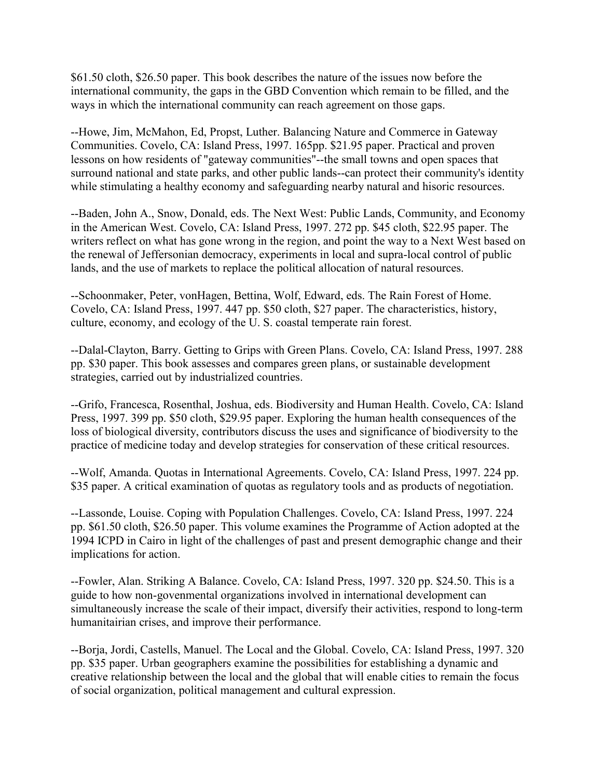\$61.50 cloth, \$26.50 paper. This book describes the nature of the issues now before the international community, the gaps in the GBD Convention which remain to be filled, and the ways in which the international community can reach agreement on those gaps.

--Howe, Jim, McMahon, Ed, Propst, Luther. Balancing Nature and Commerce in Gateway Communities. Covelo, CA: Island Press, 1997. 165pp. \$21.95 paper. Practical and proven lessons on how residents of "gateway communities"--the small towns and open spaces that surround national and state parks, and other public lands--can protect their community's identity while stimulating a healthy economy and safeguarding nearby natural and hisoric resources.

--Baden, John A., Snow, Donald, eds. The Next West: Public Lands, Community, and Economy in the American West. Covelo, CA: Island Press, 1997. 272 pp. \$45 cloth, \$22.95 paper. The writers reflect on what has gone wrong in the region, and point the way to a Next West based on the renewal of Jeffersonian democracy, experiments in local and supra-local control of public lands, and the use of markets to replace the political allocation of natural resources.

--Schoonmaker, Peter, vonHagen, Bettina, Wolf, Edward, eds. The Rain Forest of Home. Covelo, CA: Island Press, 1997. 447 pp. \$50 cloth, \$27 paper. The characteristics, history, culture, economy, and ecology of the U. S. coastal temperate rain forest.

--Dalal-Clayton, Barry. Getting to Grips with Green Plans. Covelo, CA: Island Press, 1997. 288 pp. \$30 paper. This book assesses and compares green plans, or sustainable development strategies, carried out by industrialized countries.

--Grifo, Francesca, Rosenthal, Joshua, eds. Biodiversity and Human Health. Covelo, CA: Island Press, 1997. 399 pp. \$50 cloth, \$29.95 paper. Exploring the human health consequences of the loss of biological diversity, contributors discuss the uses and significance of biodiversity to the practice of medicine today and develop strategies for conservation of these critical resources.

--Wolf, Amanda. Quotas in International Agreements. Covelo, CA: Island Press, 1997. 224 pp. \$35 paper. A critical examination of quotas as regulatory tools and as products of negotiation.

--Lassonde, Louise. Coping with Population Challenges. Covelo, CA: Island Press, 1997. 224 pp. \$61.50 cloth, \$26.50 paper. This volume examines the Programme of Action adopted at the 1994 ICPD in Cairo in light of the challenges of past and present demographic change and their implications for action.

--Fowler, Alan. Striking A Balance. Covelo, CA: Island Press, 1997. 320 pp. \$24.50. This is a guide to how non-govenmental organizations involved in international development can simultaneously increase the scale of their impact, diversify their activities, respond to long-term humanitairian crises, and improve their performance.

--Borja, Jordi, Castells, Manuel. The Local and the Global. Covelo, CA: Island Press, 1997. 320 pp. \$35 paper. Urban geographers examine the possibilities for establishing a dynamic and creative relationship between the local and the global that will enable cities to remain the focus of social organization, political management and cultural expression.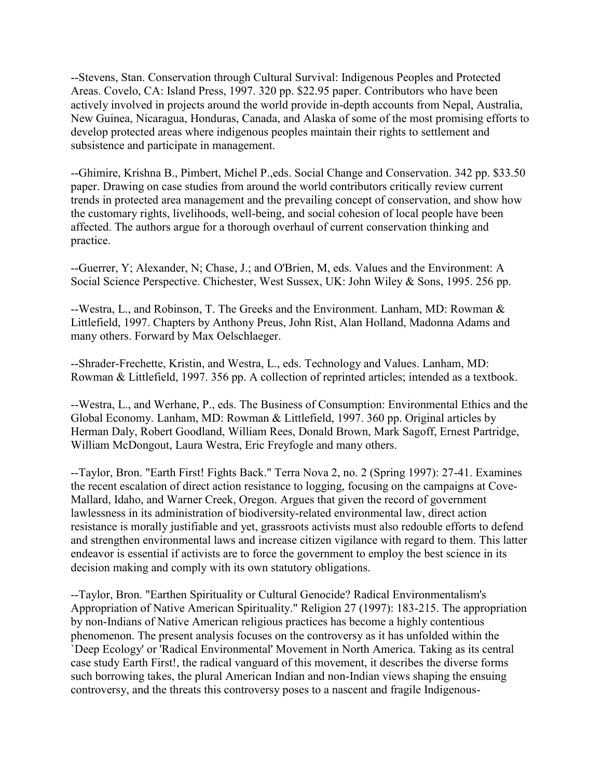--Stevens, Stan. Conservation through Cultural Survival: Indigenous Peoples and Protected Areas. Covelo, CA: Island Press, 1997. 320 pp. \$22.95 paper. Contributors who have been actively involved in projects around the world provide in-depth accounts from Nepal, Australia, New Guinea, Nicaragua, Honduras, Canada, and Alaska of some of the most promising efforts to develop protected areas where indigenous peoples maintain their rights to settlement and subsistence and participate in management.

--Ghimire, Krishna B., Pimbert, Michel P.,eds. Social Change and Conservation. 342 pp. \$33.50 paper. Drawing on case studies from around the world contributors critically review current trends in protected area management and the prevailing concept of conservation, and show how the customary rights, livelihoods, well-being, and social cohesion of local people have been affected. The authors argue for a thorough overhaul of current conservation thinking and practice.

--Guerrer, Y; Alexander, N; Chase, J.; and O'Brien, M, eds. Values and the Environment: A Social Science Perspective. Chichester, West Sussex, UK: John Wiley & Sons, 1995. 256 pp.

--Westra, L., and Robinson, T. The Greeks and the Environment. Lanham, MD: Rowman & Littlefield, 1997. Chapters by Anthony Preus, John Rist, Alan Holland, Madonna Adams and many others. Forward by Max Oelschlaeger.

--Shrader-Frechette, Kristin, and Westra, L., eds. Technology and Values. Lanham, MD: Rowman & Littlefield, 1997. 356 pp. A collection of reprinted articles; intended as a textbook.

--Westra, L., and Werhane, P., eds. The Business of Consumption: Environmental Ethics and the Global Economy. Lanham, MD: Rowman & Littlefield, 1997. 360 pp. Original articles by Herman Daly, Robert Goodland, William Rees, Donald Brown, Mark Sagoff, Ernest Partridge, William McDongout, Laura Westra, Eric Freyfogle and many others.

--Taylor, Bron. "Earth First! Fights Back." Terra Nova 2, no. 2 (Spring 1997): 27-41. Examines the recent escalation of direct action resistance to logging, focusing on the campaigns at Cove-Mallard, Idaho, and Warner Creek, Oregon. Argues that given the record of government lawlessness in its administration of biodiversity-related environmental law, direct action resistance is morally justifiable and yet, grassroots activists must also redouble efforts to defend and strengthen environmental laws and increase citizen vigilance with regard to them. This latter endeavor is essential if activists are to force the government to employ the best science in its decision making and comply with its own statutory obligations.

--Taylor, Bron. "Earthen Spirituality or Cultural Genocide? Radical Environmentalism's Appropriation of Native American Spirituality." Religion 27 (1997): 183-215. The appropriation by non-Indians of Native American religious practices has become a highly contentious phenomenon. The present analysis focuses on the controversy as it has unfolded within the `Deep Ecology' or 'Radical Environmental' Movement in North America. Taking as its central case study Earth First!, the radical vanguard of this movement, it describes the diverse forms such borrowing takes, the plural American Indian and non-Indian views shaping the ensuing controversy, and the threats this controversy poses to a nascent and fragile Indigenous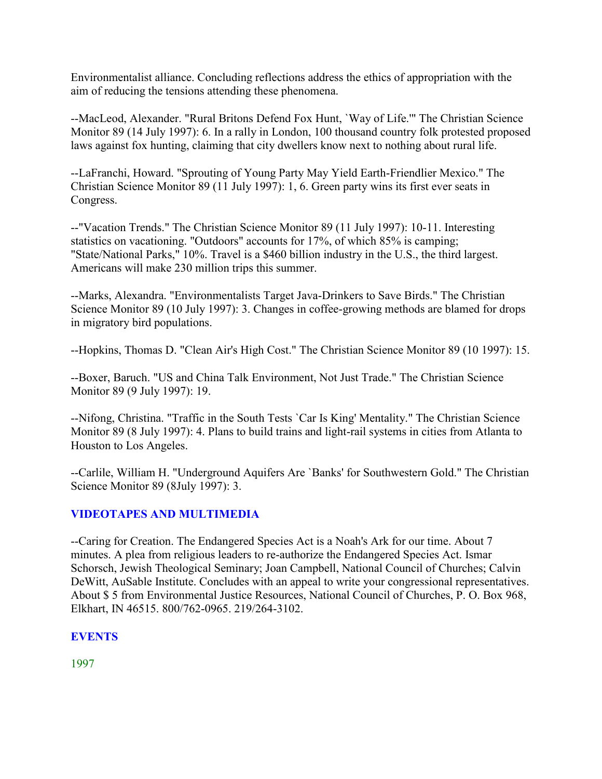Environmentalist alliance. Concluding reflections address the ethics of appropriation with the aim of reducing the tensions attending these phenomena.

--MacLeod, Alexander. "Rural Britons Defend Fox Hunt, `Way of Life.'" The Christian Science Monitor 89 (14 July 1997): 6. In a rally in London, 100 thousand country folk protested proposed laws against fox hunting, claiming that city dwellers know next to nothing about rural life.

--LaFranchi, Howard. "Sprouting of Young Party May Yield Earth-Friendlier Mexico." The Christian Science Monitor 89 (11 July 1997): 1, 6. Green party wins its first ever seats in Congress.

--"Vacation Trends." The Christian Science Monitor 89 (11 July 1997): 10-11. Interesting statistics on vacationing. "Outdoors" accounts for 17%, of which 85% is camping; "State/National Parks," 10%. Travel is a \$460 billion industry in the U.S., the third largest. Americans will make 230 million trips this summer.

--Marks, Alexandra. "Environmentalists Target Java-Drinkers to Save Birds." The Christian Science Monitor 89 (10 July 1997): 3. Changes in coffee-growing methods are blamed for drops in migratory bird populations.

--Hopkins, Thomas D. "Clean Air's High Cost." The Christian Science Monitor 89 (10 1997): 15.

--Boxer, Baruch. "US and China Talk Environment, Not Just Trade." The Christian Science Monitor 89 (9 July 1997): 19.

--Nifong, Christina. "Traffic in the South Tests `Car Is King' Mentality." The Christian Science Monitor 89 (8 July 1997): 4. Plans to build trains and light-rail systems in cities from Atlanta to Houston to Los Angeles.

--Carlile, William H. "Underground Aquifers Are `Banks' for Southwestern Gold." The Christian Science Monitor 89 (8July 1997): 3.

# **VIDEOTAPES AND MULTIMEDIA**

--Caring for Creation. The Endangered Species Act is a Noah's Ark for our time. About 7 minutes. A plea from religious leaders to re-authorize the Endangered Species Act. Ismar Schorsch, Jewish Theological Seminary; Joan Campbell, National Council of Churches; Calvin DeWitt, AuSable Institute. Concludes with an appeal to write your congressional representatives. About \$ 5 from Environmental Justice Resources, National Council of Churches, P. O. Box 968, Elkhart, IN 46515. 800/762-0965. 219/264-3102.

#### **EVENTS**

1997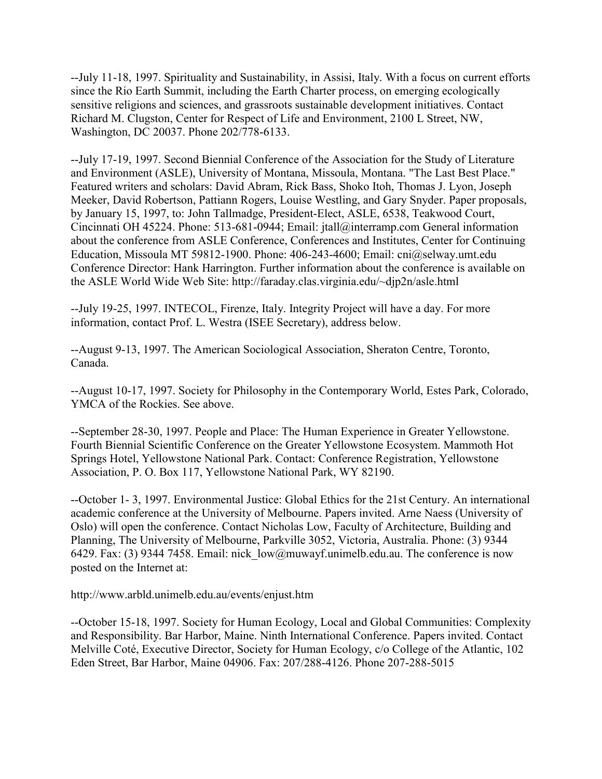--July 11-18, 1997. Spirituality and Sustainability, in Assisi, Italy. With a focus on current efforts since the Rio Earth Summit, including the Earth Charter process, on emerging ecologically sensitive religions and sciences, and grassroots sustainable development initiatives. Contact Richard M. Clugston, Center for Respect of Life and Environment, 2100 L Street, NW, Washington, DC 20037. Phone 202/778-6133.

--July 17-19, 1997. Second Biennial Conference of the Association for the Study of Literature and Environment (ASLE), University of Montana, Missoula, Montana. "The Last Best Place." Featured writers and scholars: David Abram, Rick Bass, Shoko Itoh, Thomas J. Lyon, Joseph Meeker, David Robertson, Pattiann Rogers, Louise Westling, and Gary Snyder. Paper proposals, by January 15, 1997, to: John Tallmadge, President-Elect, ASLE, 6538, Teakwood Court, Cincinnati OH 45224. Phone: 513-681-0944; Email: jtall@interramp.com General information about the conference from ASLE Conference, Conferences and Institutes, Center for Continuing Education, Missoula MT 59812-1900. Phone: 406-243-4600; Email: cni@selway.umt.edu Conference Director: Hank Harrington. Further information about the conference is available on the ASLE World Wide Web Site: http://faraday.clas.virginia.edu/~djp2n/asle.html

--July 19-25, 1997. INTECOL, Firenze, Italy. Integrity Project will have a day. For more information, contact Prof. L. Westra (ISEE Secretary), address below.

--August 9-13, 1997. The American Sociological Association, Sheraton Centre, Toronto, Canada.

--August 10-17, 1997. Society for Philosophy in the Contemporary World, Estes Park, Colorado, YMCA of the Rockies. See above.

--September 28-30, 1997. People and Place: The Human Experience in Greater Yellowstone. Fourth Biennial Scientific Conference on the Greater Yellowstone Ecosystem. Mammoth Hot Springs Hotel, Yellowstone National Park. Contact: Conference Registration, Yellowstone Association, P. O. Box 117, Yellowstone National Park, WY 82190.

--October 1- 3, 1997. Environmental Justice: Global Ethics for the 21st Century. An international academic conference at the University of Melbourne. Papers invited. Arne Naess (University of Oslo) will open the conference. Contact Nicholas Low, Faculty of Architecture, Building and Planning, The University of Melbourne, Parkville 3052, Victoria, Australia. Phone: (3) 9344 6429. Fax: (3) 9344 7458. Email: nick  $low@muwayf.$ unimelb.edu.au. The conference is now posted on the Internet at:

http://www.arbld.unimelb.edu.au/events/enjust.htm

--October 15-18, 1997. Society for Human Ecology, Local and Global Communities: Complexity and Responsibility. Bar Harbor, Maine. Ninth International Conference. Papers invited. Contact Melville Coté, Executive Director, Society for Human Ecology, c/o College of the Atlantic, 102 Eden Street, Bar Harbor, Maine 04906. Fax: 207/288-4126. Phone 207-288-5015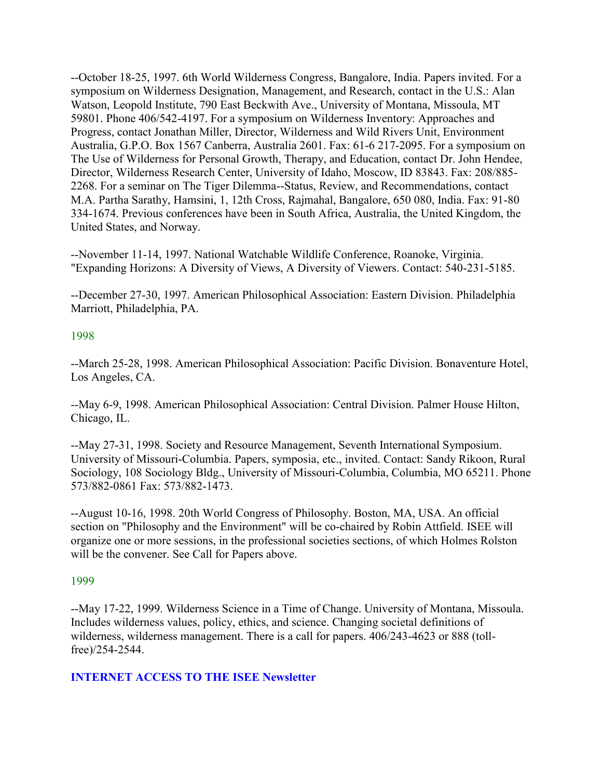--October 18-25, 1997. 6th World Wilderness Congress, Bangalore, India. Papers invited. For a symposium on Wilderness Designation, Management, and Research, contact in the U.S.: Alan Watson, Leopold Institute, 790 East Beckwith Ave., University of Montana, Missoula, MT 59801. Phone 406/542-4197. For a symposium on Wilderness Inventory: Approaches and Progress, contact Jonathan Miller, Director, Wilderness and Wild Rivers Unit, Environment Australia, G.P.O. Box 1567 Canberra, Australia 2601. Fax: 61-6 217-2095. For a symposium on The Use of Wilderness for Personal Growth, Therapy, and Education, contact Dr. John Hendee, Director, Wilderness Research Center, University of Idaho, Moscow, ID 83843. Fax: 208/885- 2268. For a seminar on The Tiger Dilemma--Status, Review, and Recommendations, contact M.A. Partha Sarathy, Hamsini, 1, 12th Cross, Rajmahal, Bangalore, 650 080, India. Fax: 91-80 334-1674. Previous conferences have been in South Africa, Australia, the United Kingdom, the United States, and Norway.

--November 11-14, 1997. National Watchable Wildlife Conference, Roanoke, Virginia. "Expanding Horizons: A Diversity of Views, A Diversity of Viewers. Contact: 540-231-5185.

--December 27-30, 1997. American Philosophical Association: Eastern Division. Philadelphia Marriott, Philadelphia, PA.

#### 1998

--March 25-28, 1998. American Philosophical Association: Pacific Division. Bonaventure Hotel, Los Angeles, CA.

--May 6-9, 1998. American Philosophical Association: Central Division. Palmer House Hilton, Chicago, IL.

--May 27-31, 1998. Society and Resource Management, Seventh International Symposium. University of Missouri-Columbia. Papers, symposia, etc., invited. Contact: Sandy Rikoon, Rural Sociology, 108 Sociology Bldg., University of Missouri-Columbia, Columbia, MO 65211. Phone 573/882-0861 Fax: 573/882-1473.

--August 10-16, 1998. 20th World Congress of Philosophy. Boston, MA, USA. An official section on "Philosophy and the Environment" will be co-chaired by Robin Attfield. ISEE will organize one or more sessions, in the professional societies sections, of which Holmes Rolston will be the convener. See Call for Papers above.

#### 1999

--May 17-22, 1999. Wilderness Science in a Time of Change. University of Montana, Missoula. Includes wilderness values, policy, ethics, and science. Changing societal definitions of wilderness, wilderness management. There is a call for papers. 406/243-4623 or 888 (tollfree)/254-2544.

#### **INTERNET ACCESS TO THE ISEE Newsletter**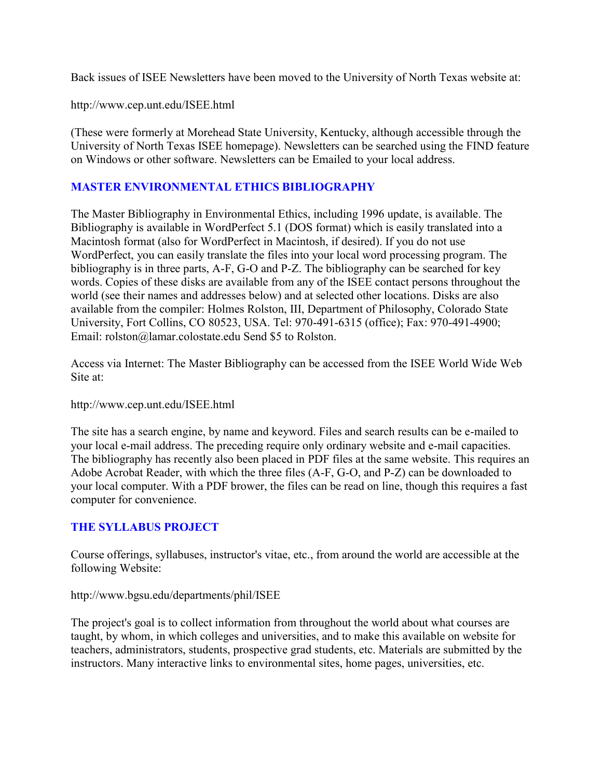Back issues of ISEE Newsletters have been moved to the University of North Texas website at:

http://www.cep.unt.edu/ISEE.html

(These were formerly at Morehead State University, Kentucky, although accessible through the University of North Texas ISEE homepage). Newsletters can be searched using the FIND feature on Windows or other software. Newsletters can be Emailed to your local address.

#### **MASTER ENVIRONMENTAL ETHICS BIBLIOGRAPHY**

The Master Bibliography in Environmental Ethics, including 1996 update, is available. The Bibliography is available in WordPerfect 5.1 (DOS format) which is easily translated into a Macintosh format (also for WordPerfect in Macintosh, if desired). If you do not use WordPerfect, you can easily translate the files into your local word processing program. The bibliography is in three parts, A-F, G-O and P-Z. The bibliography can be searched for key words. Copies of these disks are available from any of the ISEE contact persons throughout the world (see their names and addresses below) and at selected other locations. Disks are also available from the compiler: Holmes Rolston, III, Department of Philosophy, Colorado State University, Fort Collins, CO 80523, USA. Tel: 970-491-6315 (office); Fax: 970-491-4900; Email: rolston@lamar.colostate.edu Send \$5 to Rolston.

Access via Internet: The Master Bibliography can be accessed from the ISEE World Wide Web Site at:

http://www.cep.unt.edu/ISEE.html

The site has a search engine, by name and keyword. Files and search results can be e-mailed to your local e-mail address. The preceding require only ordinary website and e-mail capacities. The bibliography has recently also been placed in PDF files at the same website. This requires an Adobe Acrobat Reader, with which the three files (A-F, G-O, and P-Z) can be downloaded to your local computer. With a PDF brower, the files can be read on line, though this requires a fast computer for convenience.

#### **THE SYLLABUS PROJECT**

Course offerings, syllabuses, instructor's vitae, etc., from around the world are accessible at the following Website:

#### http://www.bgsu.edu/departments/phil/ISEE

The project's goal is to collect information from throughout the world about what courses are taught, by whom, in which colleges and universities, and to make this available on website for teachers, administrators, students, prospective grad students, etc. Materials are submitted by the instructors. Many interactive links to environmental sites, home pages, universities, etc.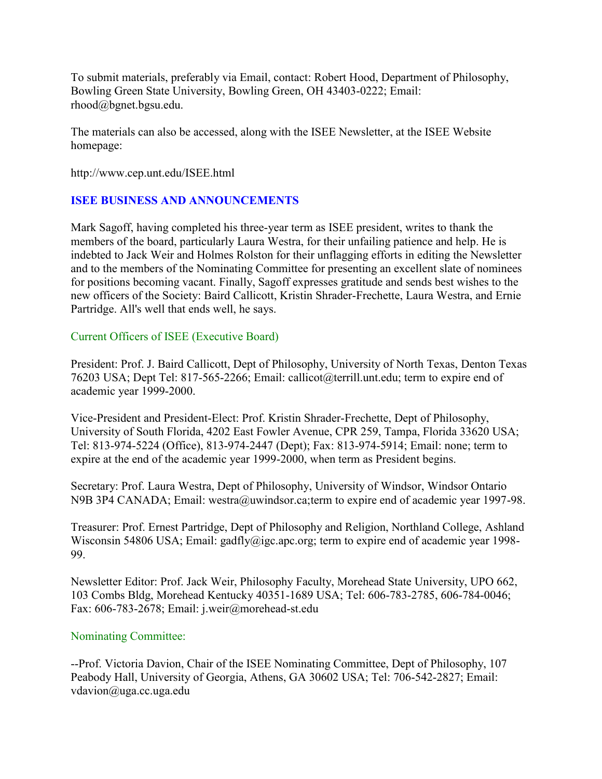To submit materials, preferably via Email, contact: Robert Hood, Department of Philosophy, Bowling Green State University, Bowling Green, OH 43403-0222; Email: rhood@bgnet.bgsu.edu.

The materials can also be accessed, along with the ISEE Newsletter, at the ISEE Website homepage:

http://www.cep.unt.edu/ISEE.html

#### **ISEE BUSINESS AND ANNOUNCEMENTS**

Mark Sagoff, having completed his three-year term as ISEE president, writes to thank the members of the board, particularly Laura Westra, for their unfailing patience and help. He is indebted to Jack Weir and Holmes Rolston for their unflagging efforts in editing the Newsletter and to the members of the Nominating Committee for presenting an excellent slate of nominees for positions becoming vacant. Finally, Sagoff expresses gratitude and sends best wishes to the new officers of the Society: Baird Callicott, Kristin Shrader-Frechette, Laura Westra, and Ernie Partridge. All's well that ends well, he says.

#### Current Officers of ISEE (Executive Board)

President: Prof. J. Baird Callicott, Dept of Philosophy, University of North Texas, Denton Texas 76203 USA; Dept Tel: 817-565-2266; Email: callicot@terrill.unt.edu; term to expire end of academic year 1999-2000.

Vice-President and President-Elect: Prof. Kristin Shrader-Frechette, Dept of Philosophy, University of South Florida, 4202 East Fowler Avenue, CPR 259, Tampa, Florida 33620 USA; Tel: 813-974-5224 (Office), 813-974-2447 (Dept); Fax: 813-974-5914; Email: none; term to expire at the end of the academic year 1999-2000, when term as President begins.

Secretary: Prof. Laura Westra, Dept of Philosophy, University of Windsor, Windsor Ontario N9B 3P4 CANADA; Email: westra@uwindsor.ca;term to expire end of academic year 1997-98.

Treasurer: Prof. Ernest Partridge, Dept of Philosophy and Religion, Northland College, Ashland Wisconsin 54806 USA; Email: gadfly@igc.apc.org; term to expire end of academic year 1998-99.

Newsletter Editor: Prof. Jack Weir, Philosophy Faculty, Morehead State University, UPO 662, 103 Combs Bldg, Morehead Kentucky 40351-1689 USA; Tel: 606-783-2785, 606-784-0046; Fax: 606-783-2678; Email: j.weir@morehead-st.edu

#### Nominating Committee:

--Prof. Victoria Davion, Chair of the ISEE Nominating Committee, Dept of Philosophy, 107 Peabody Hall, University of Georgia, Athens, GA 30602 USA; Tel: 706-542-2827; Email: vdavion@uga.cc.uga.edu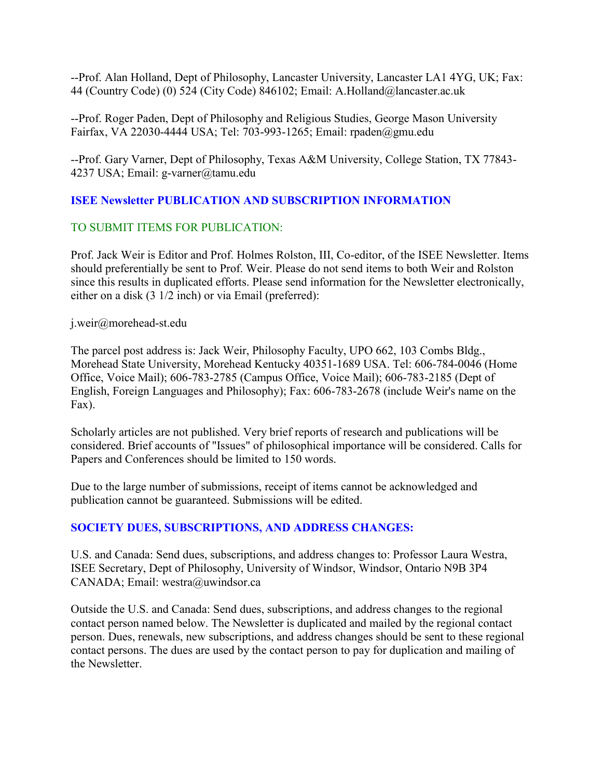--Prof. Alan Holland, Dept of Philosophy, Lancaster University, Lancaster LA1 4YG, UK; Fax: 44 (Country Code) (0) 524 (City Code) 846102; Email: A.Holland@lancaster.ac.uk

--Prof. Roger Paden, Dept of Philosophy and Religious Studies, George Mason University Fairfax, VA 22030-4444 USA; Tel: 703-993-1265; Email: rpaden@gmu.edu

--Prof. Gary Varner, Dept of Philosophy, Texas A&M University, College Station, TX 77843- 4237 USA; Email: g-varner@tamu.edu

# **ISEE Newsletter PUBLICATION AND SUBSCRIPTION INFORMATION**

# TO SUBMIT ITEMS FOR PUBLICATION:

Prof. Jack Weir is Editor and Prof. Holmes Rolston, III, Co-editor, of the ISEE Newsletter. Items should preferentially be sent to Prof. Weir. Please do not send items to both Weir and Rolston since this results in duplicated efforts. Please send information for the Newsletter electronically, either on a disk (3 1/2 inch) or via Email (preferred):

j.weir@morehead-st.edu

The parcel post address is: Jack Weir, Philosophy Faculty, UPO 662, 103 Combs Bldg., Morehead State University, Morehead Kentucky 40351-1689 USA. Tel: 606-784-0046 (Home Office, Voice Mail); 606-783-2785 (Campus Office, Voice Mail); 606-783-2185 (Dept of English, Foreign Languages and Philosophy); Fax: 606-783-2678 (include Weir's name on the Fax).

Scholarly articles are not published. Very brief reports of research and publications will be considered. Brief accounts of "Issues" of philosophical importance will be considered. Calls for Papers and Conferences should be limited to 150 words.

Due to the large number of submissions, receipt of items cannot be acknowledged and publication cannot be guaranteed. Submissions will be edited.

# **SOCIETY DUES, SUBSCRIPTIONS, AND ADDRESS CHANGES:**

U.S. and Canada: Send dues, subscriptions, and address changes to: Professor Laura Westra, ISEE Secretary, Dept of Philosophy, University of Windsor, Windsor, Ontario N9B 3P4 CANADA; Email: westra@uwindsor.ca

Outside the U.S. and Canada: Send dues, subscriptions, and address changes to the regional contact person named below. The Newsletter is duplicated and mailed by the regional contact person. Dues, renewals, new subscriptions, and address changes should be sent to these regional contact persons. The dues are used by the contact person to pay for duplication and mailing of the Newsletter.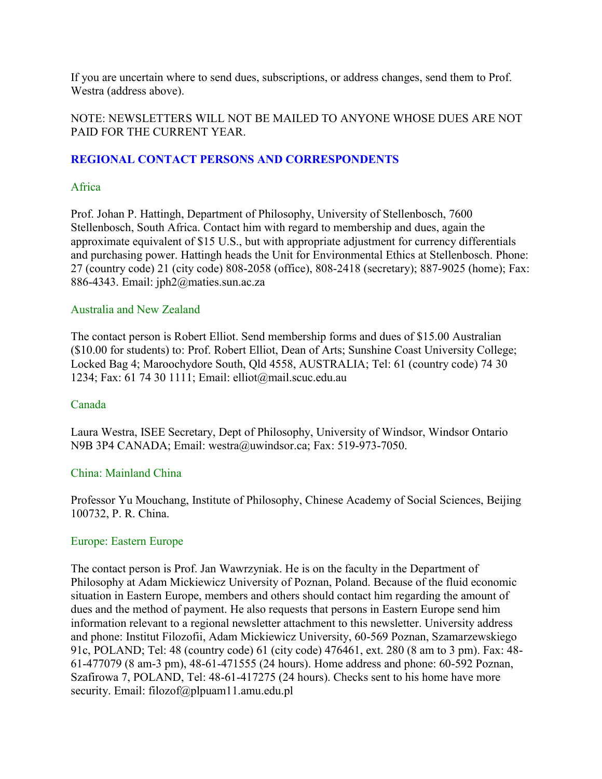If you are uncertain where to send dues, subscriptions, or address changes, send them to Prof. Westra (address above).

#### NOTE: NEWSLETTERS WILL NOT BE MAILED TO ANYONE WHOSE DUES ARE NOT PAID FOR THE CURRENT YEAR.

#### **REGIONAL CONTACT PERSONS AND CORRESPONDENTS**

#### Africa

Prof. Johan P. Hattingh, Department of Philosophy, University of Stellenbosch, 7600 Stellenbosch, South Africa. Contact him with regard to membership and dues, again the approximate equivalent of \$15 U.S., but with appropriate adjustment for currency differentials and purchasing power. Hattingh heads the Unit for Environmental Ethics at Stellenbosch. Phone: 27 (country code) 21 (city code) 808-2058 (office), 808-2418 (secretary); 887-9025 (home); Fax: 886-4343. Email: jph2@maties.sun.ac.za

#### Australia and New Zealand

The contact person is Robert Elliot. Send membership forms and dues of \$15.00 Australian (\$10.00 for students) to: Prof. Robert Elliot, Dean of Arts; Sunshine Coast University College; Locked Bag 4; Maroochydore South, Qld 4558, AUSTRALIA; Tel: 61 (country code) 74 30 1234; Fax: 61 74 30 1111; Email: elliot@mail.scuc.edu.au

#### Canada

Laura Westra, ISEE Secretary, Dept of Philosophy, University of Windsor, Windsor Ontario N9B 3P4 CANADA; Email: westra@uwindsor.ca; Fax: 519-973-7050.

#### China: Mainland China

Professor Yu Mouchang, Institute of Philosophy, Chinese Academy of Social Sciences, Beijing 100732, P. R. China.

#### Europe: Eastern Europe

The contact person is Prof. Jan Wawrzyniak. He is on the faculty in the Department of Philosophy at Adam Mickiewicz University of Poznan, Poland. Because of the fluid economic situation in Eastern Europe, members and others should contact him regarding the amount of dues and the method of payment. He also requests that persons in Eastern Europe send him information relevant to a regional newsletter attachment to this newsletter. University address and phone: Institut Filozofii, Adam Mickiewicz University, 60-569 Poznan, Szamarzewskiego 91c, POLAND; Tel: 48 (country code) 61 (city code) 476461, ext. 280 (8 am to 3 pm). Fax: 48- 61-477079 (8 am-3 pm), 48-61-471555 (24 hours). Home address and phone: 60-592 Poznan, Szafirowa 7, POLAND, Tel: 48-61-417275 (24 hours). Checks sent to his home have more security. Email: filozof@plpuam11.amu.edu.pl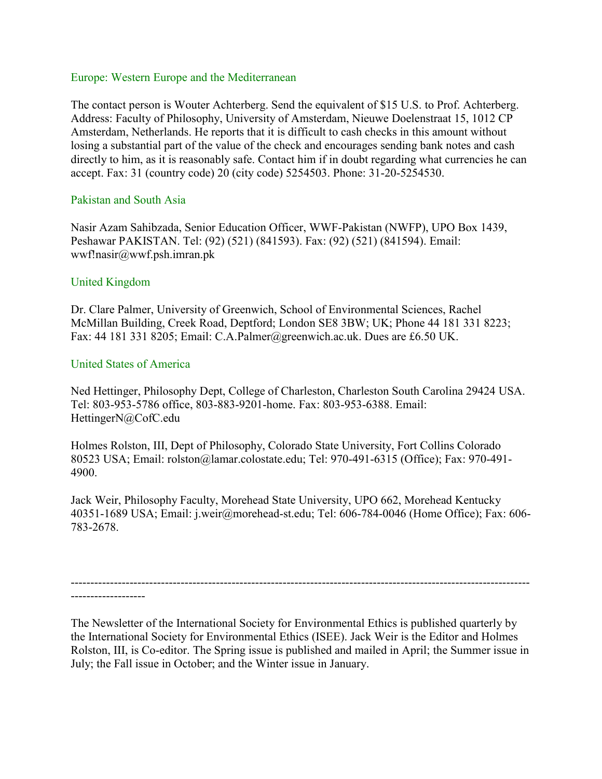#### Europe: Western Europe and the Mediterranean

The contact person is Wouter Achterberg. Send the equivalent of \$15 U.S. to Prof. Achterberg. Address: Faculty of Philosophy, University of Amsterdam, Nieuwe Doelenstraat 15, 1012 CP Amsterdam, Netherlands. He reports that it is difficult to cash checks in this amount without losing a substantial part of the value of the check and encourages sending bank notes and cash directly to him, as it is reasonably safe. Contact him if in doubt regarding what currencies he can accept. Fax: 31 (country code) 20 (city code) 5254503. Phone: 31-20-5254530.

#### Pakistan and South Asia

Nasir Azam Sahibzada, Senior Education Officer, WWF-Pakistan (NWFP), UPO Box 1439, Peshawar PAKISTAN. Tel: (92) (521) (841593). Fax: (92) (521) (841594). Email: wwf!nasir@wwf.psh.imran.pk

#### United Kingdom

Dr. Clare Palmer, University of Greenwich, School of Environmental Sciences, Rachel McMillan Building, Creek Road, Deptford; London SE8 3BW; UK; Phone 44 181 331 8223; Fax: 44 181 331 8205; Email: C.A.Palmer@greenwich.ac.uk. Dues are £6.50 UK.

#### United States of America

Ned Hettinger, Philosophy Dept, College of Charleston, Charleston South Carolina 29424 USA. Tel: 803-953-5786 office, 803-883-9201-home. Fax: 803-953-6388. Email: HettingerN@CofC.edu

Holmes Rolston, III, Dept of Philosophy, Colorado State University, Fort Collins Colorado 80523 USA; Email: rolston@lamar.colostate.edu; Tel: 970-491-6315 (Office); Fax: 970-491- 4900.

Jack Weir, Philosophy Faculty, Morehead State University, UPO 662, Morehead Kentucky 40351-1689 USA; Email: j.weir@morehead-st.edu; Tel: 606-784-0046 (Home Office); Fax: 606- 783-2678.

---------------------------------------------------------------------------------------------------------------------

-------------------

The Newsletter of the International Society for Environmental Ethics is published quarterly by the International Society for Environmental Ethics (ISEE). Jack Weir is the Editor and Holmes Rolston, III, is Co-editor. The Spring issue is published and mailed in April; the Summer issue in July; the Fall issue in October; and the Winter issue in January.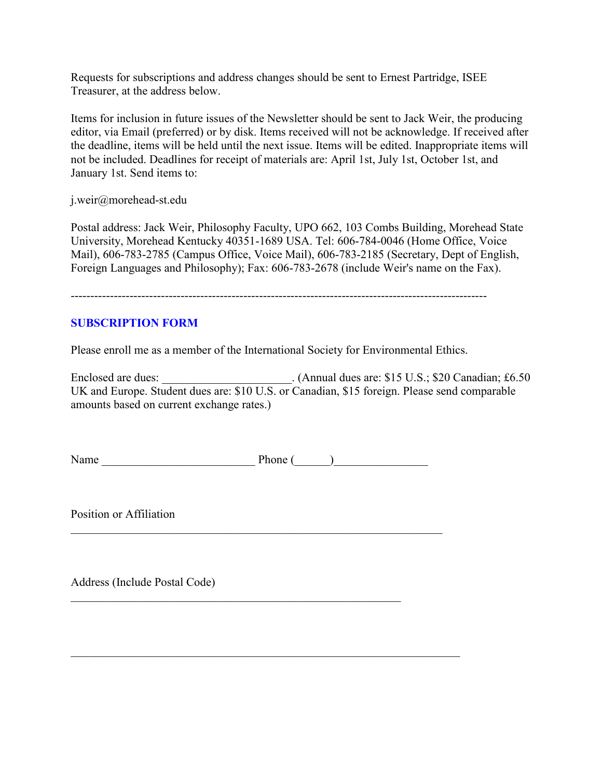Requests for subscriptions and address changes should be sent to Ernest Partridge, ISEE Treasurer, at the address below.

Items for inclusion in future issues of the Newsletter should be sent to Jack Weir, the producing editor, via Email (preferred) or by disk. Items received will not be acknowledge. If received after the deadline, items will be held until the next issue. Items will be edited. Inappropriate items will not be included. Deadlines for receipt of materials are: April 1st, July 1st, October 1st, and January 1st. Send items to:

j.weir@morehead-st.edu

Postal address: Jack Weir, Philosophy Faculty, UPO 662, 103 Combs Building, Morehead State University, Morehead Kentucky 40351-1689 USA. Tel: 606-784-0046 (Home Office, Voice Mail), 606-783-2785 (Campus Office, Voice Mail), 606-783-2185 (Secretary, Dept of English, Foreign Languages and Philosophy); Fax: 606-783-2678 (include Weir's name on the Fax).

----------------------------------------------------------------------------------------------------------

#### **SUBSCRIPTION FORM**

Please enroll me as a member of the International Society for Environmental Ethics.

Enclosed are dues: \_\_\_\_\_\_\_\_\_\_\_\_\_\_\_\_\_\_\_\_\_\_. (Annual dues are: \$15 U.S.; \$20 Canadian; £6.50 UK and Europe. Student dues are: \$10 U.S. or Canadian, \$15 foreign. Please send comparable amounts based on current exchange rates.)

Name Phone ()

 $\mathcal{L}_\text{max}$  , and the contribution of the contribution of the contribution of the contribution of the contribution of the contribution of the contribution of the contribution of the contribution of the contribution of t

 $\mathcal{L}_\text{max} = \mathcal{L}_\text{max} = \mathcal{L}_\text{max} = \mathcal{L}_\text{max} = \mathcal{L}_\text{max} = \mathcal{L}_\text{max} = \mathcal{L}_\text{max} = \mathcal{L}_\text{max} = \mathcal{L}_\text{max} = \mathcal{L}_\text{max} = \mathcal{L}_\text{max} = \mathcal{L}_\text{max} = \mathcal{L}_\text{max} = \mathcal{L}_\text{max} = \mathcal{L}_\text{max} = \mathcal{L}_\text{max} = \mathcal{L}_\text{max} = \mathcal{L}_\text{max} = \mathcal{$ 

 $\mathcal{L}_\text{max}$  , and the contribution of the contribution of the contribution of the contribution of the contribution of the contribution of the contribution of the contribution of the contribution of the contribution of t

Position or Affiliation

Address (Include Postal Code)